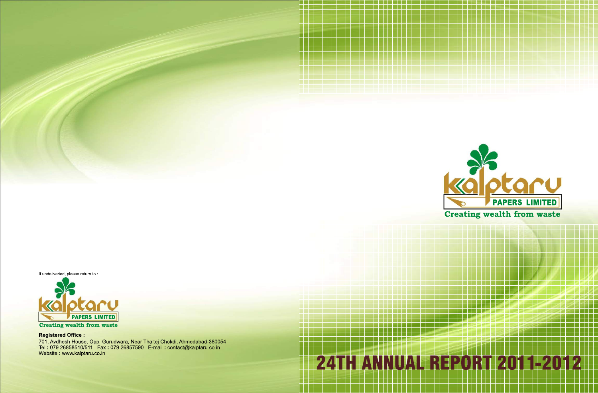

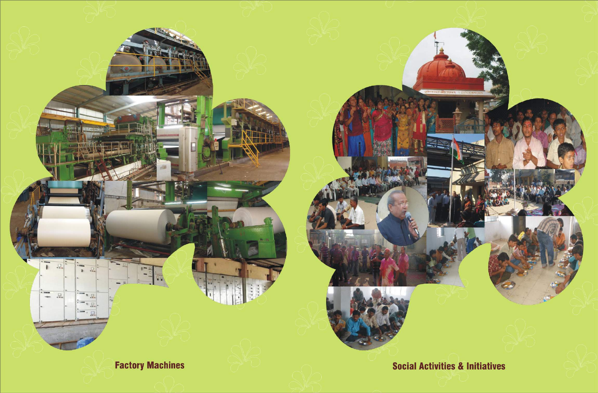# Wm LΤ 丽  $\Box$  $\mathbf{I}$  $\Omega$ ×  $\frac{1}{2}$  $\frac{1}{2}$  $\Box$  $\Box$ Ξ. 昆 **Factory Machines**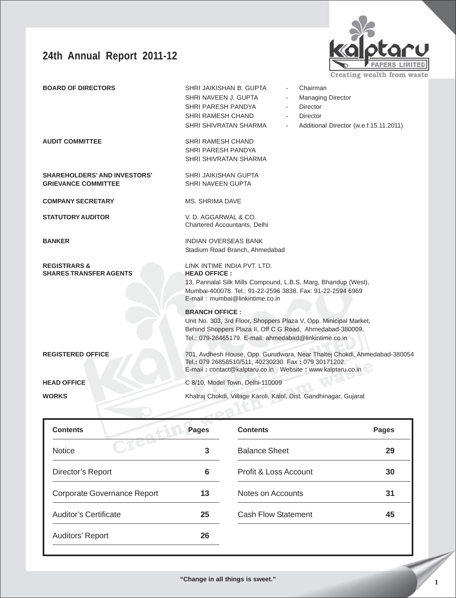

| <b>BOARD OF DIRECTORS</b>                                         | SHRI JAIKISHAN B. GUPTA<br>SHRI NAVEEN J. GUPTA<br>SHRI PARESH PANDYA<br><b>SHRI RAMESH CHAND</b><br>SHRI SHIVRATAN SHARMA                                                                                                                                                                                                                                                       | Chairman<br><b>Managing Director</b><br><b>Director</b><br><b>Director</b><br>Additional Director (w.e.f.15.11.2011) |
|-------------------------------------------------------------------|----------------------------------------------------------------------------------------------------------------------------------------------------------------------------------------------------------------------------------------------------------------------------------------------------------------------------------------------------------------------------------|----------------------------------------------------------------------------------------------------------------------|
| <b>AUDIT COMMITTEE</b>                                            | <b>SHRI RAMESH CHAND</b><br>SHRI PARESH PANDYA<br><b>SHRI SHIVRATAN SHARMA</b>                                                                                                                                                                                                                                                                                                   |                                                                                                                      |
| <b>SHAREHOLDERS' AND INVESTORS'</b><br><b>GRIEVANCE COMMITTEE</b> | SHRI JAIKISHAN GUPTA<br><b>SHRI NAVEEN GUPTA</b>                                                                                                                                                                                                                                                                                                                                 |                                                                                                                      |
| <b>COMPANY SECRETARY</b>                                          | <b>MS. SHRIMA DAVE</b>                                                                                                                                                                                                                                                                                                                                                           |                                                                                                                      |
| <b>STATUTORY AUDITOR</b>                                          | V. D. AGGARWAL & CO.<br>Chartered Accountants, Delhi                                                                                                                                                                                                                                                                                                                             |                                                                                                                      |
| <b>BANKER</b>                                                     | <b>INDIAN OVERSEAS BANK</b><br>Stadium Road Branch, Ahmedabad                                                                                                                                                                                                                                                                                                                    |                                                                                                                      |
| <b>REGISTRARS &amp;</b><br><b>SHARES TRANSFER AGENTS</b>          | LINK INTIME INDIA PVT. LTD.<br><b>HEAD OFFICE:</b><br>13, Pannalal Silk Mills Compound, L.B.S. Marg, Bhandup (West),<br>Mumbai-400078, Tel.: 91-22-2596 3838, Fax: 91-22-2594 6969<br>E-mail: mumbai@linkintime.co.in<br><b>BRANCH OFFICE:</b><br>Unit No. 303, 3rd Floor, Shoppers Plaza V, Opp. Minicipal Market,<br>Behind Shoppers Plaza II, Off C G Road, Ahmedabad-380009. |                                                                                                                      |
|                                                                   | Tel.: 079-26465179. E-mail: ahmedabad@linkintime.co.in                                                                                                                                                                                                                                                                                                                           |                                                                                                                      |
| <b>REGISTERED OFFICE</b>                                          | Tel.: 079 26858510/511, 40230230. Fax: 079 30171202.                                                                                                                                                                                                                                                                                                                             | 701, Avdhesh House, Opp. Gurudwara, Near Thaltej Chokdi, Ahmedabad-380054                                            |
| <b>HEAD OFFICE</b>                                                | C 8/10, Model Town, Delhi-110009                                                                                                                                                                                                                                                                                                                                                 |                                                                                                                      |
| <b>WORKS</b>                                                      | Khatraj Chokdi, Village Karoli, Kalol, Dist. Gandhinagar, Gujarat                                                                                                                                                                                                                                                                                                                |                                                                                                                      |

| <b>Contents</b>              | <b>Pages</b> | <b>Contents</b>            | Pages |
|------------------------------|--------------|----------------------------|-------|
| <b>Notice</b>                | 3            | <b>Balance Sheet</b>       | 29    |
| Director's Report            | 6            | Profit & Loss Account      | 30    |
| Corporate Governance Report  | 13           | Notes on Accounts          | 31    |
| <b>Auditor's Certificate</b> | 25           | <b>Cash Flow Statement</b> | 45    |
| Auditors' Report             | 26           |                            |       |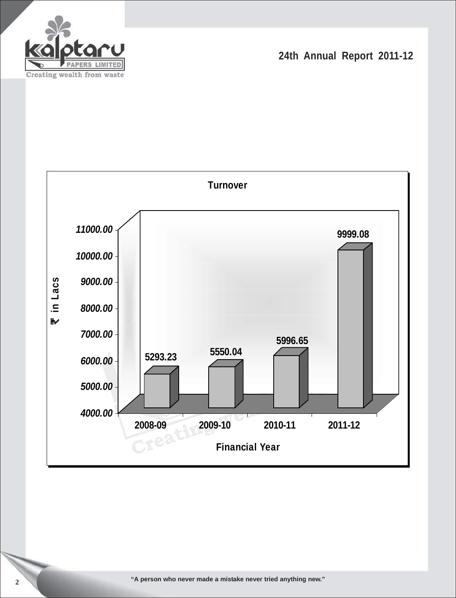

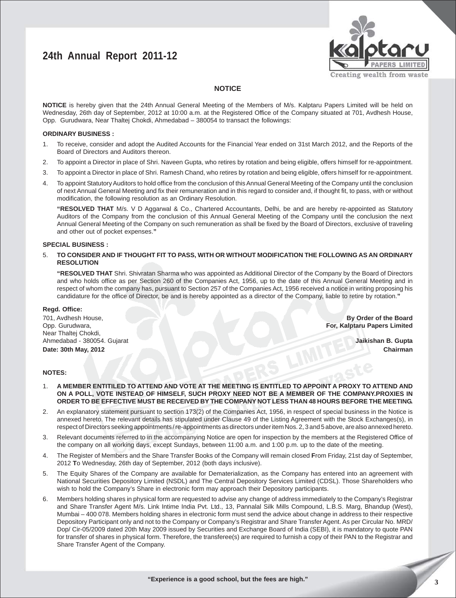

#### **NOTICE**

**NOTICE** is hereby given that the 24th Annual General Meeting of the Members of M/s. Kalptaru Papers Limited will be held on Wednesday, 26th day of September, 2012 at 10:00 a.m. at the Registered Office of the Company situated at 701, Avdhesh House, Opp. Gurudwara, Near Thaltej Chokdi, Ahmedabad – 380054 to transact the followings:

#### **ORDINARY BUSINESS :**

- 1. To receive, consider and adopt the Audited Accounts for the Financial Year ended on 31st March 2012, and the Reports of the Board of Directors and Auditors thereon.
- 2. To appoint a Director in place of Shri. Naveen Gupta, who retires by rotation and being eligible, offers himself for re-appointment.
- 3. To appoint a Director in place of Shri. Ramesh Chand, who retires by rotation and being eligible, offers himself for re-appointment.
- 4. To appoint Statutory Auditors to hold office from the conclusion of this Annual General Meeting of the Company until the conclusion of next Annual General Meeting and fix their remuneration and in this regard to consider and, if thought fit, to pass, with or without modification, the following resolution as an Ordinary Resolution.

**"RESOLVED THAT** M/s. V D Aggarwal & Co., Chartered Accountants, Delhi, be and are hereby re-appointed as Statutory Auditors of the Company from the conclusion of this Annual General Meeting of the Company until the conclusion the next Annual General Meeting of the Company on such remuneration as shall be fixed by the Board of Directors, exclusive of traveling and other out of pocket expenses.**"**

#### **SPECIAL BUSINESS :**

#### 5. **TO CONSIDER AND IF THOUGHT FIT TO PASS, WITH OR WITHOUT MODIFICATION THE FOLLOWING AS AN ORDINARY RESOLUTION**

**"RESOLVED THAT** Shri. Shivratan Sharma who was appointed as Additional Director of the Company by the Board of Directors and who holds office as per Section 260 of the Companies Act, 1956, up to the date of this Annual General Meeting and in respect of whom the company has, pursuant to Section 257 of the Companies Act, 1956 received a notice in writing proposing his candidature for the office of Director, be and is hereby appointed as a director of the Company, liable to retire by rotation.**"**

#### **Regd. Office:**

701, Avdhesh House, **By Order of the Board** Near Thaltej Chokdi, Ahmedabad - 380054. Gujarat **Jaikishan B. Gupta Date: 30th May, 2012 Chairman**

Opp. Gurudwara, **For, Kalptaru Papers Limited**

#### **NOTES:**

- 1. **A MEMBER ENTITILED TO ATTEND AND VOTE AT THE MEETING IS ENTITLED TO APPOINT A PROXY TO ATTEND AND ON A POLL, VOTE INSTEAD OF HIMSELF, SUCH PROXY NEED NOT BE A MEMBER OF THE COMPANY.PROXIES IN ORDER TO BE EFFECTIVE MUST BE RECEIVED BY THE COMPANY NOT LESS THAN 48 HOURS BEFORE THE MEETING.**
- 2. An explanatory statement pursuant to section 173(2) of the Companies Act, 1956, in respect of special business in the Notice is annexed hereto. The relevant details has stipulated under Clause 49 of the Listing Agreement with the Stock Exchanges(s), in respect of Directors seeking appointments / re-appointments as directors under item Nos. 2, 3 and 5 above, are also annexed hereto.
- 3. Relevant documents referred to in the accompanying Notice are open for inspection by the members at the Registered Office of the company on all working days, except Sundays, between 11:00 a.m. and 1:00 p.m. up to the date of the meeting.
- 4. The Register of Members and the Share Transfer Books of the Company will remain closed **F**rom Friday, 21st day of September, 2012 **T**o Wednesday, 26th day of September, 2012 (both days inclusive).
- 5. The Equity Shares of the Company are available for Dematerialization, as the Company has entered into an agreement with National Securities Depository Limited (NSDL) and The Central Depository Services Limited (CDSL). Those Shareholders who wish to hold the Company's Share in electronic form may approach their Depository participants.
- 6. Members holding shares in physical form are requested to advise any change of address immediately to the Company's Registrar and Share Transfer Agent M/s. Link Intime India Pvt. Ltd., 13, Pannalal Silk Mills Compound, L.B.S. Marg, Bhandup (West), Mumbai – 400 078. Members holding shares in electronic form must send the advice about change in address to their respective Depository Participant only and not to the Company or Company's Registrar and Share Transfer Agent. As per Circular No. MRD/ Dop/ Cir-05/2009 dated 20th May 2009 issued by Securities and Exchange Board of India (SEBI), it is mandatory to quote PAN for transfer of shares in physical form. Therefore, the transferee(s) are required to furnish a copy of their PAN to the Registrar and Share Transfer Agent of the Company.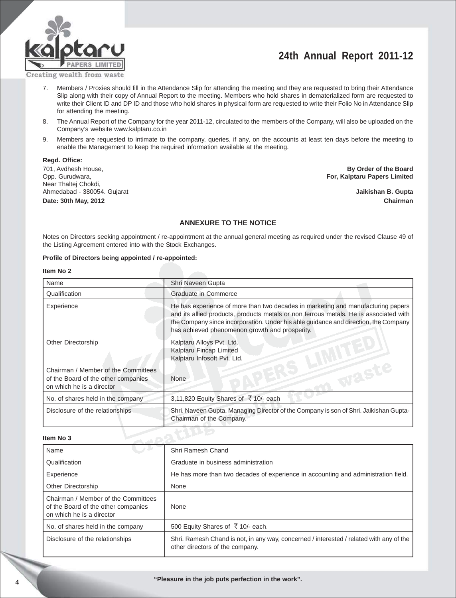

Creating wealth from waste

- 7. Members / Proxies should fill in the Attendance Slip for attending the meeting and they are requested to bring their Attendance Slip along with their copy of Annual Report to the meeting. Members who hold shares in dematerialized form are requested to write their Client ID and DP ID and those who hold shares in physical form are requested to write their Folio No in Attendance Slip for attending the meeting.
- 8. The Annual Report of the Company for the year 2011-12, circulated to the members of the Company, will also be uploaded on the Company's website www.kalptaru.co.in
- 9. Members are requested to intimate to the company, queries, if any, on the accounts at least ten days before the meeting to enable the Management to keep the required information available at the meeting.

#### **Regd. Office:**

Near Thaltej Chokdi, Ahmedabad - 380054. Gujarat **Jaikishan B. Gupta Date: 30th May, 2012 Chairman**

701, Avdhesh House, **By Order of the Board** Opp. Gurudwara, **For, Kalptaru Papers Limited**

#### **ANNEXURE TO THE NOTICE**

Notes on Directors seeking appointment / re-appointment at the annual general meeting as required under the revised Clause 49 of the Listing Agreement entered into with the Stock Exchanges.

#### **Profile of Directors being appointed / re-appointed:**

| Item No 2 |  |  |
|-----------|--|--|
|-----------|--|--|

| Name                                                                                                    | Shri Naveen Gupta                                                                                                                                                                                                                                                                                                  |
|---------------------------------------------------------------------------------------------------------|--------------------------------------------------------------------------------------------------------------------------------------------------------------------------------------------------------------------------------------------------------------------------------------------------------------------|
| Qualification                                                                                           | <b>Graduate in Commerce</b>                                                                                                                                                                                                                                                                                        |
| Experience                                                                                              | He has experience of more than two decades in marketing and manufacturing papers<br>and its allied products, products metals or non ferrous metals. He is associated with<br>the Company since incorporation. Under his able guidance and direction, the Company<br>has achieved phenomenon growth and prosperity. |
| Other Directorship                                                                                      | Kalptaru Alloys Pvt. Ltd.<br>Kalptaru Fincap Limited<br>Kalptaru Infosoft Pvt. Ltd.                                                                                                                                                                                                                                |
| Chairman / Member of the Committees<br>of the Board of the other companies<br>on which he is a director | None                                                                                                                                                                                                                                                                                                               |
| No. of shares held in the company                                                                       | 3,11,820 Equity Shares of ₹10/- each                                                                                                                                                                                                                                                                               |
| Disclosure of the relationships                                                                         | Shri. Naveen Gupta, Managing Director of the Company is son of Shri. Jaikishan Gupta-<br>Chairman of the Company.                                                                                                                                                                                                  |

#### **Item No 3**

| Name                                                                                                    | Shri Ramesh Chand                                                                                                          |
|---------------------------------------------------------------------------------------------------------|----------------------------------------------------------------------------------------------------------------------------|
| Qualification                                                                                           | Graduate in business administration                                                                                        |
| Experience                                                                                              | He has more than two decades of experience in accounting and administration field.                                         |
| Other Directorship                                                                                      | None                                                                                                                       |
| Chairman / Member of the Committees<br>of the Board of the other companies<br>on which he is a director | None                                                                                                                       |
| No. of shares held in the company                                                                       | 500 Equity Shares of ₹10/- each.                                                                                           |
| Disclosure of the relationships                                                                         | Shri. Ramesh Chand is not, in any way, concerned / interested / related with any of the<br>other directors of the company. |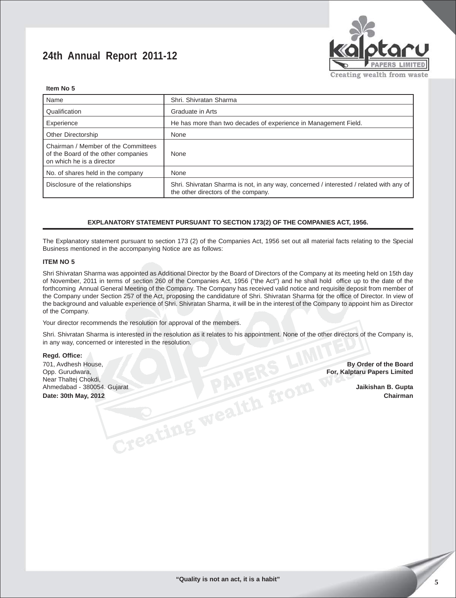

#### **Item No 5**

| Name                                                                                                    | Shri, Shivratan Sharma                                                                                                         |
|---------------------------------------------------------------------------------------------------------|--------------------------------------------------------------------------------------------------------------------------------|
| Qualification                                                                                           | Graduate in Arts                                                                                                               |
| Experience                                                                                              | He has more than two decades of experience in Management Field.                                                                |
| Other Directorship                                                                                      | None                                                                                                                           |
| Chairman / Member of the Committees<br>of the Board of the other companies<br>on which he is a director | None                                                                                                                           |
| No. of shares held in the company                                                                       | None                                                                                                                           |
| Disclosure of the relationships                                                                         | Shri. Shivratan Sharma is not, in any way, concerned / interested / related with any of<br>the other directors of the company. |

#### **EXPLANATORY STATEMENT PURSUANT TO SECTION 173(2) OF THE COMPANIES ACT, 1956.**

The Explanatory statement pursuant to section 173 (2) of the Companies Act, 1956 set out all material facts relating to the Special Business mentioned in the accompanying Notice are as follows:

#### **ITEM NO 5**

Shri Shivratan Sharma was appointed as Additional Director by the Board of Directors of the Company at its meeting held on 15th day of November, 2011 in terms of section 260 of the Companies Act, 1956 ("the Act") and he shall hold office up to the date of the forthcoming Annual General Meeting of the Company. The Company has received valid notice and requisite deposit from member of the Company under Section 257 of the Act, proposing the candidature of Shri. Shivratan Sharma for the office of Director. In view of the background and valuable experience of Shri. Shivratan Sharma, it will be in the interest of the Company to appoint him as Director of the Company.

Your director recommends the resolution for approval of the members.

Shri. Shivratan Sharma is interested in the resolution as it relates to his appointment. None of the other directors of the Company is, in any way, concerned or interested in the resolution.

#### **Regd. Office:**

**701, Avdhesh House, By Order of the Board** Opp. Gurudwara, **For, Kalptaru Papers Limited** Near Thaltej Chokdi,<br>Ahmedabad - 380054. Guiarat Ahmedabad - 380054. Gujarat **Jaikishan B. Gupta Date: 30th May, 2012 Chairman**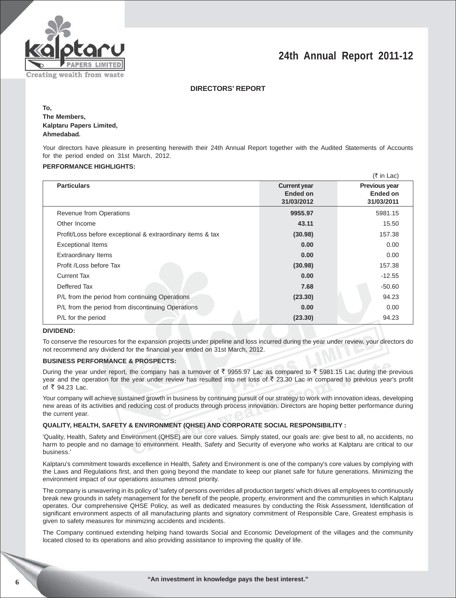

#### **DIRECTORS' REPORT**

#### **To, The Members, Kalptaru Papers Limited, Ahmedabad.**

Your directors have pleasure in presenting herewith their 24th Annual Report together with the Audited Statements of Accounts for the period ended on 31st March, 2012.

#### **PERFORMANCE HIGHLIGHTS:**

|                                                            |                                                      | $(5 \in \text{Ln } Lac)$                |
|------------------------------------------------------------|------------------------------------------------------|-----------------------------------------|
| <b>Particulars</b>                                         | <b>Current year</b><br><b>Ended on</b><br>31/03/2012 | Previous year<br>Ended on<br>31/03/2011 |
| Revenue from Operations                                    | 9955.97                                              | 5981.15                                 |
| Other Income                                               | 43.11                                                | 15.50                                   |
| Profit/Loss before exceptional & extraordinary items & tax | (30.98)                                              | 157.38                                  |
| <b>Exceptional Items</b>                                   | 0.00                                                 | 0.00                                    |
| <b>Extraordinary Items</b>                                 | 0.00                                                 | 0.00                                    |
| Profit /Loss before Tax                                    | (30.98)                                              | 157.38                                  |
| Current Tax                                                | 0.00                                                 | $-12.55$                                |
| Deffered Tax                                               | 7.68                                                 | $-50.60$                                |
| P/L from the period from continuing Operations             | (23.30)                                              | 94.23                                   |
| P/L from the period from discontinuing Operations          | 0.00                                                 | 0.00                                    |
| P/L for the period                                         | (23.30)                                              | 94.23                                   |
|                                                            |                                                      |                                         |

#### **DIVIDEND:**

To conserve the resources for the expansion projects under pipeline and loss incurred during the year under review, your directors do not recommend any dividend for the financial year ended on 31st March, 2012.

#### **BUSINESS PERFORMANCE & PROSPECTS:**

During the year under report, the company has a turnover of  $\bar{\tau}$  9955.97 Lac as compared to  $\bar{\tau}$  5981.15 Lac during the previous year and the operation for the year under review has resulted into net loss of  $\bar{\tau}$  23.30 Lac in compared to previous year's profit of  $\bar{x}$  94.23 Lac.

Your company will achieve sustained growth in business by continuing pursuit of our strategy to work with innovation ideas, developing new areas of its activities and reducing cost of products through process innovation. Directors are hoping better performance during the current year.

#### **QUALITY, HEALTH, SAFETY & ENVIRONMENT (QHSE) AND CORPORATE SOCIAL RESPONSIBILITY :**

'Quality, Health, Safety and Environment (QHSE) are our core values. Simply stated, our goals are: give best to all, no accidents, no harm to people and no damage to environment. Health, Safety and Security of everyone who works at Kalptaru are critical to our business.'

Kalptaru's commitment towards excellence in Health, Safety and Environment is one of the company's core values by complying with the Laws and Regulations first, and then going beyond the mandate to keep our planet safe for future generations. Minimizing the environment impact of our operations assumes utmost priority.

The company is unwavering in its policy of 'safety of persons overrides all production targets' which drives all employees to continuously break new grounds in safety management for the benefit of the people, property, environment and the communities in which Kalptaru operates. Our comprehensive QHSE Policy, as well as dedicated measures by conducting the Risk Assessment, Identification of significant environment aspects of all manufacturing plants and signatory commitment of Responsible Care, Greatest emphasis is given to safety measures for minimizing accidents and incidents.

The Company continued extending helping hand towards Social and Economic Development of the villages and the community located closed to its operations and also providing assistance to improving the quality of life.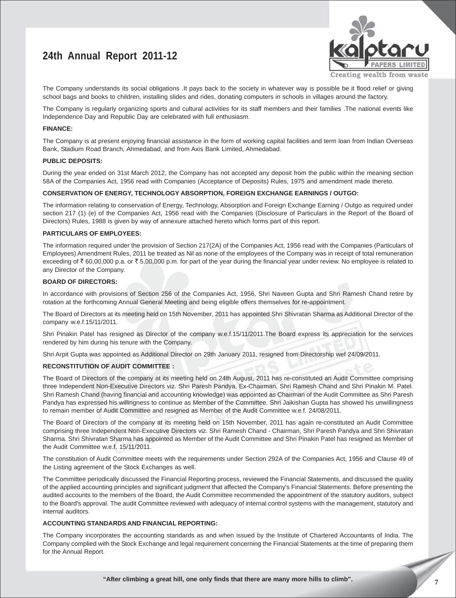

Creating wealth from

The Company understands its social obligations .It pays back to the society in whatever way is possible be it flood relief or giving school bags and books to children, installing slides and rides, donating computers in schools in villages around the factory.

The Company is regularly organizing sports and cultural activities for its staff members and their families .The national events like Independence Day and Republic Day are celebrated with full enthusiasm.

#### **FINANCE:**

The Company is at present enjoying financial assistance in the form of working capital facilities and term loan from Indian Overseas Bank, Stadium Road Branch, Ahmedabad, and from Axis Bank Limited, Ahmedabad.

#### **PUBLIC DEPOSITS:**

During the year ended on 31st March 2012, the Company has not accepted any deposit from the public within the meaning section 58A of the Companies Act, 1956 read with Companies (Acceptance of Deposits) Rules, 1975 and amendment made thereto.

#### **CONSERVATION OF ENERGY, TECHNOLOGY ABSORPTION, FOREIGN EXCHANGE EARNINGS / OUTGO:**

The information relating to conservation of Energy, Technology, Absorption and Foreign Exchange Earning / Outgo as required under section 217 (1) (e) of the Companies Act, 1956 read with the Companies (Disclosure of Particulars in the Report of the Board of Directors) Rules, 1988 is given by way of annexure attached hereto which forms part of this report.

#### **PARTICULARS OF EMPLOYEES:**

The information required under the provision of Section 217(2A) of the Companies Act, 1956 read with the Companies (Particulars of Employees) Amendment Rules, 2011 be treated as Nil as none of the employees of the Company was in receipt of total remuneration exceeding of  $\bar{\tau}$  60,00,000 p.a. or  $\bar{\tau}$  5,00,000 p.m. for part of the year during the financial year under review. No employee is related to any Director of the Company.

#### **BOARD OF DIRECTORS:**

In accordance with provisions of Section 256 of the Companies Act, 1956, Shri Naveen Gupta and Shri Ramesh Chand retire by rotation at the forthcoming Annual General Meeting and being eligible offers themselves for re-appointment.

The Board of Directors at its meeting held on 15th November, 2011 has appointed Shri Shivratan Sharma as Additional Director of the company w.e.f.15/11/2011.

Shri Pinakin Patel has resigned as Director of the company w.e.f.15/11/2011.The Board express its appreciation for the services rendered by him during his tenure with the Company.

Shri Arpit Gupta was appointed as Additional Director on 29th January 2011, resigned from Directorship wef 24/09/2011.

#### **RECONSTITUTION OF AUDIT COMMITTEE :**

The Board of Directors of the company at its meeting held on 24th August, 2011 has re-constituted an Audit Committee comprising three Independent Non-Executive Directors viz. Shri Paresh Pandya, Ex-Chairman, Shri Ramesh Chand and Shri Pinakin M. Patel. Shri Ramesh Chand (having financial and accounting knowledge) was appointed as Chairman of the Audit Committee as Shri Paresh Pandya has expressed his willingness to continue as Member of the Committee. Shri Jaikishan Gupta has showed his unwillingness to remain member of Audit Committee and resigned as Member of the Audit Committee w.e.f. 24/08/2011.

The Board of Directors of the company at its meeting held on 15th November, 2011 has again re-constituted an Audit Committee comprising three Independent Non-Executive Directors viz. Shri Ramesh Chand - Chairman, Shri Paresh Pandya and Shri Shivratan Sharma. Shri Shivratan Sharma has appointed as Member of the Audit Committee and Shri Pinakin Patel has resigned as Member of the Audit Committee w.e.f. 15/11/2011.

The constitution of Audit Committee meets with the requirements under Section 292A of the Companies Act, 1956 and Clause 49 of the Listing agreement of the Stock Exchanges as well.

The Committee periodically discussed the Financial Reporting process, reviewed the Financial Statements, and discussed the quality of the applied accounting principles and significant judgment that affected the Company's Financial Statements. Before presenting the audited accounts to the members of the Board, the Audit Committee recommended the appointment of the statutory auditors, subject to the Board's approval. The audit Committee reviewed with adequacy of internal control systems with the management, statutory and internal auditors.

#### **ACCOUNTING STANDARDS AND FINANCIAL REPORTING:**

The Company incorporates the accounting standards as and when issued by the Institute of Chartered Accountants of India. The Company complied with the Stock Exchange and legal requirement concerning the Financial Statements at the time of preparing them for the Annual Report.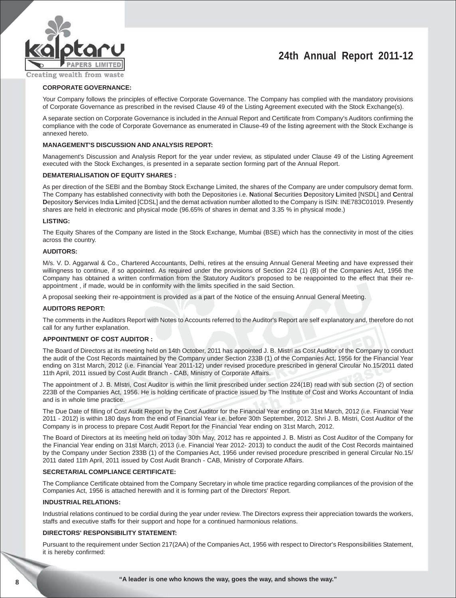

#### **CORPORATE GOVERNANCE:**

Your Company follows the principles of effective Corporate Governance. The Company has complied with the mandatory provisions of Corporate Governance as prescribed in the revised Clause 49 of the Listing Agreement executed with the Stock Exchange(s).

A separate section on Corporate Governance is included in the Annual Report and Certificate from Company's Auditors confirming the compliance with the code of Corporate Governance as enumerated in Clause-49 of the listing agreement with the Stock Exchange is annexed hereto.

#### **MANAGEMENT'S DISCUSSION AND ANALYSIS REPORT:**

Management's Discussion and Analysis Report for the year under review, as stipulated under Clause 49 of the Listing Agreement executed with the Stock Exchanges, is presented in a separate section forming part of the Annual Report.

#### **DEMATERIALISATION OF EQUITY SHARES :**

As per direction of the SEBI and the Bombay Stock Exchange Limited, the shares of the Company are under compulsory demat form. The Company has established connectivity with both the Depositories i.e. **N**ational **S**ecurities **D**epository **L**imited [NSDL] and **C**entral **D**epository **S**ervices India **L**imited [CDSL] and the demat activation number allotted to the Company is ISIN: INE783C01019. Presently shares are held in electronic and physical mode (96.65% of shares in demat and 3.35 % in physical mode.)

#### **LISTING:**

The Equity Shares of the Company are listed in the Stock Exchange, Mumbai (BSE) which has the connectivity in most of the cities across the country.

#### **AUDITORS:**

M/s. V. D. Aggarwal & Co., Chartered Accountants, Delhi, retires at the ensuing Annual General Meeting and have expressed their willingness to continue, if so appointed. As required under the provisions of Section 224 (1) (B) of the Companies Act, 1956 the Company has obtained a written confirmation from the Statutory Auditor's proposed to be reappointed to the effect that their reappointment , if made, would be in conformity with the limits specified in the said Section.

A proposal seeking their re-appointment is provided as a part of the Notice of the ensuing Annual General Meeting.

#### **AUDITORS REPORT:**

The comments in the Auditors Report with Notes to Accounts referred to the Auditor's Report are self explanatory and, therefore do not call for any further explanation.

#### **APPOINTMENT OF COST AUDITOR :**

The Board of Directors at its meeting held on 14th October, 2011 has appointed J. B. Mistri as Cost Auditor of the Company to conduct the audit of the Cost Records maintained by the Company under Section 233B (1) of the Companies Act, 1956 for the Financial Year ending on 31st March, 2012 (i.e. Financial Year 2011-12) under revised procedure prescribed in general Circular No.15/2011 dated 11th April, 2011 issued by Cost Audit Branch - CAB, Ministry of Corporate Affairs.

The appointment of J. B. MIstri, Cost Auditor is within the limit prescribed under section 224(1B) read with sub section (2) of section 223B of the Companies Act, 1956. He is holding certificate of practice issued by The Institute of Cost and Works Accountant of India and is in whole time practice.

The Due Date of filling of Cost Audit Report by the Cost Auditor for the Financial Year ending on 31st March, 2012 (i.e. Financial Year 2011 - 2012) is within 180 days from the end of Financial Year i.e. before 30th September, 2012. Shri J. B. Mistri, Cost Auditor of the Company is in process to prepare Cost Audit Report for the Financial Year ending on 31st March, 2012.

The Board of Directors at its meeting held on today 30th May, 2012 has re appointed J. B. Mistri as Cost Auditor of the Company for the Financial Year ending on 31st March, 2013 (i.e. Financial Year 2012- 2013) to conduct the audit of the Cost Records maintained by the Company under Section 233B (1) of the Companies Act, 1956 under revised procedure prescribed in general Circular No.15/ 2011 dated 11th April, 2011 issued by Cost Audit Branch - CAB, Ministry of Corporate Affairs.

#### **SECRETARIAL COMPLIANCE CERTIFICATE:**

The Compliance Certificate obtained from the Company Secretary in whole time practice regarding compliances of the provision of the Companies Act, 1956 is attached herewith and it is forming part of the Directors' Report.

#### **INDUSTRIAL RELATIONS:**

Industrial relations continued to be cordial during the year under review. The Directors express their appreciation towards the workers, staffs and executive staffs for their support and hope for a continued harmonious relations.

#### **DIRECTORS' RESPONSIBILITY STATEMENT:**

Pursuant to the requirement under Section 217(2AA) of the Companies Act, 1956 with respect to Director's Responsibilities Statement, it is hereby confirmed: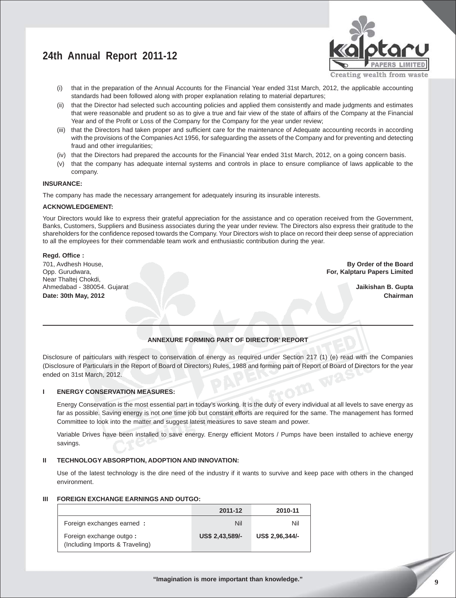

Creating wealth from

- (i) that in the preparation of the Annual Accounts for the Financial Year ended 31st March, 2012, the applicable accounting standards had been followed along with proper explanation relating to material departures;
- (ii) that the Director had selected such accounting policies and applied them consistently and made judgments and estimates that were reasonable and prudent so as to give a true and fair view of the state of affairs of the Company at the Financial Year and of the Profit or Loss of the Company for the Company for the year under review;
- (iii) that the Directors had taken proper and sufficient care for the maintenance of Adequate accounting records in according with the provisions of the Companies Act 1956, for safeguarding the assets of the Company and for preventing and detecting fraud and other irregularities;
- (iv) that the Directors had prepared the accounts for the Financial Year ended 31st March, 2012, on a going concern basis.
- (v) that the company has adequate internal systems and controls in place to ensure compliance of laws applicable to the company.

#### **INSURANCE:**

The company has made the necessary arrangement for adequately insuring its insurable interests.

#### **ACKNOWLEDGEMENT:**

Your Directors would like to express their grateful appreciation for the assistance and co operation received from the Government, Banks, Customers, Suppliers and Business associates during the year under review. The Directors also express their gratitude to the shareholders for the confidence reposed towards the Company. Your Directors wish to place on record their deep sense of appreciation to all the employees for their commendable team work and enthusiastic contribution during the year.

#### **Regd. Office :**

Near Thaltej Chokdi, Ahmedabad - 380054. Gujarat **Jaikishan B. Gupta Date: 30th May, 2012 Chairman**

701, Avdhesh House, **By Order of the Board** Opp. Gurudwara, **For, Kalptaru Papers Limited**

#### **ANNEXURE FORMING PART OF DIRECTOR' REPORT**

Disclosure of particulars with respect to conservation of energy as required under Section 217 (1) (e) read with the Companies (Disclosure of Particulars in the Report of Board of Directors) Rules, 1988 and forming part of Report of Board of Directors for the year ended on 31st March, 2012.

#### **I ENERGY CONSERVATION MEASURES:**

Energy Conservation is the most essential part in today's working. It is the duty of every individual at all levels to save energy as far as possible. Saving energy is not one time job but constant efforts are required for the same. The management has formed Committee to look into the matter and suggest latest measures to save steam and power.

Variable Drives have been installed to save energy. Energy efficient Motors / Pumps have been installed to achieve energy savings.

#### **II TECHNOLOGY ABSORPTION, ADOPTION AND INNOVATION:**

Use of the latest technology is the dire need of the industry if it wants to survive and keep pace with others in the changed environment.

#### **III FOREIGN EXCHANGE EARNINGS AND OUTGO:**

|                                                            | 2011-12         | 2010-11         |
|------------------------------------------------------------|-----------------|-----------------|
| Foreign exchanges earned:                                  | Nil             | Nil             |
| Foreign exchange outgo:<br>(Including Imports & Traveling) | US\$ 2,43,589/- | US\$ 2,96,344/- |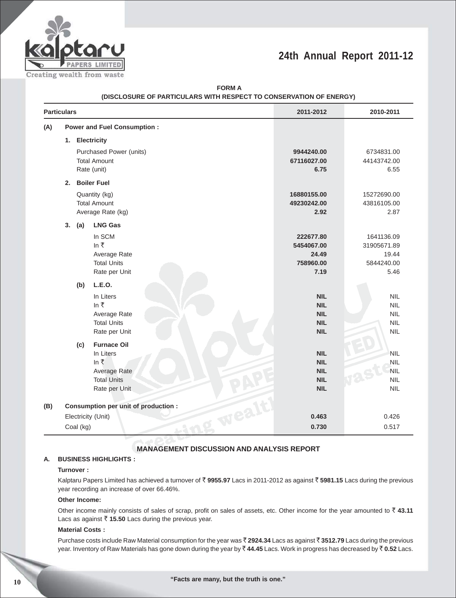

| <b>FORM A</b>                                                      |
|--------------------------------------------------------------------|
| (DISCLOSURE OF PARTICULARS WITH RESPECT TO CONSERVATION OF ENERGY) |

| <b>Particulars</b> |           |                                               | 2011-2012   | 2010-2011   |
|--------------------|-----------|-----------------------------------------------|-------------|-------------|
| (A)                |           | <b>Power and Fuel Consumption:</b>            |             |             |
|                    |           | 1. Electricity                                |             |             |
|                    |           | Purchased Power (units)                       | 9944240.00  | 6734831.00  |
|                    |           | <b>Total Amount</b>                           | 67116027.00 | 44143742.00 |
|                    |           | Rate (unit)                                   | 6.75        | 6.55        |
|                    |           | 2. Boiler Fuel                                |             |             |
|                    |           | Quantity (kg)                                 | 16880155.00 | 15272690.00 |
|                    |           | <b>Total Amount</b>                           | 49230242.00 | 43816105.00 |
|                    |           | Average Rate (kg)                             | 2.92        | 2.87        |
|                    | 3. (a)    | <b>LNG Gas</b>                                |             |             |
|                    |           | In SCM                                        | 222677.80   | 1641136.09  |
|                    |           | In ₹                                          | 5454067.00  | 31905671.89 |
|                    |           | Average Rate                                  | 24.49       | 19.44       |
|                    |           | <b>Total Units</b>                            | 758960.00   | 5844240.00  |
|                    |           | Rate per Unit                                 | 7.19        | 5.46        |
|                    | (b)       | L.E.O.                                        |             |             |
|                    |           | In Liters                                     | <b>NIL</b>  | <b>NIL</b>  |
|                    |           | In ₹                                          | <b>NIL</b>  | <b>NIL</b>  |
|                    |           | Average Rate                                  | <b>NIL</b>  | <b>NIL</b>  |
|                    |           | <b>Total Units</b>                            | <b>NIL</b>  | <b>NIL</b>  |
|                    |           | Rate per Unit                                 | <b>NIL</b>  | <b>NIL</b>  |
|                    | (c)       | <b>Furnace Oil</b>                            |             |             |
|                    |           | In Liters                                     | <b>NIL</b>  | <b>NIL</b>  |
|                    |           | In ₹                                          | <b>NIL</b>  | <b>NIL</b>  |
|                    |           | Average Rate                                  | <b>NIL</b>  | <b>NIL</b>  |
|                    |           | <b>Total Units</b>                            | <b>NIL</b>  | <b>NIL</b>  |
|                    |           | Rate per Unit                                 | <b>NIL</b>  | <b>NIL</b>  |
| (B)                |           | wealt<br>Consumption per unit of production : |             |             |
|                    |           | Electricity (Unit)                            | 0.463       | 0.426       |
|                    | Coal (kg) |                                               | 0.730       | 0.517       |

#### **MANAGEMENT DISCUSSION AND ANALYSIS REPORT**

#### **A. BUSINESS HIGHLIGHTS :**

#### **Turnover :**

Kalptaru Papers Limited has achieved a turnover of ₹ 9955.97 Lacs in 2011-2012 as against ₹ 5981.15 Lacs during the previous year recording an increase of over 66.46%.

#### **Other Income:**

Other income mainly consists of sales of scrap, profit on sales of assets, etc. Other income for the year amounted to  $\bar{f}$  43.11 Lacs as against  $\bar{x}$  15.50 Lacs during the previous year.

#### **Material Costs :**

Purchase costs include Raw Material consumption for the year was ₹2924.34 Lacs as against ₹3512.79 Lacs during the previous year. Inventory of Raw Materials has gone down during the year by ₹44.45 Lacs. Work in progress has decreased by ₹0.52 Lacs.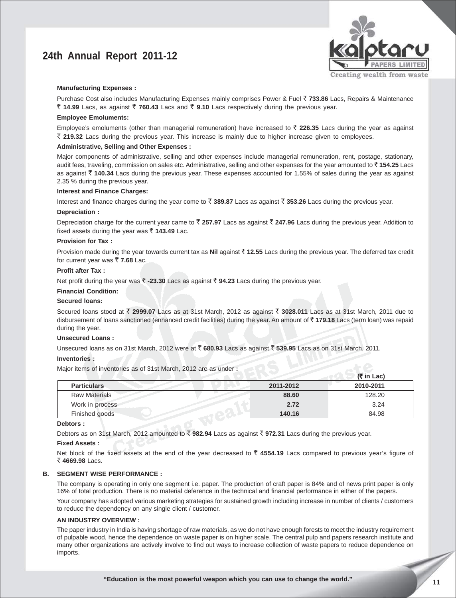

#### **Manufacturing Expenses :**

Purchase Cost also includes Manufacturing Expenses mainly comprises Power & Fuel ₹733.86 Lacs, Repairs & Maintenance ` **14.99** Lacs, as against ` **760.43** Lacs and ` **9.10** Lacs respectively during the previous year.

#### **Employee Emoluments:**

Employee's emoluments (other than managerial remuneration) have increased to  $\bar{\zeta}$  226.35 Lacs during the year as against ` **219.32** Lacs during the previous year. This increase is mainly due to higher increase given to employees.

#### **Administrative, Selling and Other Expenses :**

Major components of administrative, selling and other expenses include managerial remuneration, rent, postage, stationary, audit fees, traveling, commission on sales etc. Administrative, selling and other expenses for the year amounted to ₹154.25 Lacs as against  $\bar{\tau}$  140.34 Lacs during the previous year. These expenses accounted for 1.55% of sales during the year as against 2.35 % during the previous year.

#### **Interest and Finance Charges:**

Interest and finance charges during the year come to ₹ 389.87 Lacs as against ₹ 353.26 Lacs during the previous year.

#### **Depreciation :**

Depreciation charge for the current year came to  $\bar{z}$  257.97 Lacs as against  $\bar{z}$  247.96 Lacs during the previous year. Addition to fixed assets during the year was  $\bar{\tau}$  **143.49** Lac.

#### **Provision for Tax :**

Provision made during the year towards current tax as **Nil** against ` **12.55** Lacs during the previous year. The deferred tax credit for current year was  $\bar{\tau}$  7.68 Lac.

#### **Profit after Tax :**

Net profit during the year was  $\bar{\tau}$  **-23.30** Lacs as against  $\bar{\tau}$  94.23 Lacs during the previous year.

#### **Financial Condition:**

#### **Secured loans:**

Secured loans stood at ₹ 2999.07 Lacs as at 31st March, 2012 as against ₹ 3028.011 Lacs as at 31st March, 2011 due to disbursement of loans sanctioned (enhanced credit facilities) during the year. An amount of ` **179.18** Lacs (term loan) was repaid during the year.

#### **Unsecured Loans :**

Unsecured loans as on 31st March, 2012 were at ` **680.93** Lacs as against ` **539.95** Lacs as on 31st March, 2011.

#### **Inventories :**

Major items of inventories as of 31st March, 2012 are as under **:**

|                      |           | $(3 \nvert \mathsf{in}$ Lac) |
|----------------------|-----------|------------------------------|
| <b>Particulars</b>   | 2011-2012 | 2010-2011                    |
| <b>Raw Materials</b> | 88.60     | 128.20                       |
| Work in process      | 2.72      | 3.24                         |
| Finished goods       | 140.16    | 84.98                        |

#### **Debtors :**

Debtors as on 31st March, 2012 amounted to  $\bar{x}$  982.94 Lacs as against  $\bar{x}$  972.31 Lacs during the previous year.

#### **Fixed Assets :**

Net block of the fixed assets at the end of the year decreased to  $\bar{\tau}$  4554.19 Lacs compared to previous year's figure of ` **4669.98** Lacs.

#### **B. SEGMENT WISE PERFORMANCE :**

The company is operating in only one segment i.e. paper. The production of craft paper is 84% and of news print paper is only 16% of total production. There is no material deference in the technical and financial performance in either of the papers. Your company has adopted various marketing strategies for sustained growth including increase in number of clients / customers

to reduce the dependency on any single client / customer.

#### **AN INDUSTRY OVERVIEW :**

The paper industry in India is having shortage of raw materials, as we do not have enough forests to meet the industry requirement of pulpable wood, hence the dependence on waste paper is on higher scale. The central pulp and papers research institute and many other organizations are actively involve to find out ways to increase collection of waste papers to reduce dependence on imports.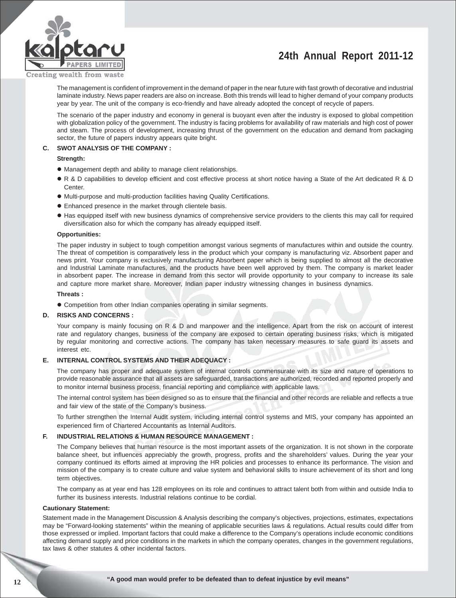



The management is confident of improvement in the demand of paper in the near future with fast growth of decorative and industrial laminate industry. News paper readers are also on increase. Both this trends will lead to higher demand of your company products year by year. The unit of the company is eco-friendly and have already adopted the concept of recycle of papers.

The scenario of the paper industry and economy in general is buoyant even after the industry is exposed to global competition with globalization policy of the government. The industry is facing problems for availability of raw materials and high cost of power and steam. The process of development, increasing thrust of the government on the education and demand from packaging sector, the future of papers industry appears quite bright.

#### **C. SWOT ANALYSIS OF THE COMPANY :**

**Strength:**

- $\bullet$  Management depth and ability to manage client relationships.
- R & D capabilities to develop efficient and cost effective process at short notice having a State of the Art dedicated R & D Center.
- $\bullet$  Multi-purpose and multi-production facilities having Quality Certifications.
- $\bullet$  Enhanced presence in the market through clientele basis.
- Has equipped itself with new business dynamics of comprehensive service providers to the clients this may call for required diversification also for which the company has already equipped itself.

#### **Opportunities:**

The paper industry in subject to tough competition amongst various segments of manufactures within and outside the country. The threat of competition is comparatively less in the product which your company is manufacturing viz. Absorbent paper and news print. Your company is exclusively manufacturing Absorbent paper which is being supplied to almost all the decorative and Industrial Laminate manufactures, and the products have been well approved by them. The company is market leader in absorbent paper. The increase in demand from this sector will provide opportunity to your company to increase its sale and capture more market share. Moreover, Indian paper industry witnessing changes in business dynamics.

#### **Threats :**

 $\bullet$  Competition from other Indian companies operating in similar segments.

#### **D. RISKS AND CONCERNS :**

Your company is mainly focusing on R & D and manpower and the intelligence. Apart from the risk on account of interest rate and regulatory changes, business of the company are exposed to certain operating business risks, which is mitigated by regular monitoring and corrective actions. The company has taken necessary measures to safe guard its assets and interest etc.

#### **E. INTERNAL CONTROL SYSTEMS AND THEIR ADEQUACY :**

The company has proper and adequate system of internal controls commensurate with its size and nature of operations to provide reasonable assurance that all assets are safeguarded, transactions are authorized, recorded and reported properly and to monitor internal business process, financial reporting and compliance with applicable laws.

The internal control system has been designed so as to ensure that the financial and other records are reliable and reflects a true and fair view of the state of the Company's business.

To further strengthen the Internal Audit system, including internal control systems and MIS, your company has appointed an experienced firm of Chartered Accountants as Internal Auditors.

#### **F. INDUSTRIAL RELATIONS & HUMAN RESOURCE MANAGEMENT :**

The Company believes that human resource is the most important assets of the organization. It is not shown in the corporate balance sheet, but influences appreciably the growth, progress, profits and the shareholders' values. During the year your company continued its efforts aimed at improving the HR policies and processes to enhance its performance. The vision and mission of the company is to create culture and value system and behavioral skills to insure achievement of its short and long term objectives.

The company as at year end has 128 employees on its role and continues to attract talent both from within and outside India to further its business interests. Industrial relations continue to be cordial.

#### **Cautionary Statement:**

Statement made in the Management Discussion & Analysis describing the company's objectives, projections, estimates, expectations may be "Forward-looking statements" within the meaning of applicable securities laws & regulations. Actual results could differ from those expressed or implied. Important factors that could make a difference to the Company's operations include economic conditions affecting demand supply and price conditions in the markets in which the company operates, changes in the government regulations, tax laws & other statutes & other incidental factors.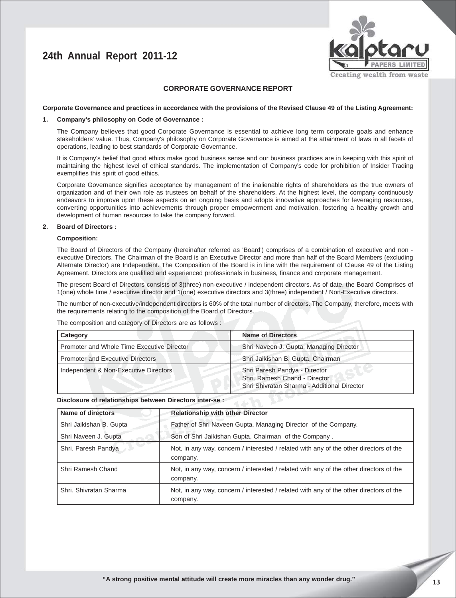

#### **CORPORATE GOVERNANCE REPORT**

#### **Corporate Governance and practices in accordance with the provisions of the Revised Clause 49 of the Listing Agreement:**

#### **1. Company's philosophy on Code of Governance :**

The Company believes that good Corporate Governance is essential to achieve long term corporate goals and enhance stakeholders' value. Thus, Company's philosophy on Corporate Governance is aimed at the attainment of laws in all facets of operations, leading to best standards of Corporate Governance.

It is Company's belief that good ethics make good business sense and our business practices are in keeping with this spirit of maintaining the highest level of ethical standards. The implementation of Company's code for prohibition of Insider Trading exemplifies this spirit of good ethics.

Corporate Governance signifies acceptance by management of the inalienable rights of shareholders as the true owners of organization and of their own role as trustees on behalf of the shareholders. At the highest level, the company continuously endeavors to improve upon these aspects on an ongoing basis and adopts innovative approaches for leveraging resources, converting opportunities into achievements through proper empowerment and motivation, fostering a healthy growth and development of human resources to take the company forward.

#### **2. Board of Directors :**

#### **Composition:**

The Board of Directors of the Company (hereinafter referred as 'Board') comprises of a combination of executive and non executive Directors. The Chairman of the Board is an Executive Director and more than half of the Board Members (excluding Alternate Director) are Independent. The Composition of the Board is in line with the requirement of Clause 49 of the Listing Agreement. Directors are qualified and experienced professionals in business, finance and corporate management.

The present Board of Directors consists of 3(three) non-executive / independent directors. As of date, the Board Comprises of 1(one) whole time / executive director and 1(one) executive directors and 3(three) independent / Non-Executive directors.

The number of non-executive/independent directors is 60% of the total number of directors. The Company, therefore, meets with the requirements relating to the composition of the Board of Directors.

The composition and category of Directors are as follows :

| <b>Name of Directors</b>                                                                                      |  |
|---------------------------------------------------------------------------------------------------------------|--|
| Shri Naveen J. Gupta, Managing Director                                                                       |  |
| Shri Jaikishan B. Gupta, Chairman                                                                             |  |
| Shri Paresh Pandya - Director<br>Shri, Ramesh Chand - Director<br>Shri Shivratan Sharma - Additional Director |  |
|                                                                                                               |  |

| <b>Name of directors</b> | <b>Relationship with other Director</b>                                                            |  |
|--------------------------|----------------------------------------------------------------------------------------------------|--|
| Shri Jaikishan B. Gupta  | Father of Shri Naveen Gupta, Managing Director of the Company.                                     |  |
| Shri Naveen J. Gupta     | Son of Shri Jaikishan Gupta, Chairman of the Company.                                              |  |
| Shri. Paresh Pandya      | Not, in any way, concern / interested / related with any of the other directors of the<br>company. |  |
| Shri Ramesh Chand        | Not, in any way, concern / interested / related with any of the other directors of the<br>company. |  |
| Shri, Shivratan Sharma   | Not, in any way, concern / interested / related with any of the other directors of the<br>company. |  |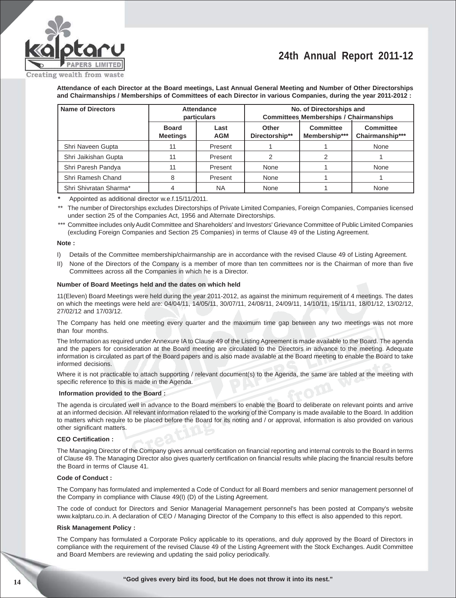

**Attendance of each Director at the Board meetings, Last Annual General Meeting and Number of Other Directorships and Chairmanships / Memberships of Committees of each Director in various Companies, during the year 2011-2012 :**

| <b>Name of Directors</b> | <b>Attendance</b><br>particulars |                    |                         | No. of Directorships and<br><b>Committees Memberships / Chairmanships</b> |                              |
|--------------------------|----------------------------------|--------------------|-------------------------|---------------------------------------------------------------------------|------------------------------|
|                          | <b>Board</b><br><b>Meetings</b>  | Last<br><b>AGM</b> | Other<br>Directorship** | <b>Committee</b><br>Membership***                                         | Committee<br>Chairmanship*** |
| Shri Naveen Gupta        | 11                               | Present            |                         |                                                                           | None                         |
| Shri Jaikishan Gupta     | 11                               | Present            | 2                       | っ                                                                         |                              |
| Shri Paresh Pandya       | 11                               | Present            | None                    |                                                                           | None                         |
| Shri Ramesh Chand        | 8                                | Present            | None                    |                                                                           |                              |
| Shri Shivratan Sharma*   | 4                                | <b>NA</b>          | None                    |                                                                           | None                         |

**\*** Appointed as additional director w.e.f.15/11/2011.

The number of Directorships excludes Directorships of Private Limited Companies, Foreign Companies, Companies licensed under section 25 of the Companies Act, 1956 and Alternate Directorships.

\*\*\* Committee includes only Audit Committee and Shareholders' and Investors' Grievance Committee of Public Limited Companies (excluding Foreign Companies and Section 25 Companies) in terms of Clause 49 of the Listing Agreement.

#### **Note :**

- Details of the Committee membership/chairmanship are in accordance with the revised Clause 49 of Listing Agreement.
- II) None of the Directors of the Company is a member of more than ten committees nor is the Chairman of more than five Committees across all the Companies in which he is a Director.

#### **Number of Board Meetings held and the dates on which held**

11(Eleven) Board Meetings were held during the year 2011-2012, as against the minimum requirement of 4 meetings. The dates on which the meetings were held are: 04/04/11, 14/05/11, 30/07/11, 24/08/11, 24/09/11, 14/10/11, 15/11/11, 18/01/12, 13/02/12, 27/02/12 and 17/03/12.

The Company has held one meeting every quarter and the maximum time gap between any two meetings was not more than four months.

The Information as required under Annexure IA to Clause 49 of the Listing Agreement is made available to the Board. The agenda and the papers for consideration at the Board meeting are circulated to the Directors in advance to the meeting. Adequate information is circulated as part of the Board papers and is also made available at the Board meeting to enable the Board to take informed decisions.

Where it is not practicable to attach supporting / relevant document(s) to the Agenda, the same are tabled at the meeting with specific reference to this is made in the Agenda.

#### **Information provided to the Board :**

The agenda is circulated well in advance to the Board members to enable the Board to deliberate on relevant points and arrive at an informed decision. All relevant information related to the working of the Company is made available to the Board. In addition to matters which require to be placed before the Board for its noting and / or approval, information is also provided on various other significant matters.

#### **CEO Certification :**

The Managing Director of the Company gives annual certification on financial reporting and internal controls to the Board in terms of Clause 49. The Managing Director also gives quarterly certification on financial results while placing the financial results before the Board in terms of Clause 41.

#### **Code of Conduct :**

The Company has formulated and implemented a Code of Conduct for all Board members and senior management personnel of the Company in compliance with Clause 49(I) (D) of the Listing Agreement.

The code of conduct for Directors and Senior Managerial Management personnel's has been posted at Company's website www.kalptaru.co.in. A declaration of CEO / Managing Director of the Company to this effect is also appended to this report.

#### **Risk Management Policy :**

The Company has formulated a Corporate Policy applicable to its operations, and duly approved by the Board of Directors in compliance with the requirement of the revised Clause 49 of the Listing Agreement with the Stock Exchanges. Audit Committee and Board Members are reviewing and updating the said policy periodically.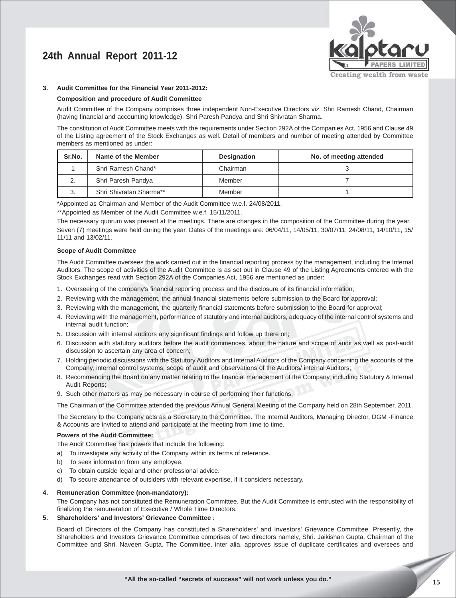

reating wealth from waste

#### **3. Audit Committee for the Financial Year 2011-2012:**

#### **Composition and procedure of Audit Committee**

Audit Committee of the Company comprises three independent Non-Executive Directors viz. Shri Ramesh Chand, Chairman (having financial and accounting knowledge), Shri Paresh Pandya and Shri Shivratan Sharma.

The constitution of Audit Committee meets with the requirements under Section 292A of the Companies Act, 1956 and Clause 49 of the Listing agreement of the Stock Exchanges as well. Detail of members and number of meeting attended by Committee members as mentioned as under:

| Sr.No. | Name of the Member      | <b>Designation</b> | No. of meeting attended |
|--------|-------------------------|--------------------|-------------------------|
|        | Shri Ramesh Chand*      | Chairman           |                         |
| ۷.     | Shri Paresh Pandya      | Member             |                         |
| 3.     | Shri Shivratan Sharma** | Member             |                         |

\*Appointed as Chairman and Member of the Audit Committee w.e.f. 24/08/2011.

\*\*Appointed as Member of the Audit Committee w.e.f. 15/11/2011.

The necessary quorum was present at the meetings. There are changes in the composition of the Committee during the year. Seven (7) meetings were held during the year. Dates of the meetings are: 06/04/11, 14/05/11, 30/07/11, 24/08/11, 14/10/11, 15/ 11/11 and 13/02/11.

#### **Scope of Audit Committee**

The Audit Committee oversees the work carried out in the financial reporting process by the management, including the Internal Auditors. The scope of activities of the Audit Committee is as set out in Clause 49 of the Listing Agreements entered with the Stock Exchanges read with Section 292A of the Companies Act, 1956 are mentioned as under:

- 1. Overseeing of the company's financial reporting process and the disclosure of its financial information;
- 2. Reviewing with the management, the annual financial statements before submission to the Board for approval;
- 3. Reviewing with the management, the quarterly financial statements before submission to the Board for approval;
- 4. Reviewing with the management, performance of statutory and internal auditors, adequacy of the internal control systems and internal audit function;
- 5. Discussion with internal auditors any significant findings and follow up there on;
- 6. Discussion with statutory auditors before the audit commences, about the nature and scope of audit as well as post-audit discussion to ascertain any area of concern;
- 7. Holding periodic discussions with the Statutory Auditors and Internal Auditors of the Company concerning the accounts of the Company, internal control systems, scope of audit and observations of the Auditors/ internal Auditors;
- 8. Recommending the Board on any matter relating to the financial management of the Company, including Statutory & Internal Audit Reports;
- 9. Such other matters as may be necessary in course of performing their functions.

The Chairman of the Committee attended the previous Annual General Meeting of the Company held on 28th September, 2011.

The Secretary to the Company acts as a Secretary to the Committee. The Internal Auditors, Managing Director, DGM -Finance & Accounts are invited to attend and participate at the meeting from time to time.

#### **Powers of the Audit Committee:**

The Audit Committee has powers that include the following:

- a) To investigate any activity of the Company within its terms of reference.
- b) To seek information from any employee.
- c) To obtain outside legal and other professional advice.
- d) To secure attendance of outsiders with relevant expertise, if it considers necessary.

#### **4. Remuneration Committee (non-mandatory):**

The Company has not constituted the Remuneration Committee. But the Audit Committee is entrusted with the responsibility of finalizing the remuneration of Executive / Whole Time Directors.

#### **5. Shareholders' and Investors' Grievance Committee :**

Board of Directors of the Company has constituted a Shareholders' and Investors' Grievance Committee. Presently, the Shareholders and Investors Grievance Committee comprises of two directors namely, Shri. Jaikishan Gupta, Chairman of the Committee and Shri. Naveen Gupta. The Committee, inter alia, approves issue of duplicate certificates and oversees and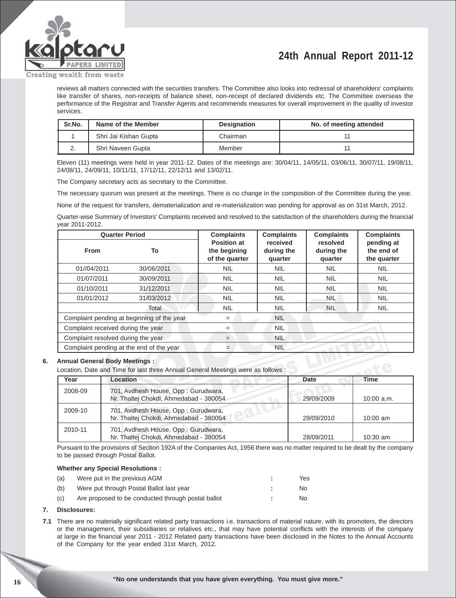

Creating wealth from waste

> reviews all matters connected with the securities transfers. The Committee also looks into redressal of shareholders' complaints like transfer of shares, non-receipts of balance sheet, non-receipt of declared dividends etc. The Committee overseas the performance of the Registrar and Transfer Agents and recommends measures for overall improvement in the quality of investor services.

| Sr.No.   | Name of the Member    | <b>Designation</b> | No. of meeting attended |
|----------|-----------------------|--------------------|-------------------------|
|          | Shri Jai Kishan Gupta | Chairman           |                         |
| <u>.</u> | Shri Naveen Gupta     | Member             |                         |

Eleven (11) meetings were held in year 2011-12. Dates of the meetings are: 30/04/11, 14/05/11, 03/06/11, 30/07/11, 19/08/11, 24/08/11, 24/09/11, 10/11/11, 17/12/11, 22/12/11 and 13/02/11.

The Company secretary acts as secretary to the Committee.

The necessary quorum was present at the meetings. There is no change in the composition of the Committee during the year.

None of the request for transfers, dematerialization and re-materialization was pending for approval as on 31st March, 2012.

Quarter-wise Summary of Investors' Complaints received and resolved to the satisfaction of the shareholders during the financial year 2011-2012.

| <b>Quarter Period</b>              |                                                                                        | <b>Complaints</b>                                     | <b>Complaints</b>     | <b>Complaints</b>                       |  |
|------------------------------------|----------------------------------------------------------------------------------------|-------------------------------------------------------|-----------------------|-----------------------------------------|--|
| To                                 | the begining<br>of the quarter                                                         | during the<br>quarter                                 | during the<br>quarter | pending at<br>the end of<br>the quarter |  |
| 30/06/2011                         | <b>NIL</b>                                                                             | <b>NIL</b>                                            | <b>NIL</b>            | <b>NIL</b>                              |  |
| 30/09/2011                         | <b>NIL</b>                                                                             | <b>NIL</b>                                            | <b>NIL</b>            | <b>NIL</b>                              |  |
| 31/12/2011                         | <b>NIL</b>                                                                             | <b>NIL</b>                                            | <b>NIL</b>            | <b>NIL</b>                              |  |
| 31/03/2012                         | <b>NIL</b>                                                                             | <b>NIL</b>                                            | <b>NIL</b>            | <b>NIL</b>                              |  |
| Total                              | <b>NIL</b>                                                                             | <b>NIL</b>                                            | <b>NIL</b>            | <b>NIL</b>                              |  |
|                                    | $=$                                                                                    | <b>NIL</b>                                            |                       |                                         |  |
| Complaint received during the year |                                                                                        | <b>NIL</b>                                            |                       |                                         |  |
| Complaint resolved during the year |                                                                                        | <b>NIL</b>                                            |                       |                                         |  |
|                                    |                                                                                        | <b>NIL</b>                                            |                       |                                         |  |
|                                    | Complaint pending at beginning of the year<br>Complaint pending at the end of the year | <b>Complaints</b><br><b>Position at</b><br>$=$<br>$=$ | received              | resolved                                |  |

#### **6. Annual General Body Meetings :**

Location, Date and Time for last three Annual General Meetings were as follows :

| Year    | Location                                                                      | Date       | <b>Time</b>  |
|---------|-------------------------------------------------------------------------------|------------|--------------|
| 2008-09 | 701, Avdhesh House, Opp: Gurudwara,<br>Nr. Thaltej Chokdi, Ahmedabad - 380054 | 29/09/2009 | $10:00$ a.m. |
| 2009-10 | 701, Avdhesh House, Opp: Gurudwara,<br>Nr. Thaltej Chokdi, Ahmedabad - 380054 | 29/09/2010 | $10:00$ am   |
| 2010-11 | 701, Avdhesh House, Opp: Gurudwara,<br>Nr. Thaltej Chokdi, Ahmedabad - 380054 | 28/09/2011 | $10:30$ am   |

Pursuant to the provisions of Section 192A of the Companies Act, 1956 there was no matter required to be dealt by the company to be passed through Postal Ballot.

#### **Whether any Special Resolutions :**

| (a) | Were put in the previous AGM                       | Yes |
|-----|----------------------------------------------------|-----|
| (b) | Were put through Postal Ballot last year           | No  |
| (c) | Are proposed to be conducted through postal ballot | No. |

#### **7. Disclosures:**

**7.1** There are no materially significant related party transactions i.e. transactions of material nature, with its promoters, the directors or the management, their subsidiaries or relatives etc., that may have potential conflicts with the interests of the company at large in the financial year 2011 - 2012 Related party transactions have been disclosed in the Notes to the Annual Accounts of the Company for the year ended 31st March, 2012.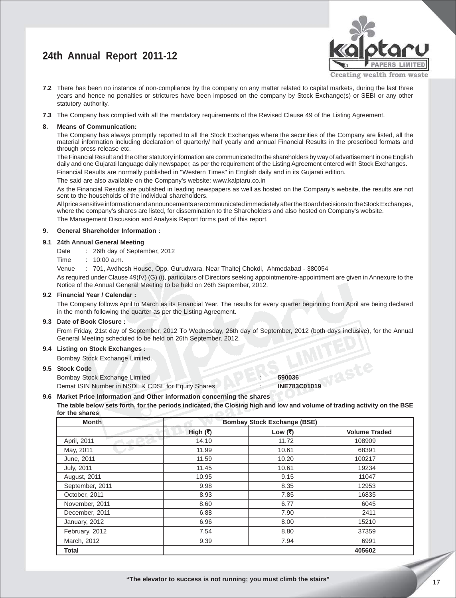

Creating wealth from

- **7.2** There has been no instance of non-compliance by the company on any matter related to capital markets, during the last three years and hence no penalties or strictures have been imposed on the company by Stock Exchange(s) or SEBI or any other statutory authority.
- **7.3** The Company has complied with all the mandatory requirements of the Revised Clause 49 of the Listing Agreement.

#### **8. Means of Communication:**

The Company has always promptly reported to all the Stock Exchanges where the securities of the Company are listed, all the material information including declaration of quarterly/ half yearly and annual Financial Results in the prescribed formats and through press release etc.

The Financial Result and the other statutory information are communicated to the shareholders by way of advertisement in one English daily and one Gujarati language daily newspaper, as per the requirement of the Listing Agreement entered with Stock Exchanges. Financial Results are normally published in "Western Times" in English daily and in its Gujarati edition.

The said are also available on the Company's website: www.kalptaru.co.in

As the Financial Results are published in leading newspapers as well as hosted on the Company's website, the results are not sent to the households of the individual shareholders.

All price sensitive information and announcements are communicated immediately after the Board decisions to the Stock Exchanges, where the company's shares are listed, for dissemination to the Shareholders and also hosted on Company's website.

The Management Discussion and Analysis Report forms part of this report.

#### **9. General Shareholder Information :**

#### **9.1 24th Annual General Meeting**

Date : 26th day of September, 2012

Time : 10:00 a.m.

Venue : 701, Avdhesh House, Opp. Gurudwara, Near Thaltej Chokdi, Ahmedabad - 380054

As required under Clause 49(IV) (G) (i), particulars of Directors seeking appointment/re-appointment are given in Annexure to the Notice of the Annual General Meeting to be held on 26th September, 2012.

#### **9.2 Financial Year / Calendar :**

The Company follows April to March as its Financial Year. The results for every quarter beginning from April are being declared in the month following the quarter as per the Listing Agreement.

#### **9.3 Date of Book Closure :**

**F**rom Friday, 21st day of September, 2012 **T**o Wednesday, 26th day of September, 2012 (both days inclusive), for the Annual General Meeting scheduled to be held on 26th September, 2012.

#### **9.4 Listing on Stock Exchanges :**

Bombay Stock Exchange Limited.

#### **9.5 Stock Code**

Bombay Stock Exchange Limited : **590036**

Demat ISIN Number in NSDL & CDSL for Equity Shares : **INE783C01019** 

#### **9.6 Market Price Information and Other information concerning the shares**

**The table below sets forth, for the periods indicated, the Closing high and low and volume of trading activity on the BSE for the shares**

| <b>Month</b>        | <b>Bombay Stock Exchange (BSE)</b> |         |                      |  |  |
|---------------------|------------------------------------|---------|----------------------|--|--|
|                     | High $( ₹)$                        | Low (₹) | <b>Volume Traded</b> |  |  |
| April, 2011         | 14.10                              | 11.72   | 108909               |  |  |
| May, 2011           | 11.99                              | 10.61   | 68391                |  |  |
| June, 2011          | 11.59                              | 10.20   | 100217               |  |  |
| July, 2011          | 11.45                              | 10.61   | 19234                |  |  |
| <b>August, 2011</b> | 10.95                              | 9.15    | 11047                |  |  |
| September, 2011     | 9.98                               | 8.35    | 12953                |  |  |
| October, 2011       | 8.93                               | 7.85    | 16835                |  |  |
| November, 2011      | 8.60                               | 6.77    | 6045                 |  |  |
| December, 2011      | 6.88                               | 7.90    | 2411                 |  |  |
| January, 2012       | 6.96                               | 8.00    | 15210                |  |  |
| February, 2012      | 7.54                               | 8.80    | 37359                |  |  |
| March, 2012         | 9.39                               | 7.94    | 6991                 |  |  |
| <b>Total</b>        |                                    |         | 405602               |  |  |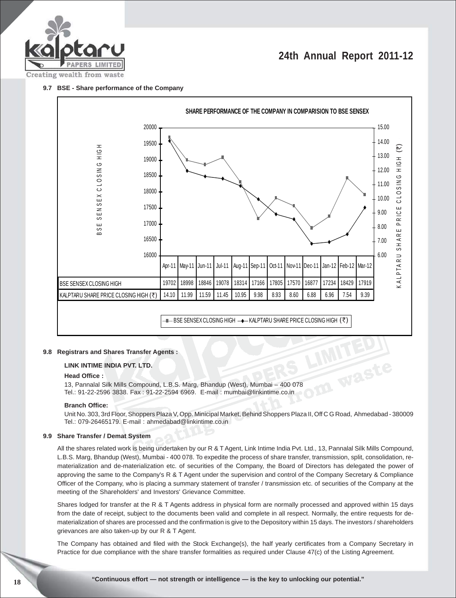

#### **9.7 BSE - Share performance of the Company**



BSE SENSEX CLOSING HIGH → KALPTARU SHARE PRICE CLOSING HIGH (₹)

#### **9.8 Registrars and Shares Transfer Agents :**

#### **LINK INTIME INDIA PVT. LTD.**

#### **Head Office :**

13, Pannalal Silk Mills Compound, L.B.S. Marg, Bhandup (West), Mumbai – 400 078 Tel.: 91-22-2596 3838. Fax : 91-22-2594 6969. E-mail : mumbai@linkintime.co.in

#### **Branch Office:**

Unit No. 303, 3rd Floor, Shoppers Plaza V, Opp. Minicipal Market, Behind Shoppers Plaza II, Off C G Road, Ahmedabad - 380009 Tel.: 079-26465179. E-mail : ahmedabad@linkintime.co.in

#### **9.9 Share Transfer / Demat System**

All the shares related work is being undertaken by our R & T Agent, Link Intime India Pvt. Ltd., 13, Pannalal Silk Mills Compound, L.B.S. Marg, Bhandup (West), Mumbai - 400 078. To expedite the process of share transfer, transmission, split, consolidation, rematerialization and de-materialization etc. of securities of the Company, the Board of Directors has delegated the power of approving the same to the Company's R & T Agent under the supervision and control of the Company Secretary & Compliance Officer of the Company, who is placing a summary statement of transfer / transmission etc. of securities of the Company at the meeting of the Shareholders' and Investors' Grievance Committee.

Shares lodged for transfer at the R & T Agents address in physical form are normally processed and approved within 15 days from the date of receipt, subject to the documents been valid and complete in all respect. Normally, the entire requests for dematerialization of shares are processed and the confirmation is give to the Depository within 15 days. The investors / shareholders grievances are also taken-up by our R & T Agent.

The Company has obtained and filed with the Stock Exchange(s), the half yearly certificates from a Company Secretary in Practice for due compliance with the share transfer formalities as required under Clause 47(c) of the Listing Agreement.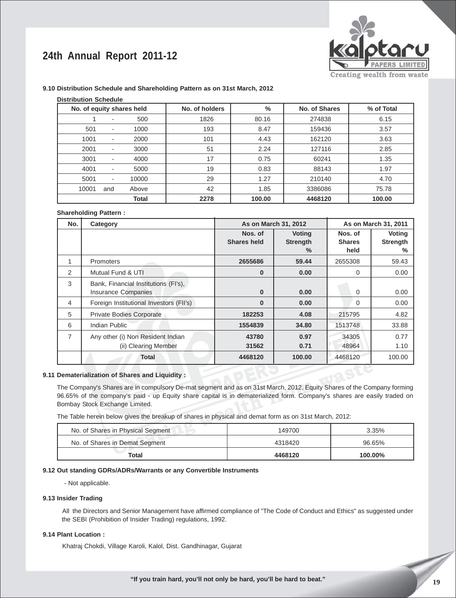

Creating wealth from

#### **9.10 Distribution Schedule and Shareholding Pattern as on 31st March, 2012**

#### **Distribution Schedule**

| No. of equity shares held |                          |              | No. of holders | %      | No. of Shares | % of Total |
|---------------------------|--------------------------|--------------|----------------|--------|---------------|------------|
|                           | $\overline{\phantom{0}}$ | 500          | 1826           | 80.16  | 274838        | 6.15       |
| 501                       | $\overline{\phantom{a}}$ | 1000         | 193            | 8.47   | 159436        | 3.57       |
| 1001                      | $\overline{\phantom{a}}$ | 2000         | 101            | 4.43   | 162120        | 3.63       |
| 2001                      | $\overline{\phantom{a}}$ | 3000         | 51             | 2.24   | 127116        | 2.85       |
| 3001                      | $\overline{\phantom{a}}$ | 4000         | 17             | 0.75   | 60241         | 1.35       |
| 4001                      | $\overline{\phantom{a}}$ | 5000         | 19             | 0.83   | 88143         | 1.97       |
| 5001                      | $\blacksquare$           | 10000        | 29             | 1.27   | 210140        | 4.70       |
| 10001                     | and                      | Above        | 42             | 1.85   | 3386086       | 75.78      |
|                           |                          | <b>Total</b> | 2278           | 100.00 | 4468120       | 100.00     |

#### **Shareholding Pattern :**

| No. | Category                                                           |                        | As on March 31, 2012                     |                                  | As on March 31, 2011    |  |
|-----|--------------------------------------------------------------------|------------------------|------------------------------------------|----------------------------------|-------------------------|--|
|     |                                                                    | Nos. of<br>Shares held | <b>Voting</b><br><b>Strength</b><br>$\%$ | Nos. of<br><b>Shares</b><br>held | Voting<br>Strength<br>% |  |
|     | <b>Promoters</b>                                                   | 2655686                | 59.44                                    | 2655308                          | 59.43                   |  |
| 2   | Mutual Fund & UTI                                                  | $\bf{0}$               | 0.00                                     | 0                                | 0.00                    |  |
| 3   | Bank, Financial Institutions (FI's),<br><b>Insurance Companies</b> | $\bf{0}$               | 0.00                                     | 0                                | 0.00                    |  |
| 4   | Foreign Institutional Investors (FII's)                            | $\bf{0}$               | 0.00                                     | 0                                | 0.00                    |  |
| 5   | <b>Private Bodies Corporate</b>                                    | 182253                 | 4.08                                     | 215795                           | 4.82                    |  |
| 6   | <b>Indian Public</b>                                               | 1554839                | 34.80                                    | 1513748                          | 33.88                   |  |
| 7   | Any other (i) Non Resident Indian                                  | 43780                  | 0.97<br>34305                            |                                  | 0.77                    |  |
|     | (ii) Clearing Member                                               | 31562                  | 0.71                                     | 1.10<br>48964                    |                         |  |
|     | Total                                                              | 4468120                | 100.00                                   | 4468120                          | 100.00                  |  |

#### **9.11 Dematerialization of Shares and Liquidity :**

The Company's Shares are in compulsory De-mat segment and as on 31st March, 2012, Equity Shares of the Company forming 96.65% of the company's paid - up Equity share capital is in dematerialized form. Company's shares are easily traded on Bombay Stock Exchange Limited.

The Table herein below gives the breakup of shares in physical and demat form as on 31st March, 2012:

| No. of Shares in Physical Segment | 149700  | 3.35%   |
|-----------------------------------|---------|---------|
| No. of Shares in Demat Segment    | 4318420 | 96.65%  |
| Total                             | 4468120 | 100.00% |

#### **9.12 Out standing GDRs/ADRs/Warrants or any Convertible Instruments**

- Not applicable.

#### **9.13 Insider Trading**

All the Directors and Senior Management have affirmed compliance of "The Code of Conduct and Ethics" as suggested under the SEBI (Prohibition of Insider Trading) regulations, 1992.

#### **9.14 Plant Location :**

Khatraj Chokdi, Village Karoli, Kalol, Dist. Gandhinagar, Gujarat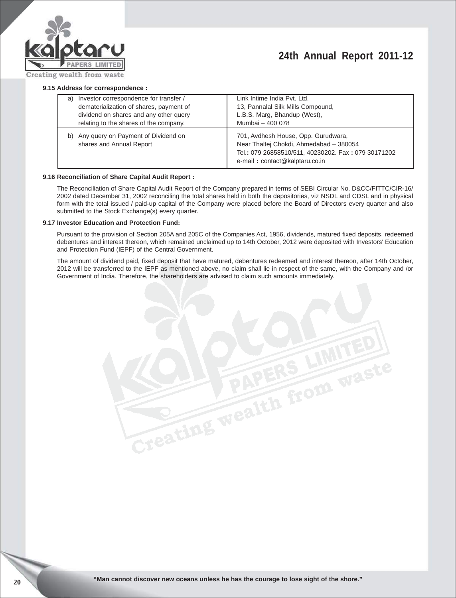

#### **9.15 Address for correspondence :**

| Investor correspondence for transfer /<br>a)                          | Link Intime India Pvt. Ltd.                                                                                                                                             |
|-----------------------------------------------------------------------|-------------------------------------------------------------------------------------------------------------------------------------------------------------------------|
| dematerialization of shares, payment of                               | 13, Pannalal Silk Mills Compound,                                                                                                                                       |
| dividend on shares and any other query                                | L.B.S. Marg, Bhandup (West),                                                                                                                                            |
| relating to the shares of the company.                                | Mumbai - 400 078                                                                                                                                                        |
| Any query on Payment of Dividend on<br>b)<br>shares and Annual Report | 701, Avdhesh House, Opp. Gurudwara,<br>Near Thaltej Chokdi, Ahmedabad - 380054<br>Tel.: 079 26858510/511, 40230202. Fax: 079 30171202<br>e-mail: contact@kalptaru.co.in |

#### **9.16 Reconciliation of Share Capital Audit Report :**

The Reconciliation of Share Capital Audit Report of the Company prepared in terms of SEBI Circular No. D&CC/FITTC/CIR-16/ 2002 dated December 31, 2002 reconciling the total shares held in both the depositories, viz NSDL and CDSL and in physical form with the total issued / paid-up capital of the Company were placed before the Board of Directors every quarter and also submitted to the Stock Exchange(s) every quarter.

#### **9.17 Investor Education and Protection Fund:**

Pursuant to the provision of Section 205A and 205C of the Companies Act, 1956, dividends, matured fixed deposits, redeemed debentures and interest thereon, which remained unclaimed up to 14th October, 2012 were deposited with Investors' Education and Protection Fund (IEPF) of the Central Government.

The amount of dividend paid, fixed deposit that have matured, debentures redeemed and interest thereon, after 14th October, 2012 will be transferred to the IEPF as mentioned above, no claim shall lie in respect of the same, with the Company and /or Government of India. Therefore, the shareholders are advised to claim such amounts immediately.

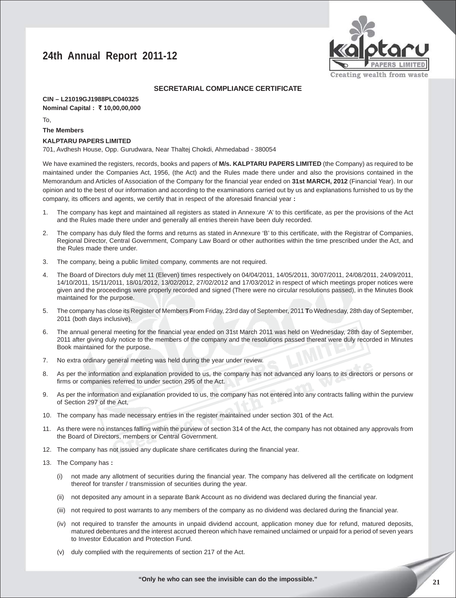

#### **SECRETARIAL COMPLIANCE CERTIFICATE**

#### **CIN – L21019GJ1988PLC040325**

**Nominal Capital :** ` **10,00,00,000**

To,

#### **The Members**

#### **KALPTARU PAPERS LIMITED**

701, Avdhesh House, Opp. Gurudwara, Near Thaltej Chokdi, Ahmedabad - 380054

We have examined the registers, records, books and papers of **M/s. KALPTARU PAPERS LIMITED** (the Company) as required to be maintained under the Companies Act, 1956, (the Act) and the Rules made there under and also the provisions contained in the Memorandum and Articles of Association of the Company for the financial year ended on **31st MARCH, 2012** (Financial Year). In our opinion and to the best of our information and according to the examinations carried out by us and explanations furnished to us by the company, its officers and agents, we certify that in respect of the aforesaid financial year **:**

- 1. The company has kept and maintained all registers as stated in Annexure 'A' to this certificate, as per the provisions of the Act and the Rules made there under and generally all entries therein have been duly recorded.
- 2. The company has duly filed the forms and returns as stated in Annexure 'B' to this certificate, with the Registrar of Companies, Regional Director, Central Government, Company Law Board or other authorities within the time prescribed under the Act, and the Rules made there under.
- 3. The company, being a public limited company, comments are not required.
- 4. The Board of Directors duly met 11 (Eleven) times respectively on 04/04/2011, 14/05/2011, 30/07/2011, 24/08/2011, 24/09/2011, 14/10/2011, 15/11/2011, 18/01/2012, 13/02/2012, 27/02/2012 and 17/03/2012 in respect of which meetings proper notices were given and the proceedings were properly recorded and signed (There were no circular resolutions passed), in the Minutes Book maintained for the purpose.
- 5. The company has close its Register of Members **F**rom Friday, 23rd day of September, 2011 **T**o Wednesday, 28th day of September, 2011 (both days inclusive).
- 6. The annual general meeting for the financial year ended on 31st March 2011 was held on Wednesday, 28th day of September, 2011 after giving duly notice to the members of the company and the resolutions passed thereat were duly recorded in Minutes Book maintained for the purpose.
- 7. No extra ordinary general meeting was held during the year under review.
- 8. As per the information and explanation provided to us, the company has not advanced any loans to its directors or persons or firms or companies referred to under section 295 of the Act.
- 9. As per the information and explanation provided to us, the company has not entered into any contracts falling within the purview of Section 297 of the Act,
- 10. The company has made necessary entries in the register maintained under section 301 of the Act.
- 11. As there were no instances falling within the purview of section 314 of the Act, the company has not obtained any approvals from the Board of Directors, members or Central Government.
- 12. The company has not issued any duplicate share certificates during the financial year.
- 13. The Company has **:**
	- (i) not made any allotment of securities during the financial year. The company has delivered all the certificate on lodgment thereof for transfer / transmission of securities during the year.
	- (ii) not deposited any amount in a separate Bank Account as no dividend was declared during the financial year.
	- (iii) not required to post warrants to any members of the company as no dividend was declared during the financial year.
	- (iv) not required to transfer the amounts in unpaid dividend account, application money due for refund, matured deposits, matured debentures and the interest accrued thereon which have remained unclaimed or unpaid for a period of seven years to Investor Education and Protection Fund.
	- (v) duly complied with the requirements of section 217 of the Act.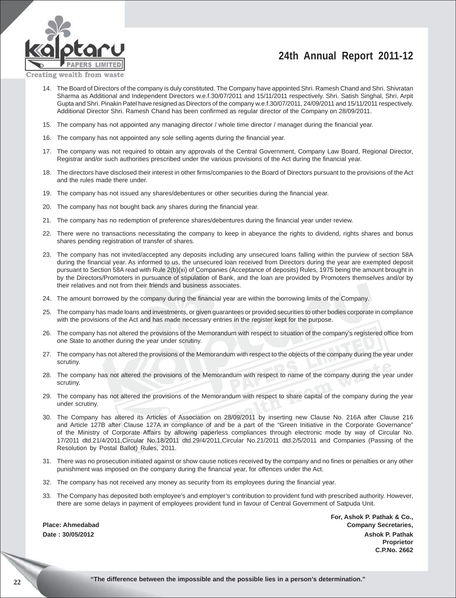

Creating wealth from waste

- 14. The Board of Directors of the company is duly constituted. The Company have appointed Shri. Ramesh Chand and Shri. Shivratan Sharma as Additional and Independent Directors w.e.f.30/07/2011 and 15/11/2011 respectively. Shri. Satish Singhal, Shri. Arpit Gupta and Shri. Pinakin Patel have resigned as Directors of the company w.e.f.30/07/2011, 24/09/2011 and 15/11/2011 respectively. Additional Director Shri. Ramesh Chand has been confirmed as regular director of the Company on 28/09/2011.
- 15. The company has not appointed any managing director / whole time director / manager during the financial year.
- 16. The company has not appointed any sole selling agents during the financial year.
- 17. The company was not required to obtain any approvals of the Central Government, Company Law Board, Regional Director, Registrar and/or such authorities prescribed under the various provisions of the Act during the financial year.
- 18. The directors have disclosed their interest in other firms/companies to the Board of Directors pursuant to the provisions of the Act and the rules made there under.
- 19. The company has not issued any shares/debentures or other securities during the financial year.
- 20. The company has not bought back any shares during the financial year.
- 21. The company has no redemption of preference shares/debentures during the financial year under review.
- 22. There were no transactions necessitating the company to keep in abeyance the rights to dividend, rights shares and bonus shares pending registration of transfer of shares.
- 23. The company has not invited/accepted any deposits including any unsecured loans falling within the purview of section 58A during the financial year. As informed to us, the unsecured loan received from Directors during the year are exempted deposit pursuant to Section 58A read with Rule 2(b)(xi) of Companies (Acceptance of deposits) Rules, 1975 being the amount brought in by the Directors/Promoters in pursuance of stipulation of Bank, and the loan are provided by Promoters themselves and/or by their relatives and not from their friends and business associates.
- 24. The amount borrowed by the company during the financial year are within the borrowing limits of the Company.
- 25. The company has made loans and investments, or given guarantees or provided securities to other bodies corporate in compliance with the provisions of the Act and has made necessary entries in the register kept for the purpose.
- 26. The company has not altered the provisions of the Memorandum with respect to situation of the company's registered office from one State to another during the year under scrutiny.
- 27. The company has not altered the provisions of the Memorandum with respect to the objects of the company during the year under scrutiny.
- 28. The company has not altered the provisions of the Memorandum with respect to name of the company during the year under scrutiny.
- 29. The company has not altered the provisions of the Memorandum with respect to share capital of the company during the year under scrutiny.
- 30. The Company has altered its Articles of Association on 28/09/2011 by inserting new Clause No. 216A after Clause 216 and Article 127B after Clause 127A in compliance of and be a part of the "Green Initiative in the Corporate Governance" of the Ministry of Corporate Affairs by allowing paperless compliances through electronic mode by way of Circular No. 17/2011 dtd.21/4/2011,Circular No.18/2011 dtd.29/4/2011,Circular No.21/2011 dtd.2/5/2011 and Companies (Passing of the Resolution by Postal Ballot) Rules, 2011.
- 31. There was no prosecution initiated against or show cause notices received by the company and no fines or penalties or any other punishment was imposed on the company during the financial year, for offences under the Act.
- 32. The company has not received any money as security from its employees during the financial year.
- 33. The Company has deposited both employee's and employer's contribution to provident fund with prescribed authority. However, there are some delays in payment of employees provident fund in favour of Central Government of Satpuda Unit.

**For, Ashok P. Pathak & Co., Place: Ahmedabad Company Secretaries, Date : 30/05/2012 Ashok P. Pathak Proprietor C.P.No. 2662**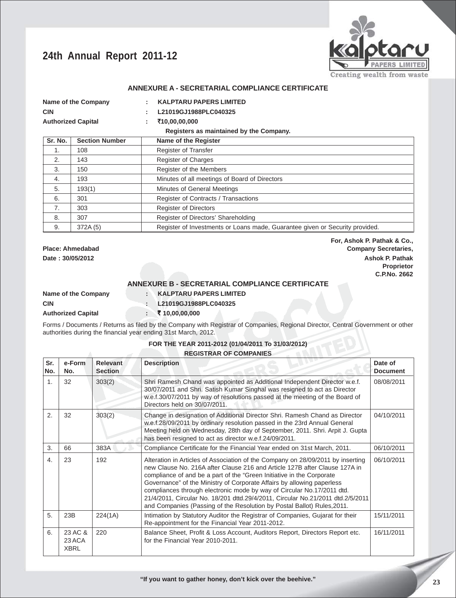

#### **ANNEXURE A - SECRETARIAL COMPLIANCE CERTIFICATE**

| Name of the Company<br><b>CIN</b><br><b>Authorized Capital</b> |                       | <b>KALPTARU PAPERS LIMITED</b><br>L21019GJ1988PLC040325<br>₹10,00,00,000<br>Registers as maintained by the Company. |
|----------------------------------------------------------------|-----------------------|---------------------------------------------------------------------------------------------------------------------|
| Sr. No.                                                        | <b>Section Number</b> | Name of the Register                                                                                                |
| 1.                                                             | 108                   | <b>Register of Transfer</b>                                                                                         |
| 2.                                                             | 143                   | <b>Register of Charges</b>                                                                                          |
| 3.                                                             | 150                   | Register of the Members                                                                                             |
| 4.                                                             | 193                   | Minutes of all meetings of Board of Directors                                                                       |
| 5.                                                             | 193(1)                | Minutes of General Meetings                                                                                         |
| 6.                                                             | 301                   | Register of Contracts / Transactions                                                                                |
| 7.                                                             | 303                   | <b>Register of Directors</b>                                                                                        |
| 8.                                                             | 307                   | Register of Directors' Shareholding                                                                                 |
| 9.                                                             | 372A (5)              | Register of Investments or Loans made, Guarantee given or Security provided.                                        |

**For, Ashok P. Pathak & Co., Place: Ahmedabad Company Secretaries, Date : 30/05/2012 Ashok P. Pathak Proprietor C.P.No. 2662**

#### **ANNEXURE B - SECRETARIAL COMPLIANCE CERTIFICATE**

**CIN : L21019GJ1988PLC040325**

### Name of the Company : KALPTARU PAPERS LIMITED

**Authorized Capital :** ` **10,00,00,000**

Forms / Documents / Returns as filed by the Company with Registrar of Companies, Regional Director, Central Government or other authorities during the financial year ending 31st March, 2012.

#### **FOR THE YEAR 2011-2012 (01/04/2011 To 31/03/2012)**

#### **REGISTRAR OF COMPANIES**

| Sr.<br>No.    | e-Form<br>No.                    | <b>Relevant</b><br><b>Section</b> | <b>Description</b>                                                                                                                                                                                                                                                                                                                                                                                                                                                                                                                                        | Date of<br><b>Document</b> |
|---------------|----------------------------------|-----------------------------------|-----------------------------------------------------------------------------------------------------------------------------------------------------------------------------------------------------------------------------------------------------------------------------------------------------------------------------------------------------------------------------------------------------------------------------------------------------------------------------------------------------------------------------------------------------------|----------------------------|
| $\mathbf 1$ . | 32                               | 303(2)                            | Shri Ramesh Chand was appointed as Additional Independent Director w.e.f.<br>30/07/2011 and Shri. Satish Kumar Singhal was resigned to act as Director<br>w.e.f.30/07/2011 by way of resolutions passed at the meeting of the Board of<br>Directors held on 30/07/2011.                                                                                                                                                                                                                                                                                   | 08/08/2011                 |
| 2.            | 32                               | 303(2)                            | Change in designation of Additional Director Shri. Ramesh Chand as Director<br>04/10/2011<br>w.e.f.28/09/2011 by ordinary resolution passed in the 23rd Annual General<br>Meeting held on Wednesday, 28th day of September, 2011. Shri. Arpit J. Gupta<br>has been resigned to act as director w.e.f.24/09/2011.                                                                                                                                                                                                                                          |                            |
| 3.            | 66                               | 383A                              | Compliance Certificate for the Financial Year ended on 31st March, 2011.                                                                                                                                                                                                                                                                                                                                                                                                                                                                                  | 06/10/2011                 |
| 4.            | 23                               | 192                               | Alteration in Articles of Association of the Company on 28/09/2011 by inserting<br>new Clause No. 216A after Clause 216 and Article 127B after Clause 127A in<br>compliance of and be a part of the "Green Initiative in the Corporate"<br>Governance" of the Ministry of Corporate Affairs by allowing paperless<br>compliances through electronic mode by way of Circular No.17/2011 dtd.<br>21/4/2011, Circular No. 18/201 dttd.29/4/2011, Circular No.21/2011 dtd.2/5/2011<br>and Companies (Passing of the Resolution by Postal Ballot) Rules, 2011. | 06/10/2011                 |
| 5.            | 23B                              | 224(1A)                           | Intimation by Statutory Auditor the Registrar of Companies, Gujarat for their<br>Re-appointment for the Financial Year 2011-2012.                                                                                                                                                                                                                                                                                                                                                                                                                         | 15/11/2011                 |
| 6.            | 23 AC &<br>23 ACA<br><b>XBRL</b> | 220                               | Balance Sheet, Profit & Loss Account, Auditors Report, Directors Report etc.<br>for the Financial Year 2010-2011.                                                                                                                                                                                                                                                                                                                                                                                                                                         | 16/11/2011                 |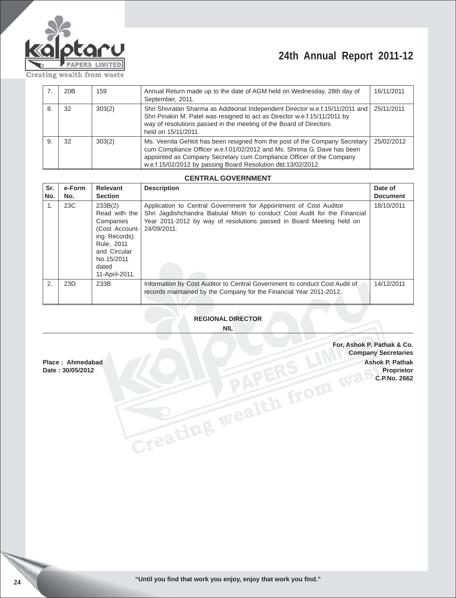

Creating wealth from waste

|   | 20 <sub>B</sub> | 159    | Annual Return made up to the date of AGM held on Wednesday, 28th day of<br>September, 2011.                                                                                                                                                                                                    | 16/11/2011 |
|---|-----------------|--------|------------------------------------------------------------------------------------------------------------------------------------------------------------------------------------------------------------------------------------------------------------------------------------------------|------------|
| 8 | 32              | 303(2) | Shri Shivratan Sharma as Additional Independent Director w.e.f.15/11/2011 and<br>Shri Pinakin M. Patel was resigned to act as Director w.e.f.15/11/2011 by<br>way of resolutions passed in the meeting of the Board of Directors<br>held on 15/11/2011.                                        | 25/11/2011 |
|   | 32              | 303(2) | Ms. Veenita Gehlot has been resigned from the post of the Company Secretary<br>cum Compliance Officer w.e.f.01/02/2012 and Ms. Shrima G. Dave has been<br>appointed as Company Secretary cum Compliance Officer of the Company<br>w.e.f.15/02/2012 by passing Board Resolution dtd.13/02/2012. | 25/02/2012 |

#### **CENTRAL GOVERNMENT**

| Sr.<br>No.     | e-Form<br>No. | Relevant<br><b>Section</b>                                                                                                                     | <b>Description</b>                                                                                                                                                                                                                     | Date of<br><b>Document</b> |
|----------------|---------------|------------------------------------------------------------------------------------------------------------------------------------------------|----------------------------------------------------------------------------------------------------------------------------------------------------------------------------------------------------------------------------------------|----------------------------|
| $\mathbf{1}$ . | 23C           | 233B(2)<br>Read with the<br>Companies<br>(Cost Account-<br>ing Records)<br>Rule, 2011<br>and Circular<br>No.15/2011<br>dated<br>11-April-2011. | Application to Central Government for Appointment of Cost Auditor<br>Shri Jagdishchandra Babulal Mistri to conduct Cost Audit for the Financial<br>Year 2011-2012 by way of resolutions passed in Board Meeting held on<br>24/09/2011. | 18/10/2011                 |
| 2.             | 23D           | 233B                                                                                                                                           | Information by Cost Auditor to Central Government to conduct Cost Audit of<br>records maintained by the Company for the Financial Year 2011-2012.                                                                                      | 14/12/2011                 |

#### **REGIONAL DIRECTOR**

**NIL**

**For, Ashok P. Pathak & Co. Company Secretaries Place : Ahmedabad Ashok P. Pathak Date : 30/05/2012 Proprietor C.P.No. 2662**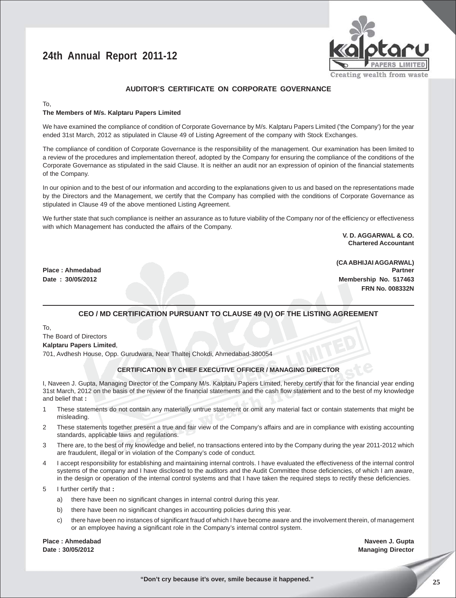

#### **AUDITOR'S CERTIFICATE ON CORPORATE GOVERNANCE**

#### To,

#### **The Members of M/s. Kalptaru Papers Limited**

We have examined the compliance of condition of Corporate Governance by M/s. Kalptaru Papers Limited ('the Company') for the year ended 31st March, 2012 as stipulated in Clause 49 of Listing Agreement of the company with Stock Exchanges.

The compliance of condition of Corporate Governance is the responsibility of the management. Our examination has been limited to a review of the procedures and implementation thereof, adopted by the Company for ensuring the compliance of the conditions of the Corporate Governance as stipulated in the said Clause. It is neither an audit nor an expression of opinion of the financial statements of the Company.

In our opinion and to the best of our information and according to the explanations given to us and based on the representations made by the Directors and the Management, we certify that the Company has complied with the conditions of Corporate Governance as stipulated in Clause 49 of the above mentioned Listing Agreement.

We further state that such compliance is neither an assurance as to future viability of the Company nor of the efficiency or effectiveness with which Management has conducted the affairs of the Company.

> **V. D. AGGARWAL & CO. Chartered Accountant**

**(CA ABHIJAI AGGARWAL) Place : Ahmedabad Partner Date : 30/05/2012 Membership No. 517463 FRN No. 008332N**

#### **CEO / MD CERTIFICATION PURSUANT TO CLAUSE 49 (V) OF THE LISTING AGREEMENT**

To,

#### The Board of Directors **Kalptaru Papers Limited**,

701, Avdhesh House, Opp. Gurudwara, Near Thaltej Chokdi, Ahmedabad-380054

#### **CERTIFICATION BY CHIEF EXECUTIVE OFFICER / MANAGING DIRECTOR**

I, Naveen J. Gupta, Managing Director of the Company M/s. Kalptaru Papers Limited, hereby certify that for the financial year ending 31st March, 2012 on the basis of the review of the financial statements and the cash flow statement and to the best of my knowledge and belief that **:**

- 1 These statements do not contain any materially untrue statement or omit any material fact or contain statements that might be misleading.
- 2 These statements together present a true and fair view of the Company's affairs and are in compliance with existing accounting standards, applicable laws and regulations.
- 3 There are, to the best of my knowledge and belief, no transactions entered into by the Company during the year 2011-2012 which are fraudulent, illegal or in violation of the Company's code of conduct.
- 4 I accept responsibility for establishing and maintaining internal controls. I have evaluated the effectiveness of the internal control systems of the company and I have disclosed to the auditors and the Audit Committee those deficiencies, of which I am aware, in the design or operation of the internal control systems and that I have taken the required steps to rectify these deficiencies.

5 I further certify that **:**

- a) there have been no significant changes in internal control during this year.
- b) there have been no significant changes in accounting policies during this year.
- c) there have been no instances of significant fraud of which I have become aware and the involvement therein, of management or an employee having a significant role in the Company's internal control system.

**Place : Ahmedabad Naveen J. Gupta Date : 30/05/2012 Managing Director**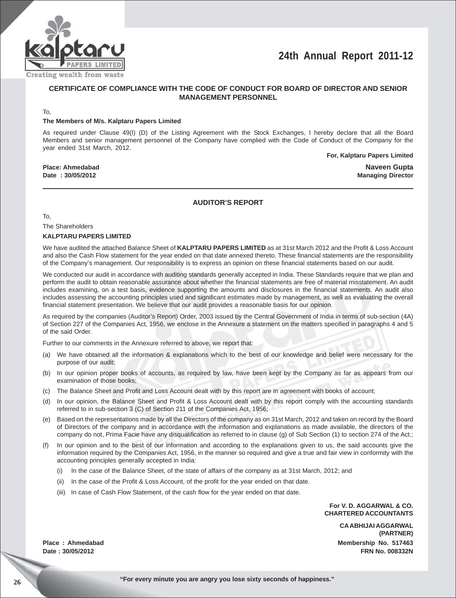

#### **CERTIFICATE OF COMPLIANCE WITH THE CODE OF CONDUCT FOR BOARD OF DIRECTOR AND SENIOR MANAGEMENT PERSONNEL**

#### To,

#### **The Members of M/s. Kalptaru Papers Limited**

As required under Clause 49(I) (D) of the Listing Agreement with the Stock Exchanges, I hereby declare that all the Board Members and senior management personnel of the Company have complied with the Code of Conduct of the Company for the year ended 31st March, 2012.

**For, Kalptaru Papers Limited**

**Place: Ahmedabad Naveen Gupta Date : 30/05/2012 Managing Director**

#### **AUDITOR'S REPORT**

To,

The Shareholders

#### **KALPTARU PAPERS LIMITED**

We have audited the attached Balance Sheet of **KALPTARU PAPERS LIMITED** as at 31st March 2012 and the Profit & Loss Account and also the Cash Flow statement for the year ended on that date annexed thereto. These financial statements are the responsibility of the Company's management. Our responsibility is to express an opinion on these financial statements based on our audit.

We conducted our audit in accordance with auditing standards generally accepted in India. These Standards require that we plan and perform the audit to obtain reasonable assurance about whether the financial statements are free of material misstatement. An audit includes examining, on a test basis, evidence supporting the amounts and disclosures in the financial statements. An audit also includes assessing the accounting principles used and significant estimates made by management, as well as evaluating the overall financial statement presentation. We believe that our audit provides a reasonable basis for our opinion.

As required by the companies (Auditor's Report) Order, 2003 issued by the Central Government of India in terms of sub-section (4A) of Section 227 of the Companies Act, 1956, we enclose in the Annexure a statement on the matters specified in paragraphs 4 and 5 of the said Order.

Further to our comments in the Annexure referred to above, we report that:

- (a) We have obtained all the information & explanations which to the best of our knowledge and belief were necessary for the purpose of our audit;
- (b) In our opinion proper books of accounts, as required by law, have been kept by the Company as far as appears from our examination of those books;
- (c) The Balance Sheet and Profit and Loss Account dealt with by this report are in agreement with books of account;
- (d) In our opinion, the Balance Sheet and Profit & Loss Account dealt with by this report comply with the accounting standards referred to in sub-section 3 (C) of Section 211 of the Companies Act, 1956;
- (e) Based on the representations made by all the Directors of the company as on 31st March, 2012 and taken on record by the Board of Directors of the company and in accordance with the information and explanations as made available, the directors of the company do not, Prima Facie have any disqualification as referred to in clause (g) of Sub Section (1) to section 274 of the Act.;
- (f) In our opinion and to the best of our information and according to the explanations given to us, the said accounts give the information required by the Companies Act, 1956, in the manner so required and give a true and fair view in conformity with the accounting principles generally accepted in India:
	- (i) In the case of the Balance Sheet, of the state of affairs of the company as at 31st March, 2012; and
	- (ii) In the case of the Profit & Loss Account, of the profit for the year ended on that date.
	- (iii) In case of Cash Flow Statement, of the cash flow for the year ended on that date.

**For V. D. AGGARWAL & CO. CHARTERED ACCOUNTANTS**

**CA ABHIJAI AGGARWAL (PARTNER) Place : Ahmedabad Membership No. 517463 Date : 30/05/2012 FRN No. 008332N**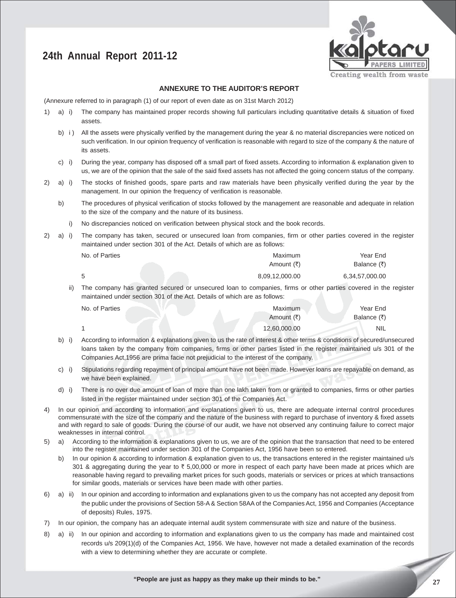

#### **ANNEXURE TO THE AUDITOR'S REPORT**

(Annexure referred to in paragraph (1) of our report of even date as on 31st March 2012)

- 1) a) i) The company has maintained proper records showing full particulars including quantitative details & situation of fixed assets.
	- b) i) All the assets were physically verified by the management during the year & no material discrepancies were noticed on such verification. In our opinion frequency of verification is reasonable with regard to size of the company & the nature of its assets.
	- c) i) During the year, company has disposed off a small part of fixed assets. According to information & explanation given to us, we are of the opinion that the sale of the said fixed assets has not affected the going concern status of the company.
- 2) a) i) The stocks of finished goods, spare parts and raw materials have been physically verified during the year by the management. In our opinion the frequency of verification is reasonable.
	- b) The procedures of physical verification of stocks followed by the management are reasonable and adequate in relation to the size of the company and the nature of its business.
		- i) No discrepancies noticed on verification between physical stock and the book records.
- 2) a) i) The company has taken, secured or unsecured loan from companies, firm or other parties covered in the register maintained under section 301 of the Act. Details of which are as follows:

| No. of Parties | Maximum        | Year End       |
|----------------|----------------|----------------|
|                | Amount (₹)     | Balance $(₹)$  |
| -5             | 8.09.12.000.00 | 6,34,57,000.00 |

ii) The company has granted secured or unsecured loan to companies, firms or other parties covered in the register maintained under section 301 of the Act. Details of which are as follows:

| No. of Parties | Maximum      | Year End    |
|----------------|--------------|-------------|
|                | Amount (₹)   | Balance (₹) |
|                | 12,60,000.00 | <b>NIL</b>  |

- b) i) According to information & explanations given to us the rate of interest & other terms & conditions of secured/unsecured loans taken by the company from companies, firms or other parties listed in the register maintained u/s 301 of the Companies Act,1956 are prima facie not prejudicial to the interest of the company.
- c) i) Stipulations regarding repayment of principal amount have not been made. However loans are repayable on demand, as we have been explained.
- d) i) There is no over due amount of loan of more than one lakh taken from or granted to companies, firms or other parties listed in the register maintained under section 301 of the Companies Act.
- 4) In our opinion and according to information and explanations given to us, there are adequate internal control procedures commensurate with the size of the company and the nature of the business with regard to purchase of inventory & fixed assets and with regard to sale of goods. During the course of our audit, we have not observed any continuing failure to correct major weaknesses in internal control.
- 5) a) According to the information & explanations given to us, we are of the opinion that the transaction that need to be entered into the register maintained under section 301 of the Companies Act, 1956 have been so entered.
	- b) In our opinion & according to information & explanation given to us, the transactions entered in the register maintained u/s 301 & aggregating during the year to  $\bar{x}$  5,00,000 or more in respect of each party have been made at prices which are reasonable having regard to prevailing market prices for such goods, materials or services or prices at which transactions for similar goods, materials or services have been made with other parties.
- 6) a) ii) In our opinion and according to information and explanations given to us the company has not accepted any deposit from the public under the provisions of Section 58-A & Section 58AA of the Companies Act, 1956 and Companies (Acceptance of deposits) Rules, 1975.
- 7) In our opinion, the company has an adequate internal audit system commensurate with size and nature of the business.
- 8) a) ii) In our opinion and according to information and explanations given to us the company has made and maintained cost records u/s 209(1)(d) of the Companies Act, 1956. We have, however not made a detailed examination of the records with a view to determining whether they are accurate or complete.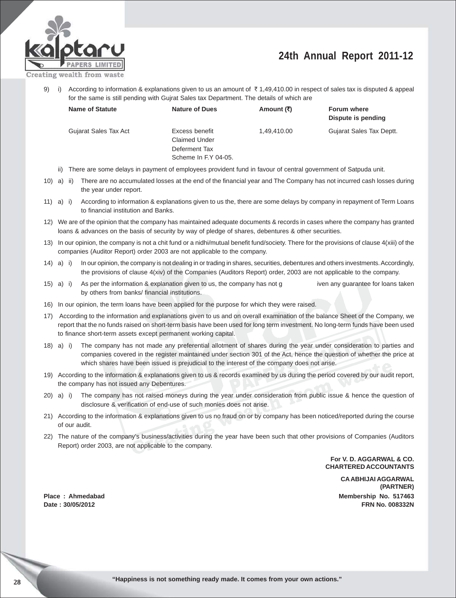

9) i) According to information & explanations given to us an amount of  $\bar{\tau}$  1,49,410.00 in respect of sales tax is disputed & appeal for the same is still pending with Gujrat Sales tax Department. The details of which are

| <b>Name of Statute</b> | <b>Nature of Dues</b>                                   | Amount (₹)  | Forum where<br>Dispute is pending |
|------------------------|---------------------------------------------------------|-------------|-----------------------------------|
| Gujarat Sales Tax Act  | Excess benefit<br><b>Claimed Under</b><br>Deferment Tax | 1.49.410.00 | Gujarat Sales Tax Deptt.          |
|                        | Scheme In F.Y 04-05.                                    |             |                                   |

- ii) There are some delays in payment of employees provident fund in favour of central government of Satpuda unit.
- 10) a) ii) There are no accumulated losses at the end of the financial year and The Company has not incurred cash losses during the year under report.
- 11) a) i) According to information & explanations given to us the, there are some delays by company in repayment of Term Loans to financial institution and Banks.
- 12) We are of the opinion that the company has maintained adequate documents & records in cases where the company has granted loans & advances on the basis of security by way of pledge of shares, debentures & other securities.
- 13) In our opinion, the company is not a chit fund or a nidhi/mutual benefit fund/society. There for the provisions of clause 4(xiii) of the companies (Auditor Report) order 2003 are not applicable to the company.
- 14) a) i) In our opinion, the company is not dealing in or trading in shares, securities, debentures and others investments. Accordingly, the provisions of clause 4(xiv) of the Companies (Auditors Report) order, 2003 are not applicable to the company.
- 15) a) i) As per the information & explanation given to us, the company has not g iven any guarantee for loans taken by others from banks/ financial institutions.
- 16) In our opinion, the term loans have been applied for the purpose for which they were raised.
- 17) According to the information and explanations given to us and on overall examination of the balance Sheet of the Company, we report that the no funds raised on short-term basis have been used for long term investment. No long-term funds have been used to finance short-term assets except permanent working capital.
- 18) a) i) The company has not made any preferential allotment of shares during the year under consideration to parties and companies covered in the register maintained under section 301 of the Act, hence the question of whether the price at which shares have been issued is prejudicial to the interest of the company does not arise.
- 19) According to the information & explanations given to us & records examined by us during the period covered by our audit report, the company has not issued any Debentures.
- 20) a) i) The company has not raised moneys during the year under consideration from public issue & hence the question of disclosure & verification of end-use of such monies does not arise.
- 21) According to the information & explanations given to us no fraud on or by company has been noticed/reported during the course of our audit.
- 22) The nature of the company's business/activities during the year have been such that other provisions of Companies (Auditors Report) order 2003, are not applicable to the company.

**For V. D. AGGARWAL & CO. CHARTERED ACCOUNTANTS**

**CA ABHIJAI AGGARWAL (PARTNER) Place : Ahmedabad Membership No. 517463 Date : 30/05/2012 FRN No. 008332N**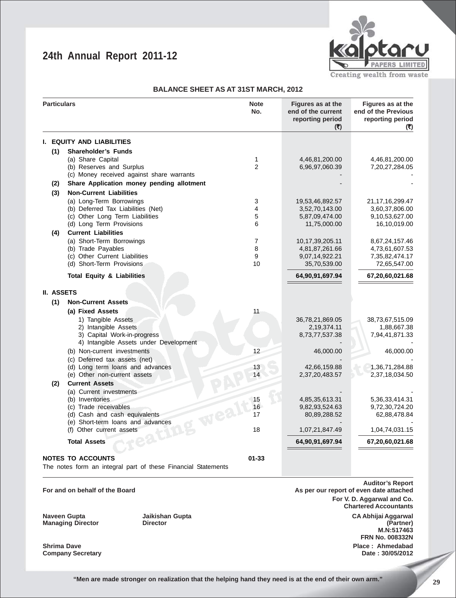

#### **BALANCE SHEET AS AT 31ST MARCH, 2012**

| <b>Particulars</b>                                                    | <b>Note</b><br>No. | <b>Figures as at the</b><br>end of the current<br>reporting period<br>(3) | Figures as at the<br>end of the Previous<br>reporting period<br>(₹) |
|-----------------------------------------------------------------------|--------------------|---------------------------------------------------------------------------|---------------------------------------------------------------------|
| <b>I. EQUITY AND LIABILITIES</b>                                      |                    |                                                                           |                                                                     |
| (1)<br><b>Shareholder's Funds</b>                                     |                    |                                                                           |                                                                     |
| (a) Share Capital                                                     | 1                  | 4,46,81,200.00                                                            | 4,46,81,200.00                                                      |
| (b) Reserves and Surplus                                              | 2                  | 6,96,97,060.39                                                            | 7,20,27,284.05                                                      |
| (c) Money received against share warrants                             |                    |                                                                           |                                                                     |
| Share Application money pending allotment<br>(2)                      |                    |                                                                           |                                                                     |
| <b>Non-Current Liabilities</b><br>(3)                                 |                    |                                                                           |                                                                     |
| (a) Long-Term Borrowings                                              | 3                  | 19,53,46,892.57                                                           | 21,17,16,299.47                                                     |
| (b) Deferred Tax Liabilities (Net)                                    | 4                  | 3,52,70,143.00                                                            | 3,60,37,806.00                                                      |
| (c) Other Long Term Liabilities                                       | 5                  | 5,87,09,474.00                                                            | 9,10,53,627.00                                                      |
| (d) Long Term Provisions                                              | 6                  | 11,75,000.00                                                              | 16,10,019.00                                                        |
| <b>Current Liabilities</b><br>(4)                                     |                    |                                                                           |                                                                     |
| (a) Short-Term Borrowings                                             | $\overline{7}$     | 10,17,39,205.11                                                           | 8,67,24,157.46                                                      |
| (b) Trade Payables                                                    | 8                  | 4,81,87,261.66                                                            | 4,73,61,607.53                                                      |
| (c) Other Current Liabilities                                         | 9                  | 9,07,14,922.21                                                            | 7,35,82,474.17                                                      |
| (d) Short-Term Provisions                                             | 10                 | 35,70,539.00                                                              | 72,65,547.00                                                        |
| <b>Total Equity &amp; Liabilities</b>                                 |                    | 64,90,91,697.94                                                           | 67,20,60,021.68                                                     |
| <b>II. ASSETS</b>                                                     |                    |                                                                           |                                                                     |
|                                                                       |                    |                                                                           |                                                                     |
| (1)<br><b>Non-Current Assets</b>                                      |                    |                                                                           |                                                                     |
| (a) Fixed Assets                                                      | 11                 |                                                                           |                                                                     |
| 1) Tangible Assets                                                    |                    | 36,78,21,869.05                                                           | 38,73,67,515.09                                                     |
| 2) Intangible Assets                                                  |                    | 2,19,374.11                                                               | 1,88,667.38                                                         |
| 3) Capital Work-in-progress<br>4) Intangible Assets under Development |                    | 8,73,77,537.38                                                            | 7,94,41,871.33                                                      |
| (b) Non-current investments                                           | 12                 | 46,000.00                                                                 |                                                                     |
|                                                                       |                    |                                                                           | 46,000.00                                                           |
| (c) Deferred tax assets (net)<br>(d) Long term loans and advances     | 13                 | 42,66,159.88                                                              | 1,36,71,284.88                                                      |
| (e) Other non-current assets                                          | 14                 | 2,37,20,483.57                                                            | 2,37,18,034.50                                                      |
| <b>Current Assets</b><br>(2)                                          |                    |                                                                           |                                                                     |
| (a) Current investments                                               |                    |                                                                           |                                                                     |
| (b) Inventories                                                       | 15                 | 4,85,35,613.31                                                            | 5,36,33,414.31                                                      |
| (c) Trade receivables                                                 | 16                 | 9,82,93,524.63                                                            | 9,72,30,724.20                                                      |
| (d) Cash and cash equivalents                                         | 17                 | 80,89,288.52                                                              | 62,88,478.84                                                        |
| wea<br>(e) Short-term loans and advances                              |                    |                                                                           |                                                                     |
| (f) Other current assets                                              | 18                 | 1,07,21,847.49                                                            | 1,04,74,031.15                                                      |
| <b>Total Assets</b>                                                   |                    | 64,90,91,697.94                                                           | 67,20,60,021.68                                                     |
| <b>NOTES TO ACCOUNTS</b>                                              | $01 - 33$          |                                                                           |                                                                     |
| The notes form an integral part of these Financial Statements         |                    |                                                                           |                                                                     |

**Managing Director** 

**Company Secretary** 

**Auditor's Report For and on behalf of the Board As per our report of even date attached** As per our report of even date attached **For V. D. Aggarwal and Co. Chartered Accountants Naveen Gupta Jaikishan Gupta CA Abhijai Aggarwal**

**M.N:517463 FRN No. 008332N Shrima Dave Place : Ahmedabad**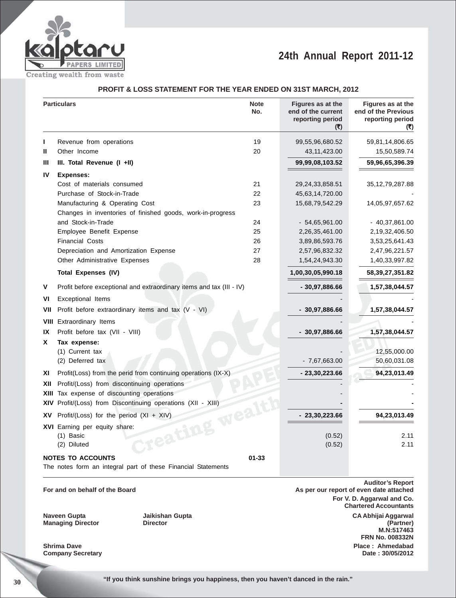

|      | <b>Particulars</b>                                                                        | <b>Note</b><br>No. | <b>Figures as at the</b><br>end of the current<br>reporting period<br>(3) | Figures as at the<br>end of the Previous<br>reporting period<br>(₹) |
|------|-------------------------------------------------------------------------------------------|--------------------|---------------------------------------------------------------------------|---------------------------------------------------------------------|
|      | Revenue from operations                                                                   | 19                 | 99,55,96,680.52                                                           | 59,81,14,806.65                                                     |
| Ш    | Other Income                                                                              | 20                 | 43, 11, 423.00                                                            | 15,50,589.74                                                        |
| ш    | III. Total Revenue (I +II)                                                                |                    | 99,99,08,103.52                                                           | 59,96,65,396.39                                                     |
| IV   | <b>Expenses:</b>                                                                          |                    |                                                                           |                                                                     |
|      | Cost of materials consumed                                                                | 21                 | 29, 24, 33, 858. 51                                                       | 35,12,79,287.88                                                     |
|      | Purchase of Stock-in-Trade                                                                | 22                 | 45,63,14,720.00                                                           |                                                                     |
|      | Manufacturing & Operating Cost                                                            | 23                 | 15,68,79,542.29                                                           | 14,05,97,657.62                                                     |
|      | Changes in inventories of finished goods, work-in-progress                                |                    |                                                                           |                                                                     |
|      | and Stock-in-Trade                                                                        | 24                 | $-54,65,961.00$                                                           | - 40,37,861.00                                                      |
|      | Employee Benefit Expense                                                                  | 25                 | 2,26,35,461.00                                                            | 2,19,32,406.50                                                      |
|      | <b>Financial Costs</b>                                                                    | 26                 | 3,89,86,593.76                                                            | 3,53,25,641.43                                                      |
|      | Depreciation and Amortization Expense                                                     | 27                 | 2,57,96,832.32                                                            | 2,47,96,221.57                                                      |
|      | Other Administrative Expenses                                                             | 28                 | 1,54,24,943.30                                                            | 1,40,33,997.82                                                      |
|      | <b>Total Expenses (IV)</b>                                                                |                    | 1,00,30,05,990.18                                                         | 58,39,27,351.82                                                     |
| ۷    | Profit before exceptional and extraordinary items and tax (III - IV)                      |                    | $-30,97,886.66$                                                           | 1,57,38,044.57                                                      |
| VI   | <b>Exceptional Items</b>                                                                  |                    |                                                                           |                                                                     |
| VII  | Profit before extraordinary items and tax (V - VI)                                        |                    | $-30,97,886.66$                                                           | 1,57,38,044.57                                                      |
| VIII | Extraordinary Items                                                                       |                    |                                                                           |                                                                     |
| IX   | Profit before tax (VII - VIII)                                                            |                    | $-30,97,886.66$                                                           | 1,57,38,044.57                                                      |
| X    | Tax expense:                                                                              |                    |                                                                           |                                                                     |
|      | (1) Current tax                                                                           |                    |                                                                           | 12,55,000.00                                                        |
|      | (2) Deferred tax                                                                          |                    | $-7,67,663.00$                                                            | 50,60,031.08                                                        |
| ΧI   | Profit(Loss) from the perid from continuing operations (IX-X)                             |                    | $-23,30,223.66$                                                           | 94,23,013.49                                                        |
| XII  | Profit/(Loss) from discontinuing operations                                               |                    |                                                                           |                                                                     |
| XIII | Tax expense of discounting operations                                                     |                    |                                                                           |                                                                     |
|      | XIV Profit/(Loss) from Discontinuing operations (XII - XIII)                              |                    |                                                                           |                                                                     |
|      | reating wealt.<br>XV Profit/(Loss) for the period $(XI + XIV)$                            |                    | $-23,30,223.66$                                                           | 94,23,013.49                                                        |
|      | XVI Earning per equity share:                                                             |                    |                                                                           |                                                                     |
|      | (1) Basic                                                                                 |                    | (0.52)                                                                    | 2.11                                                                |
|      | (2) Diluted                                                                               |                    | (0.52)                                                                    | 2.11                                                                |
|      | <b>NOTES TO ACCOUNTS</b><br>The notes form an integral part of these Financial Statements | 01-33              |                                                                           |                                                                     |

#### **PROFIT & LOSS STATEMENT FOR THE YEAR ENDED ON 31ST MARCH, 2012**

**Managing Director** 

**Company Secretary** 

**Auditor's Report For and on behalf of the Board As per our report of even date attached** As per our report of even date attached **For V. D. Aggarwal and Co. Chartered Accountants**

**Naveen Gupta Jaikishan Gupta CA Abhijai Aggarwal M.N:517463 FRN No. 008332N Shrima Dave Place : Ahmedabad**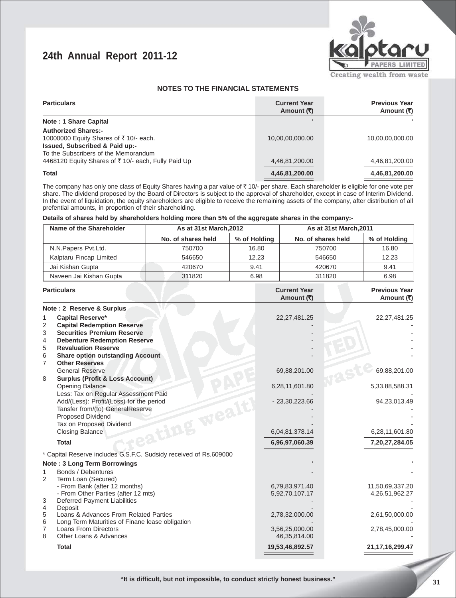

#### **NOTES TO THE FINANCIAL STATEMENTS**

| <b>Particulars</b>                                 | <b>Current Year</b><br>Amount (₹) | <b>Previous Year</b><br>Amount (₹) |
|----------------------------------------------------|-----------------------------------|------------------------------------|
| Note: 1 Share Capital                              |                                   |                                    |
| <b>Authorized Shares:-</b>                         |                                   |                                    |
| 10000000 Equity Shares of ₹10/- each.              | 10,00,00,000.00                   | 10,00,00,000.00                    |
| Issued, Subscribed & Paid up:-                     |                                   |                                    |
| To the Subscribers of the Memorandum               |                                   |                                    |
| 4468120 Equity Shares of ₹10/- each, Fully Paid Up | 4,46,81,200.00                    | 4,46,81,200.00                     |
| <b>Total</b>                                       | 4,46,81,200.00                    | 4,46,81,200.00                     |

The company has only one class of Equity Shares having a par value of  $\bar{x}$  10/- per share. Each shareholder is eligible for one vote per share. The dividend proposed by the Board of Directors is subject to the approval of shareholder, except in case of Interim Dividend. In the event of liquidation, the equity shareholders are eligible to receive the remaining assets of the company, after distribution of all prefential amounts, in proportion of their shareholding.

#### **Details of shares held by shareholders holding more than 5% of the aggregate shares in the company:-**

| Name of the Shareholder | As at 31st March, 2012             |       | As at 31st March, 2011 |              |
|-------------------------|------------------------------------|-------|------------------------|--------------|
|                         | No. of shares held<br>% of Holding |       | No. of shares held     | % of Holding |
| N.N. Papers Pyt. Ltd.   | 750700                             | 16.80 | 750700                 | 16.80        |
| Kalptaru Fincap Limited | 546650                             | 12.23 | 546650                 | 12.23        |
| Jai Kishan Gupta        | 420670                             | 9.41  | 420670                 | 9.41         |
| Naveen Jai Kishan Gupta | 311820                             | 6.98  | 311820                 | 6.98         |

| Note: 2 Reserve & Surplus<br><b>Capital Reserve*</b><br>22, 27, 481. 25<br>1<br>$\overline{2}$<br><b>Capital Redemption Reserve</b><br>3<br><b>Securities Premium Reserve</b><br>4<br><b>Debenture Redemption Reserve</b><br>5<br><b>Revaluation Reserve</b><br>6<br><b>Share option outstanding Account</b><br>7<br><b>Other Reserves</b><br>69,88,201.00<br><b>General Reserve</b><br>69,88,201.00<br><b>Surplus (Profit &amp; Loss Account)</b><br>8<br><b>Opening Balance</b><br>6,28,11,601.80<br>5,33,88,588.31<br>Less: Tax on Regular Assessment Paid<br>Add/(Less): Profit/(Loss) for the period<br>$-23,30,223.66$<br>94,23,013.49<br>Tansfer from/(to) GeneralReserve<br>Proposed Dividend<br>Tax on Proposed Dividend<br><b>Closing Balance</b><br>6,28,11,601.80<br>6,04,81,378.14<br><b>Total</b><br>6,96,97,060.39<br>* Capital Reserve includes G.S.F.C. Sudsidy received of Rs.609000<br>Note: 3 Long Term Borrowings<br>Bonds / Debentures<br>1<br>$\overline{2}$<br>Term Loan (Secured)<br>- From Bank (after 12 months)<br>6,79,83,971.40<br>- From Other Parties (after 12 mts)<br>5,92,70,107.17<br>3<br><b>Deferred Payment Liabilities</b><br>4<br>Deposit<br>5<br>Loans & Advances From Related Parties<br>2,61,50,000.00<br>2,78,32,000.00<br>6<br>Long Term Maturities of Finane lease obligation<br>7<br>Loans From Directors<br>3,56,25,000.00<br>8<br>Other Loans & Advances<br>46,35,814.00<br><b>Total</b><br>19,53,46,892.57<br>21, 17, 16, 299. 47 | <b>Particulars</b> | <b>Current Year</b><br>Amount (₹) | <b>Previous Year</b><br>Amount (そ) |
|--------------------------------------------------------------------------------------------------------------------------------------------------------------------------------------------------------------------------------------------------------------------------------------------------------------------------------------------------------------------------------------------------------------------------------------------------------------------------------------------------------------------------------------------------------------------------------------------------------------------------------------------------------------------------------------------------------------------------------------------------------------------------------------------------------------------------------------------------------------------------------------------------------------------------------------------------------------------------------------------------------------------------------------------------------------------------------------------------------------------------------------------------------------------------------------------------------------------------------------------------------------------------------------------------------------------------------------------------------------------------------------------------------------------------------------------------------------------------------------|--------------------|-----------------------------------|------------------------------------|
|                                                                                                                                                                                                                                                                                                                                                                                                                                                                                                                                                                                                                                                                                                                                                                                                                                                                                                                                                                                                                                                                                                                                                                                                                                                                                                                                                                                                                                                                                      |                    |                                   |                                    |
|                                                                                                                                                                                                                                                                                                                                                                                                                                                                                                                                                                                                                                                                                                                                                                                                                                                                                                                                                                                                                                                                                                                                                                                                                                                                                                                                                                                                                                                                                      |                    |                                   | 22, 27, 481. 25                    |
|                                                                                                                                                                                                                                                                                                                                                                                                                                                                                                                                                                                                                                                                                                                                                                                                                                                                                                                                                                                                                                                                                                                                                                                                                                                                                                                                                                                                                                                                                      |                    |                                   |                                    |
|                                                                                                                                                                                                                                                                                                                                                                                                                                                                                                                                                                                                                                                                                                                                                                                                                                                                                                                                                                                                                                                                                                                                                                                                                                                                                                                                                                                                                                                                                      |                    |                                   |                                    |
|                                                                                                                                                                                                                                                                                                                                                                                                                                                                                                                                                                                                                                                                                                                                                                                                                                                                                                                                                                                                                                                                                                                                                                                                                                                                                                                                                                                                                                                                                      |                    |                                   |                                    |
|                                                                                                                                                                                                                                                                                                                                                                                                                                                                                                                                                                                                                                                                                                                                                                                                                                                                                                                                                                                                                                                                                                                                                                                                                                                                                                                                                                                                                                                                                      |                    |                                   |                                    |
|                                                                                                                                                                                                                                                                                                                                                                                                                                                                                                                                                                                                                                                                                                                                                                                                                                                                                                                                                                                                                                                                                                                                                                                                                                                                                                                                                                                                                                                                                      |                    |                                   | 7,20,27,284.05                     |
|                                                                                                                                                                                                                                                                                                                                                                                                                                                                                                                                                                                                                                                                                                                                                                                                                                                                                                                                                                                                                                                                                                                                                                                                                                                                                                                                                                                                                                                                                      |                    |                                   |                                    |
|                                                                                                                                                                                                                                                                                                                                                                                                                                                                                                                                                                                                                                                                                                                                                                                                                                                                                                                                                                                                                                                                                                                                                                                                                                                                                                                                                                                                                                                                                      |                    |                                   |                                    |
|                                                                                                                                                                                                                                                                                                                                                                                                                                                                                                                                                                                                                                                                                                                                                                                                                                                                                                                                                                                                                                                                                                                                                                                                                                                                                                                                                                                                                                                                                      |                    |                                   |                                    |
|                                                                                                                                                                                                                                                                                                                                                                                                                                                                                                                                                                                                                                                                                                                                                                                                                                                                                                                                                                                                                                                                                                                                                                                                                                                                                                                                                                                                                                                                                      |                    |                                   | 11,50,69,337.20<br>4,26,51,962.27  |
|                                                                                                                                                                                                                                                                                                                                                                                                                                                                                                                                                                                                                                                                                                                                                                                                                                                                                                                                                                                                                                                                                                                                                                                                                                                                                                                                                                                                                                                                                      |                    |                                   |                                    |
|                                                                                                                                                                                                                                                                                                                                                                                                                                                                                                                                                                                                                                                                                                                                                                                                                                                                                                                                                                                                                                                                                                                                                                                                                                                                                                                                                                                                                                                                                      |                    |                                   | 2,78,45,000.00                     |
|                                                                                                                                                                                                                                                                                                                                                                                                                                                                                                                                                                                                                                                                                                                                                                                                                                                                                                                                                                                                                                                                                                                                                                                                                                                                                                                                                                                                                                                                                      |                    |                                   |                                    |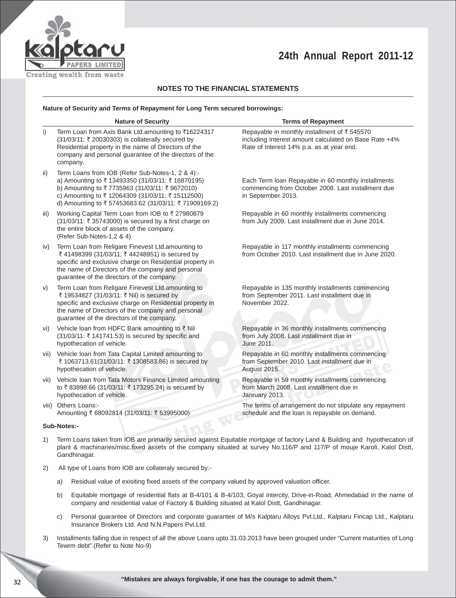

#### **NOTES TO THE FINANCIAL STATEMENTS**

#### **Nature of Security and Terms of Repayment for Long Term secured borrowings:**

|      | <b>Nature of Security</b>                                                                                                                                                                                                                                           | <b>Terms of Repayment</b>                                                                                                                                                                                                                              |
|------|---------------------------------------------------------------------------------------------------------------------------------------------------------------------------------------------------------------------------------------------------------------------|--------------------------------------------------------------------------------------------------------------------------------------------------------------------------------------------------------------------------------------------------------|
| i)   | Term Loan from Axis Bank Ltd.amounting to ₹16224317<br>(31/03/11: ₹ 20030303) is collaterally secured by<br>Residential property in the name of Directors of the<br>company and personal guarantee of the directors of the<br>company.                              | Repayable in monthly installment of ₹545570<br>including Interest amount calculated on Base Rate +4%<br>Rate of Interest 14% p.a. as at year end.                                                                                                      |
| ii)  | Term Loans from IOB (Refer Sub-Notes-1, 2 & 4):-<br>a) Amounting to ₹13493350 (31/03/11: ₹16870195)<br>b) Amounting to ₹7735963 (31/03/11: ₹9672010)<br>c) Amounting to ₹12064309 (31/03/11: ₹15112500)<br>d) Amounting to ₹ 57453683.62 (31/03/11: ₹ 71909169.2)   | Each Term Ioan Repayable in 60 monthly installments<br>commencing from October 2008. Last installment due<br>in September 2013.                                                                                                                        |
| iii) | Working Capital Term Loan from IOB to ₹ 27980879<br>(31/03/11: ₹ 35743000) is secured by a first charge on<br>the entire block of assets of the company.<br>(Refer Sub-Notes-1,2 & 4)                                                                               | Repayable in 60 monthly installments commencing<br>from July 2009. Last installment due in June 2014.                                                                                                                                                  |
| iv)  | Term Loan from Religare Finevest Ltd.amounting to<br>₹ 41498399 (31/03/11: ₹ 44248951) is secured by<br>specific and exclusive charge on Residential property in<br>the name of Directors of the company and personal<br>quarantee of the directors of the company. | Repayable in 117 monthly installments commencing<br>from October 2010. Last installment due in June 2020.                                                                                                                                              |
| V)   | Term Loan from Religare Finevest Ltd.amounting to<br>₹ 19534827 (31/03/11: ₹ Nil) is secured by<br>specific and exclusive charge on Residential property in<br>the name of Directors of the company and personal<br>guarantee of the directors of the company.      | Repayable in 135 monthly installments commencing<br>from September 2011. Last installment due in<br>November 2022.                                                                                                                                     |
| vi)  | Vehicle loan from HDFC Bank amounting to ₹ Nil<br>(31/03/11: ₹ 141741.53) is secured by specific and<br>hypothecation of vehicle.                                                                                                                                   | Repayable in 36 monthly installments commencing<br>from July 2008. Last installment due in<br>June 2011.                                                                                                                                               |
|      | vii) Vehicle loan from Tata Capital Limited amounting to<br>₹ 1063713.61(31/03/11: ₹ 1308583.86) is secured by<br>hypothecation of vehicle.                                                                                                                         | Repayable in 60 monthly installments commencing<br>from September 2010. Last installment due in<br>August 2015.                                                                                                                                        |
| vii) | Vehicle Ioan from Tata Motors Finance Limited amounting<br>to ₹83898.66 (31/03/11: ₹173295.24) is secured by<br>hypothecation of vehicle.                                                                                                                           | Repayable in 59 monthly installments commencing<br>from March 2008. Last installment due in<br>Janruary 2013.                                                                                                                                          |
|      | viii) Others Loans:-<br>Amounting ₹ 68092814 (31/03/11: ₹ 53995000)                                                                                                                                                                                                 | The terms of arrangement do not stipulate any repayment<br>schedule and the loan is repayable on demand.                                                                                                                                               |
|      | Sub-Notes:-                                                                                                                                                                                                                                                         |                                                                                                                                                                                                                                                        |
| 1)   | Gandhinagar.                                                                                                                                                                                                                                                        | Term Loans taken from IOB are primarily secured against Equitable mortgage of factory Land & Building and hypothecation of<br>plant & machinaries/misc.fixed assets of the company situated at survey No.116/P and 117/P of mouje Karoli, Kalol Distt, |

- 2) All type of Loans from IOB are collateraly secured by:
	- a) Residual value of exisiting fixed assets of the company valued by approved valuation officer.
	- b) Equitable mortgage of residential flats at B-4/101 & B-4/103, Goyal intercity, Drive-in-Road, Ahmedabad in the name of company and residential value of Factory & Building situated at Kalol Distt, Gandhinagar.
	- c) Personal guarantee of Directors and corporate guarantee of M/s Kalptaru Alloys Pvt.Ltd., Kalptaru Fincap Ltd., Kalptaru Insurance Brokers Ltd. And N.N.Papers Pvt.Ltd.
- 3) Installments falling due in respect of all the above Loans upto 31.03.2013 have been grouped under "Current maturities of Long Tewrm debt".(Refer to Note No-9)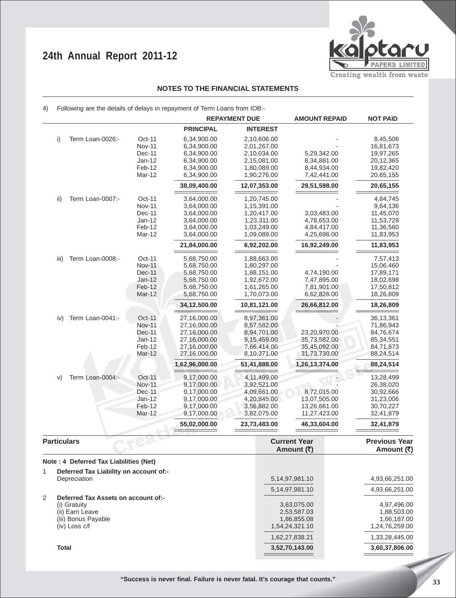

#### **NOTES TO THE FINANCIAL STATEMENTS**

| 4)<br>Following are the details of delays in repayment of Term Loans from IOB:- |      |                                                        |               |                  |                      |                                   |                                    |
|---------------------------------------------------------------------------------|------|--------------------------------------------------------|---------------|------------------|----------------------|-----------------------------------|------------------------------------|
|                                                                                 |      |                                                        |               |                  | <b>REPAYMENT DUE</b> | <b>AMOUNT REPAID</b>              | <b>NOT PAID</b>                    |
|                                                                                 |      |                                                        |               | <b>PRINCIPAL</b> | <b>INTEREST</b>      |                                   |                                    |
|                                                                                 | i)   | Term Loan-0026:-                                       | Oct-11        | 6,34,900.00      | 2,10,606.00          |                                   | 8,45,506                           |
|                                                                                 |      |                                                        | <b>Nov-11</b> | 6,34,900.00      | 2,01,267.00          |                                   | 16,81,673                          |
|                                                                                 |      |                                                        | Dec-11        | 6,34,900.00      | 2,10,034.00          | 5,29,342.00                       | 19,97,265                          |
|                                                                                 |      |                                                        | $Jan-12$      | 6,34,900.00      | 2,15,081.00          | 8,34,881.00                       | 20,12,365                          |
|                                                                                 |      |                                                        | Feb-12        | 6,34,900.00      | 1,80,089.00          | 8,44,934.00                       | 19,82,420                          |
|                                                                                 |      |                                                        | Mar-12        | 6,34,900.00      | 1,90,276.00          | 7,42,441.00                       | 20,65,155                          |
|                                                                                 |      |                                                        |               | 38,09,400.00     | 12,07,353.00         | 29,51,598.00                      | 20,65,155                          |
|                                                                                 | ii)  | Term Loan-0007:-                                       | Oct-11        | 3,64,000.00      | 1,20,745.00          |                                   | 4,84,745                           |
|                                                                                 |      |                                                        | <b>Nov-11</b> | 3,64,000.00      | 1,15,391.00          |                                   | 9,64,136                           |
|                                                                                 |      |                                                        | Dec-11        | 3,64,000.00      | 1,20,417.00          | 3,03,483.00                       | 11,45,070                          |
|                                                                                 |      |                                                        | Jan-12        | 3,64,000.00      | 1,23,311.00          | 4,78,653.00                       | 11,53,728                          |
|                                                                                 |      |                                                        | Feb-12        | 3,64,000.00      | 1,03,249.00          | 4,84,417.00                       | 11,36,560                          |
|                                                                                 |      |                                                        | Mar-12        | 3,64,000.00      | 1,09,089.00          | 4,25,696.00                       | 11,83,953                          |
|                                                                                 |      |                                                        |               | 21,84,000.00     | 6,92,202.00          | 16,92,249.00                      | 11,83,953                          |
|                                                                                 | iii) | Term Loan-0008:-                                       | Oct-11        | 5,68,750.00      | 1,88,663.00          |                                   | 7,57,413                           |
|                                                                                 |      |                                                        | <b>Nov-11</b> | 5,68,750.00      | 1,80,297.00          |                                   | 15,06,460                          |
|                                                                                 |      |                                                        | Dec-11        | 5,68,750.00      | 1,88,151.00          | 4,74,190.00                       | 17,89,171                          |
|                                                                                 |      |                                                        | Jan-12        | 5,68,750.00      | 1,92,672.00          | 7,47,895.00                       | 18,02,698                          |
|                                                                                 |      |                                                        | Feb-12        | 5,68,750.00      | 1,61,265.00          | 7,81,901.00                       | 17,50,812                          |
|                                                                                 |      |                                                        | Mar-12        | 5,68,750.00      | 1,70,073.00          | 6,62,826.00                       | 18,26,809                          |
|                                                                                 |      |                                                        |               | 34,12,500.00     | 10,81,121.00         | 26,66,812.00                      | 18,26,809                          |
|                                                                                 | iv)  | Term Loan-0041:-                                       | Oct-11        | 27,16,000.00     | 8,97,361.00          |                                   | 36,13,361                          |
|                                                                                 |      |                                                        | <b>Nov-11</b> | 27,16,000.00     | 8,57,582.00          |                                   | 71,86,943                          |
|                                                                                 |      |                                                        | Dec-11        | 27,16,000.00     | 8,94,701.00          | 23,20,970.00                      | 84,76,674                          |
|                                                                                 |      |                                                        | Jan-12        | 27,16,000.00     | 9,15,459.00          | 35,73,582.00                      | 85,34,551                          |
|                                                                                 |      |                                                        | Feb-12        | 27,16,000.00     | 7,66,414.00          | 35,45,092.00                      | 84,71,873                          |
|                                                                                 |      |                                                        | Mar-12        | 27,16,000.00     | 8,10,371.00          | 31,73,730.00                      | 88,24,514                          |
|                                                                                 |      |                                                        |               |                  |                      |                                   |                                    |
|                                                                                 |      |                                                        |               | 1,62,96,000.00   | 51,41,888.00         | 1,26,13,374.00                    | 88,24,514                          |
|                                                                                 | V)   | Term Loan-0004:-                                       | Oct-11        | 9,17,000.00      | 4,11,499.00          |                                   | 13,28,499                          |
|                                                                                 |      |                                                        | <b>Nov-11</b> | 9,17,000.00      | 3,92,521.00          |                                   | 26,38,020                          |
|                                                                                 |      |                                                        | Dec-11        | 9,17,000.00      | 4,09,661.00          | 8,72,015.00                       | 30,92,666                          |
|                                                                                 |      |                                                        | $Jan-12$      | 9,17,000.00      | 4,20,845.00          | 13,07,505.00                      | 31,23,006                          |
|                                                                                 |      |                                                        | Feb-12        | 9,17,000.00      | 3,56,882.00          | 13,26,661.00                      | 30,70,227                          |
|                                                                                 |      |                                                        | Mar-12        | 9,17,000.00      | 3,82,075.00          | 11,27,423.00                      | 32,41,879                          |
|                                                                                 |      |                                                        |               | 55,02,000.00     | 23,73,483.00         | 46,33,604.00                      | 32,41,879                          |
|                                                                                 |      | <b>Particulars</b>                                     |               |                  |                      | <b>Current Year</b><br>Amount (そ) | <b>Previous Year</b><br>Amount (₹) |
|                                                                                 |      | Note: 4 Deferred Tax Liabilities (Net)                 |               |                  |                      |                                   |                                    |
| 1                                                                               |      | Deferred Tax Liability on account of:-<br>Depreciation |               |                  |                      |                                   |                                    |
|                                                                                 |      |                                                        |               |                  |                      | 5,14,97,981.10                    | 4,93,66,251.00                     |
| 2                                                                               |      | Deferred Tax Assets on account of:-                    |               |                  |                      | 5,14,97,981.10                    | 4,93,66,251.00                     |
|                                                                                 |      | (i) Gratuity                                           |               |                  |                      | 3,63,075.00                       | 4,97,496.00                        |
|                                                                                 |      | (ii) Earn Leave                                        |               |                  |                      | 2,53,587.03                       | 1,88,503.00                        |
|                                                                                 |      | (iii) Bonus Payable                                    |               |                  |                      | 1,86,855.08                       | 1,66,187.00                        |
|                                                                                 |      | (iv) Loss c/f                                          |               |                  |                      | 1,54,24,321.10                    | 1,24,76,259.00                     |
|                                                                                 |      |                                                        |               |                  |                      |                                   |                                    |
|                                                                                 |      |                                                        |               |                  |                      | 1,62,27,838.21                    | 1,33,28,445.00                     |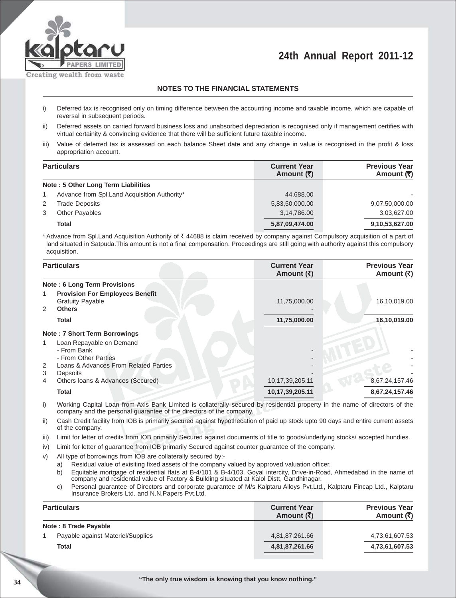

- i) Deferred tax is recognised only on timing difference between the accounting income and taxable income, which are capable of reversal in subsequent periods.
- ii) Deferred assets on carried forward business loss and unabsorbed depreciation is recognised only if management certifies with virtual certainity & convincing evidence that there will be sufficient future taxable income.
- iii) Value of deferred tax is assessed on each balance Sheet date and any change in value is recognised in the profit & loss appropriation account.

| <b>Particulars</b>                                | <b>Current Year</b><br>Amount (₹) | <b>Previous Year</b><br>Amount (₹) |
|---------------------------------------------------|-----------------------------------|------------------------------------|
| Note: 5 Other Long Term Liabilities               |                                   |                                    |
| Advance from Spl.Land Acquisition Authority*<br>1 | 44.688.00                         |                                    |
| <b>Trade Deposits</b><br>2                        | 5,83,50,000.00                    | 9,07,50,000.00                     |
| <b>Other Payables</b><br>3                        | 3,14,786.00                       | 3,03,627.00                        |
| <b>Total</b>                                      | 5,87,09,474.00                    | 9,10,53,627.00                     |

\* Advance from Spl.Land Acquisition Authority of ₹ 44688 is claim received by company against Compulsory acquisition of a part of land situated in Satpuda.This amount is not a final compensation. Proceedings are still going with authority against this compulsory acquisition.

|                | <b>Particulars</b>                                                | <b>Current Year</b><br>Amount (₹) | <b>Previous Year</b><br>Amount (₹) |
|----------------|-------------------------------------------------------------------|-----------------------------------|------------------------------------|
|                | <b>Note: 6 Long Term Provisions</b>                               |                                   |                                    |
| 1              | <b>Provision For Employees Benefit</b><br><b>Gratuity Payable</b> | 11,75,000.00                      | 16,10,019.00                       |
| $\mathcal{P}$  | <b>Others</b>                                                     |                                   |                                    |
|                | Total                                                             | 11,75,000.00                      | 16,10,019.00                       |
|                | <b>Note: 7 Short Term Borrowings</b>                              |                                   |                                    |
| 1              | Loan Repayable on Demand<br>- From Bank<br>- From Other Parties   |                                   |                                    |
| 2              | Loans & Advances From Related Parties                             |                                   |                                    |
| 3              | Depsoits                                                          |                                   |                                    |
| $\overline{4}$ | Others Ioans & Advances (Secured)                                 | 10,17,39,205.11                   | 8,67,24,157.46                     |
|                | <b>Total</b>                                                      | 10,17,39,205.11                   | 8,67,24,157.46                     |

- i) Working Capital Loan from Axis Bank Limited is collaterally secured by residential property in the name of directors of the company and the personal guarantee of the directors of the company.
- ii) Cash Credit facility from IOB is primarily secured against hypothecation of paid up stock upto 90 days and entire current assets of the company.
- iii) Limit for letter of credits from IOB primarily Secured against documents of title to goods/underlying stocks/ accepted hundies.
- iv) Limit for letter of guarantee from IOB primarily Secured against counter guarantee of the company.
- v) All type of borrowings from IOB are collaterally secured by:
	- a) Residual value of exisiting fixed assets of the company valued by approved valuation officer.
	- b) Equitable mortgage of residential flats at B-4/101 & B-4/103, Goyal intercity, Drive-in-Road, Ahmedabad in the name of company and residential value of Factory & Building situated at Kalol Distt, Gandhinagar.
	- c) Personal guarantee of Directors and corporate guarantee of M/s Kalptaru Alloys Pvt.Ltd., Kalptaru Fincap Ltd., Kalptaru Insurance Brokers Ltd. and N.N.Papers Pvt.Ltd.

| <b>Particulars</b>                | <b>Current Year</b><br>Amount (₹) | <b>Previous Year</b><br>Amount (₹) |  |
|-----------------------------------|-----------------------------------|------------------------------------|--|
| Note: 8 Trade Payable             |                                   |                                    |  |
| Payable against Materiel/Supplies | 4,81,87,261.66                    | 4,73,61,607.53                     |  |
| <b>Total</b>                      | 4,81,87,261.66                    | 4,73,61,607.53                     |  |

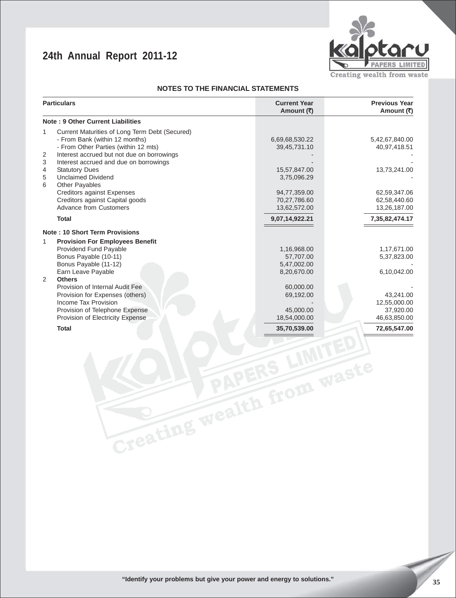

#### **NOTES TO THE FINANCIAL STATEMENTS**

| <b>Particulars</b>                                                                                                                                                                                                                                                                                                                                                                                    | <b>Current Year</b><br>Amount (₹)                                                                             | <b>Previous Year</b><br>Amount (₹)                                                                  |
|-------------------------------------------------------------------------------------------------------------------------------------------------------------------------------------------------------------------------------------------------------------------------------------------------------------------------------------------------------------------------------------------------------|---------------------------------------------------------------------------------------------------------------|-----------------------------------------------------------------------------------------------------|
| Note: 9 Other Current Liabilities                                                                                                                                                                                                                                                                                                                                                                     |                                                                                                               |                                                                                                     |
| 1<br>Current Maturities of Long Term Debt (Secured)<br>- From Bank (within 12 months)<br>- From Other Parties (within 12 mts)<br>Interest accrued but not due on borrowings<br>2<br>3<br>Interest accrued and due on borrowings<br>4<br><b>Statutory Dues</b><br>5<br><b>Unclaimed Dividend</b><br>6<br><b>Other Payables</b><br><b>Creditors against Expenses</b><br>Creditors against Capital goods | 6,69,68,530.22<br>39,45,731.10<br>15,57,847.00<br>3,75,096.29<br>94,77,359.00<br>70,27,786.60                 | 5,42,67,840.00<br>40,97,418.51<br>13,73,241.00<br>62,59,347.06<br>62,58,440.60                      |
| Advance from Customers                                                                                                                                                                                                                                                                                                                                                                                | 13,62,572.00                                                                                                  | 13,26,187.00                                                                                        |
| <b>Total</b>                                                                                                                                                                                                                                                                                                                                                                                          | 9,07,14,922.21                                                                                                | 7,35,82,474.17                                                                                      |
| <b>Note: 10 Short Term Provisions</b>                                                                                                                                                                                                                                                                                                                                                                 |                                                                                                               |                                                                                                     |
| <b>Provision For Employees Benefit</b><br>1<br>Providend Fund Payable<br>Bonus Payable (10-11)<br>Bonus Payable (11-12)<br>Earn Leave Payable<br>2<br><b>Others</b><br>Provision of Internal Audit Fee<br>Provision for Expenses (others)<br>Income Tax Provision<br>Provision of Telephone Expense<br>Provision of Electricity Expense                                                               | 1,16,968.00<br>57,707.00<br>5,47,002.00<br>8,20,670.00<br>60,000.00<br>69,192.00<br>45,000.00<br>18,54,000.00 | 1,17,671.00<br>5,37,823.00<br>6,10,042.00<br>43,241.00<br>12,55,000.00<br>37,920.00<br>46,63,850.00 |
| <b>Total</b>                                                                                                                                                                                                                                                                                                                                                                                          | 35,70,539.00                                                                                                  | 72,65,547.00                                                                                        |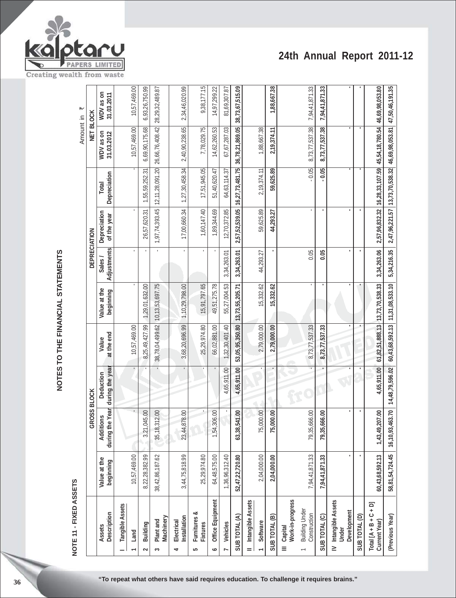

| NOTE 11 - FIXED ASSETS                   |                           |                                           |                              |                     |                                             |                        |                             |                                  | Amount in                                                            | ₩                       |
|------------------------------------------|---------------------------|-------------------------------------------|------------------------------|---------------------|---------------------------------------------|------------------------|-----------------------------|----------------------------------|----------------------------------------------------------------------|-------------------------|
|                                          |                           | GROSS BLOCK                               |                              |                     |                                             | <b>DEPRECIATION</b>    |                             |                                  | <b>NET BLOCK</b>                                                     |                         |
| Description<br>Assets                    | Value at the<br>beginning | during the Year<br><b>Additions</b>       | during the year<br>Deduction | at the end<br>Value | Value at the<br>beginning                   | Adjustments<br>Sales / | Depreciation<br>of the year | Depreciation<br><b>Total</b>     | 31.03.2012<br>WDV as on                                              | WDV as on<br>31.03.2011 |
| Tangible Assets                          |                           |                                           |                              |                     |                                             |                        |                             |                                  |                                                                      |                         |
| Land                                     | 10,57,469.00              |                                           |                              | 10,57,469.00        |                                             |                        |                             |                                  | 10,57,469.00                                                         | 10,57,469.00            |
| Building<br>2                            | 8,22,28,382.99            | 3,21,045.00                               |                              | 8,25,49,427.99      | 1,29,01,632.00                              |                        | 26,57,620.31                | 1,55,59,252.31                   | 6,69,90,175.68                                                       | 6,93,26,750.99          |
| Machinery<br>Plant and<br>S              | 38,42,86,187.62           | 35, 18, 312.00                            |                              |                     | 38,78,04,499.62 10,13,53,697.75             |                        | 1,97,74,393.45              | 12, 11, 28, 091. 20              | 26,66,76,408.42                                                      | 28, 29, 32, 489.87      |
| Installation<br>Electrical<br>4          | 3,44,75,818.99            | 23,44,878.00                              |                              | 3,68,20,696.99      | 1,10,29,798.00                              |                        | 17,00,660.34                | 1,27,30,458.34                   | 2,40,90,238.65                                                       | 2,34,46,020.99          |
| Furnitures &<br><b>Fixtures</b><br>မာ    | 25,29,974.80              |                                           |                              | 25,29,974.80        | 15,91,797.65                                |                        | 1,60,147.40                 | 17,51,945.05                     | 7,78,029.75                                                          | 9,38,177.15             |
| Office Equipment<br>ဖ                    | 64,48,575.00              | 1,54,306.00                               |                              | 66,02,881.00        | 49,51,275.78                                |                        | 1,89,344.69                 | 51,40,620.47                     | 14,62,260.53                                                         | 14,97,299.22            |
| Vehicles                                 | 1,36,96,312.40            | $\blacksquare$                            | 4,65,911.00                  | 1,32,30,401.40      | 55,27,004.53                                | 3,34,263.01            | 12,70,372.85                | 64,63,114.37                     | 67,67,287.03                                                         | 81,69,307.87            |
| SUB TOTAL (A)                            | 52,47,22,720.80           | 63,38,541.00                              | 4,65,911.00                  |                     | 53,05,95,350.80 13,73,55,205.71             | 3,34,263.01            |                             | 2,57,52,539.05   16,27,73,481.75 | 36,78,21,869.05                                                      | 38,73,67,515.09         |
| Il Intangible Assets                     |                           |                                           |                              |                     |                                             |                        |                             |                                  |                                                                      |                         |
| Software                                 | 2,04,000.00               | 75,000.00                                 |                              | 2,79,000.00         | 15,332.62                                   | 44,293.27              | 59,625.89                   | 2, 19, 374. 11                   | 1,88,667.38                                                          |                         |
| SUB TOTAL (B)                            | 2,04,000.00               | 75,000.00                                 |                              | 2,79,000.00         | 15,332.62                                   |                        | 44,293.27                   | 59,625.89                        | 2,19,374.11                                                          | 1,88,667.38             |
| Work-in-progress<br>III Capital          |                           |                                           |                              |                     |                                             |                        |                             |                                  |                                                                      |                         |
| <b>Building Under</b><br>Construction    | 7,94,41,871.33            | 79,35,666.00                              |                              | 8,73,77,537.33      |                                             | 0.05                   |                             | $-0.05$                          | 8,73,77,537.38                                                       | 7,94,41,871.33          |
| SUB TOTAL (C)                            | 7,94,41,871.33            | 79,35,666.00                              |                              | 8,73,77,537.33      |                                             | 0.05                   |                             | $-0.05$                          | 8,73,77,537.38                                                       | 7,94,41,871.33          |
| IV Intangible Assets<br>Under            |                           |                                           |                              |                     |                                             |                        |                             |                                  |                                                                      |                         |
| Development                              |                           |                                           |                              |                     |                                             |                        |                             |                                  |                                                                      |                         |
| SUB TOTAL (D)                            |                           | ٠                                         |                              |                     |                                             |                        |                             |                                  |                                                                      |                         |
| Total $[A + B + C + D]$<br>Current Year) | 60,43,68,592.13           | ,43,49,207.00<br>$\overline{\phantom{0}}$ |                              |                     | 4,65,911.00 61,82,51,888.13 13,73,70,538.33 | 3,34,263.06            |                             |                                  | 2,57,96,832.32   16,28,33,107.59   45,54,18,780.54   46,69,98,053.80 |                         |
| (Previous Year)                          | 58,81,54,724.45           | 16, 10, 93, 463. 70                       | 14,48,79,596.02              |                     | 60,43,68,592.13 11,31,08,533.10             | 5,34,216.35            |                             |                                  | 2,47,96,221.57 13,73,70,538.32 46,69,98,053.81 47,50,46,191.35       |                         |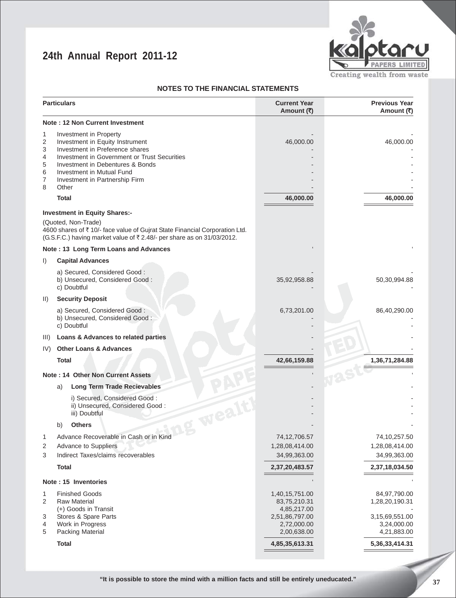

#### **NOTES TO THE FINANCIAL STATEMENTS**

| <b>Particulars</b>                                                                                                                                                                                                                                                                                                         | <b>Current Year</b><br>Amount (₹)                                                             | <b>Previous Year</b><br>Amount (₹)                                             |
|----------------------------------------------------------------------------------------------------------------------------------------------------------------------------------------------------------------------------------------------------------------------------------------------------------------------------|-----------------------------------------------------------------------------------------------|--------------------------------------------------------------------------------|
| Note: 12 Non Current Investment                                                                                                                                                                                                                                                                                            |                                                                                               |                                                                                |
| 1<br>Investment in Property<br>$\overline{2}$<br>Investment in Equity Instrument<br>Investment in Preference shares<br>3<br>4<br>Investment in Government or Trust Securities<br>5<br>Investment in Debentures & Bonds<br>6<br>Investment in Mutual Fund<br>$\overline{7}$<br>Investment in Partnership Firm<br>8<br>Other | 46,000.00                                                                                     | 46,000.00                                                                      |
| <b>Total</b>                                                                                                                                                                                                                                                                                                               | 46,000.00                                                                                     | 46,000.00                                                                      |
| <b>Investment in Equity Shares:-</b><br>(Quoted, Non-Trade)<br>4600 shares of ₹10/- face value of Gujrat State Financial Corporation Ltd.<br>(G.S.F.C.) having market value of ₹ 2.48/- per share as on 31/03/2012.                                                                                                        |                                                                                               |                                                                                |
| Note: 13 Long Term Loans and Advances                                                                                                                                                                                                                                                                                      |                                                                                               |                                                                                |
| <b>Capital Advances</b><br>$\vert$                                                                                                                                                                                                                                                                                         |                                                                                               |                                                                                |
| a) Secured, Considered Good:<br>b) Unsecured, Considered Good:<br>c) Doubtful                                                                                                                                                                                                                                              | 35,92,958.88                                                                                  | 50,30,994.88                                                                   |
| <b>Security Deposit</b><br>$\vert \vert$                                                                                                                                                                                                                                                                                   |                                                                                               |                                                                                |
| a) Secured, Considered Good:<br>b) Unsecured, Considered Good:<br>c) Doubtful                                                                                                                                                                                                                                              | 6,73,201.00                                                                                   | 86,40,290.00                                                                   |
| Loans & Advances to related parties<br>III)                                                                                                                                                                                                                                                                                |                                                                                               |                                                                                |
| <b>Other Loans &amp; Advances</b><br>IV)                                                                                                                                                                                                                                                                                   |                                                                                               |                                                                                |
| <b>Total</b>                                                                                                                                                                                                                                                                                                               | 42,66,159.88                                                                                  | 1,36,71,284.88                                                                 |
| <b>Note: 14 Other Non Current Assets</b>                                                                                                                                                                                                                                                                                   |                                                                                               |                                                                                |
| <b>Long Term Trade Recievables</b><br>a)                                                                                                                                                                                                                                                                                   |                                                                                               |                                                                                |
| i) Secured, Considered Good:<br>ii) Unsecured, Considered Good:<br>iii) Doubtful                                                                                                                                                                                                                                           | wealt                                                                                         |                                                                                |
| <b>Others</b><br>b)                                                                                                                                                                                                                                                                                                        |                                                                                               |                                                                                |
| Advance Recoverable in Cash or in Kind<br>1                                                                                                                                                                                                                                                                                | 74, 12, 706. 57                                                                               | 74,10,257.50                                                                   |
| 2<br>Advance to Suppliers                                                                                                                                                                                                                                                                                                  | 1,28,08,414.00                                                                                | 1,28,08,414.00                                                                 |
| 3<br>Indirect Taxes/claims recoverables                                                                                                                                                                                                                                                                                    | 34,99,363.00                                                                                  | 34,99,363.00                                                                   |
| <b>Total</b>                                                                                                                                                                                                                                                                                                               | 2,37,20,483.57                                                                                | 2,37,18,034.50                                                                 |
| Note: 15 Inventories                                                                                                                                                                                                                                                                                                       |                                                                                               |                                                                                |
| <b>Finished Goods</b><br>$\mathbf{1}$<br>2<br><b>Raw Material</b><br>(+) Goods in Transit<br>Stores & Spare Parts<br>3<br>Work in Progress<br>4<br>5<br>Packing Material                                                                                                                                                   | 1,40,15,751.00<br>83,75,210.31<br>4,85,217.00<br>2,51,86,797.00<br>2,72,000.00<br>2,00,638.00 | 84,97,790.00<br>1,28,20,190.31<br>3,15,69,551.00<br>3,24,000.00<br>4,21,883.00 |
| <b>Total</b>                                                                                                                                                                                                                                                                                                               | 4,85,35,613.31                                                                                | 5,36,33,414.31                                                                 |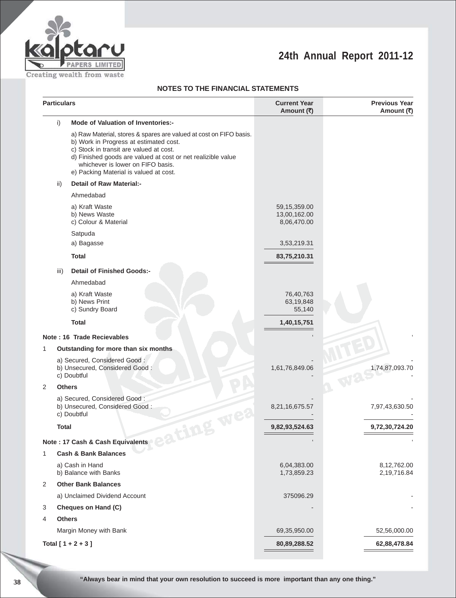

#### **NOTES TO THE FINANCIAL STATEMENTS**

|              | <b>Particulars</b> |                                                                                                                                                                                                                                                                                                        | <b>Current Year</b><br>Amount (₹)             | <b>Previous Year</b><br>Amount (₹) |
|--------------|--------------------|--------------------------------------------------------------------------------------------------------------------------------------------------------------------------------------------------------------------------------------------------------------------------------------------------------|-----------------------------------------------|------------------------------------|
|              | i)                 | Mode of Valuation of Inventories:-                                                                                                                                                                                                                                                                     |                                               |                                    |
|              |                    | a) Raw Material, stores & spares are valued at cost on FIFO basis.<br>b) Work in Progress at estimated cost.<br>c) Stock in transit are valued at cost.<br>d) Finished goods are valued at cost or net realizible value<br>whichever is lower on FIFO basis.<br>e) Packing Material is valued at cost. |                                               |                                    |
|              | ii)                | <b>Detail of Raw Material:-</b>                                                                                                                                                                                                                                                                        |                                               |                                    |
|              |                    | Ahmedabad                                                                                                                                                                                                                                                                                              |                                               |                                    |
|              |                    | a) Kraft Waste<br>b) News Waste<br>c) Colour & Material                                                                                                                                                                                                                                                | 59, 15, 359.00<br>13,00,162.00<br>8,06,470.00 |                                    |
|              |                    | Satpuda                                                                                                                                                                                                                                                                                                |                                               |                                    |
|              |                    | a) Bagasse                                                                                                                                                                                                                                                                                             | 3,53,219.31                                   |                                    |
|              |                    | Total                                                                                                                                                                                                                                                                                                  | 83,75,210.31                                  |                                    |
|              | iii)               | <b>Detail of Finished Goods:-</b>                                                                                                                                                                                                                                                                      |                                               |                                    |
|              |                    | Ahmedabad                                                                                                                                                                                                                                                                                              |                                               |                                    |
|              |                    | a) Kraft Waste<br>b) News Print<br>c) Sundry Board                                                                                                                                                                                                                                                     | 76,40,763<br>63,19,848<br>55,140              |                                    |
|              |                    | <b>Total</b>                                                                                                                                                                                                                                                                                           | 1,40,15,751                                   |                                    |
|              |                    | Note: 16 Trade Recievables                                                                                                                                                                                                                                                                             |                                               |                                    |
| $\mathbf{1}$ |                    | Outstanding for more than six months                                                                                                                                                                                                                                                                   |                                               |                                    |
|              |                    | a) Secured, Considered Good:<br>b) Unsecured, Considered Good:<br>c) Doubtful                                                                                                                                                                                                                          | 1,61,76,849.06                                | 1,74,87,093.70                     |
| 2            |                    | <b>Others</b>                                                                                                                                                                                                                                                                                          |                                               |                                    |
|              |                    | a) Secured, Considered Good:<br>b) Unsecured, Considered Good:<br>c) Doubtful<br>eating wet                                                                                                                                                                                                            | 8,21,16,675.57                                | 7,97,43,630.50                     |
|              | <b>Total</b>       |                                                                                                                                                                                                                                                                                                        | 9,82,93,524.63                                | 9,72,30,724.20                     |
|              |                    | Note: 17 Cash & Cash Equivalents                                                                                                                                                                                                                                                                       |                                               |                                    |
| 1            |                    | <b>Cash &amp; Bank Balances</b>                                                                                                                                                                                                                                                                        |                                               |                                    |
|              |                    | a) Cash in Hand<br>b) Balance with Banks                                                                                                                                                                                                                                                               | 6,04,383.00<br>1,73,859.23                    | 8,12,762.00<br>2,19,716.84         |
| 2            |                    | <b>Other Bank Balances</b>                                                                                                                                                                                                                                                                             |                                               |                                    |
|              |                    | a) Unclaimed Dividend Account                                                                                                                                                                                                                                                                          | 375096.29                                     |                                    |
| 3            |                    | Cheques on Hand (C)                                                                                                                                                                                                                                                                                    |                                               |                                    |
| 4            |                    | <b>Others</b>                                                                                                                                                                                                                                                                                          |                                               |                                    |
|              |                    | Margin Money with Bank                                                                                                                                                                                                                                                                                 | 69,35,950.00                                  | 52,56,000.00                       |
|              |                    | Total $[1 + 2 + 3]$                                                                                                                                                                                                                                                                                    | 80,89,288.52                                  | 62,88,478.84                       |
|              |                    |                                                                                                                                                                                                                                                                                                        |                                               |                                    |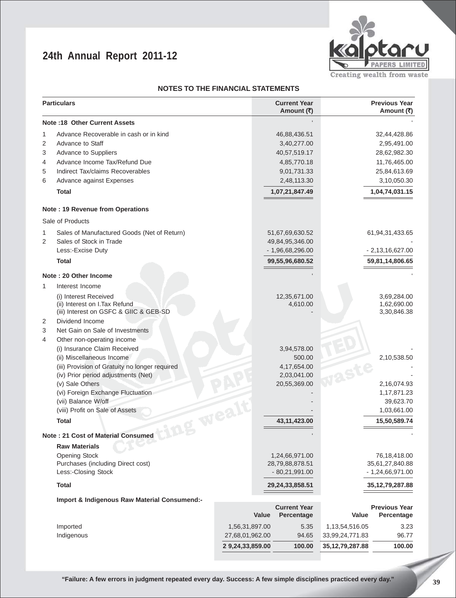

#### **NOTES TO THE FINANCIAL STATEMENTS**

|                | <b>Particulars</b>                                                      |                 |       | <b>Current Year</b><br>Amount (₹) |                 | <b>Previous Year</b><br>Amount (₹) |
|----------------|-------------------------------------------------------------------------|-----------------|-------|-----------------------------------|-----------------|------------------------------------|
|                | <b>Note: 18 Other Current Assets</b>                                    |                 |       |                                   |                 |                                    |
| 1              | Advance Recoverable in cash or in kind                                  |                 |       | 46,88,436.51                      |                 | 32,44,428.86                       |
| 2              | Advance to Staff                                                        |                 |       | 3,40,277.00                       |                 | 2,95,491.00                        |
| 3              | Advance to Suppliers                                                    |                 |       | 40,57,519.17                      |                 | 28,62,982.30                       |
| $\overline{4}$ | Advance Income Tax/Refund Due                                           |                 |       | 4,85,770.18                       |                 | 11,76,465.00                       |
| 5              | Indirect Tax/claims Recoverables                                        |                 |       | 9,01,731.33                       |                 | 25,84,613.69                       |
| 6              | Advance against Expenses                                                |                 |       | 2,48,113.30                       |                 | 3,10,050.30                        |
|                | Total                                                                   |                 |       | 1,07,21,847.49                    |                 | 1,04,74,031.15                     |
|                |                                                                         |                 |       |                                   |                 |                                    |
|                | Note: 19 Revenue from Operations                                        |                 |       |                                   |                 |                                    |
|                | Sale of Products                                                        |                 |       |                                   |                 |                                    |
| $\mathbf{1}$   | Sales of Manufactured Goods (Net of Return)                             |                 |       | 51,67,69,630.52                   |                 | 61,94,31,433.65                    |
| 2              | Sales of Stock in Trade                                                 |                 |       | 49,84,95,346.00                   |                 |                                    |
|                | Less:-Excise Duty                                                       |                 |       | $-1,96,68,296.00$                 |                 | $-2,13,16,627.00$                  |
|                | Total                                                                   |                 |       | 99,55,96,680.52                   |                 | 59,81,14,806.65                    |
|                | Note: 20 Other Income                                                   |                 |       |                                   |                 |                                    |
| 1              | Interest Income                                                         |                 |       |                                   |                 |                                    |
|                | (i) Interest Received                                                   |                 |       | 12,35,671.00                      |                 | 3,69,284.00                        |
|                | (ii) Interest on I.Tax Refund<br>(iii) Interest on GSFC & GIIC & GEB-SD |                 |       | 4,610.00                          |                 | 1,62,690.00<br>3,30,846.38         |
| 2              | Dividend Income                                                         |                 |       |                                   |                 |                                    |
| 3              | Net Gain on Sale of Investments                                         |                 |       |                                   |                 |                                    |
| 4              | Other non-operating income                                              |                 |       |                                   |                 |                                    |
|                | (i) Insurance Claim Received                                            |                 |       | 3,94,578.00                       |                 |                                    |
|                | (ii) Miscellaneous Income                                               |                 |       | 500.00                            |                 | 2,10,538.50                        |
|                | (iii) Provision of Gratuity no longer required                          |                 |       | 4,17,654.00                       |                 |                                    |
|                | (iv) Prior period adjustments (Net)                                     |                 |       | 2,03,041.00                       |                 |                                    |
|                | (v) Sale Others<br>(vi) Foreign Exchange Fluctuation                    |                 |       | 20,55,369.00                      |                 | 2,16,074.93<br>1,17,871.23         |
|                | (vii) Balance W/off                                                     |                 |       |                                   |                 | 39,623.70                          |
|                | (viii) Profit on Sale of Assets                                         |                 |       |                                   |                 | 1,03,661.00                        |
|                | Total                                                                   | weal            |       | 43,11,423.00                      |                 | 15,50,589.74                       |
|                | Note: 21 Cost of Material Consumed                                      |                 |       |                                   |                 |                                    |
|                | <b>Raw Materials</b>                                                    |                 |       |                                   |                 |                                    |
|                | <b>Opening Stock</b>                                                    |                 |       | 1,24,66,971.00                    |                 | 76,18,418.00                       |
|                | Purchases (including Direct cost)                                       |                 |       | 28,79,88,878.51                   |                 | 35,61,27,840.88                    |
|                | Less:-Closing Stock                                                     |                 |       | $-80,21,991.00$                   |                 | $-1,24,66,971.00$                  |
|                | <b>Total</b>                                                            |                 |       | 29,24,33,858.51                   |                 | 35, 12, 79, 287.88                 |
|                | Import & Indigenous Raw Material Consumend:-                            |                 |       |                                   |                 |                                    |
|                |                                                                         |                 |       | <b>Current Year</b>               |                 | <b>Previous Year</b>               |
|                |                                                                         |                 | Value | Percentage                        | Value           | Percentage                         |
|                | Imported                                                                | 1,56,31,897.00  |       | 5.35                              | 1,13,54,516.05  | 3.23                               |
|                | Indigenous                                                              | 27,68,01,962.00 |       | 94.65                             | 33,99,24,771.83 | 96.77                              |

**<u>2 9,24,33,859.00**</u> **100.00 100.00 100.00 100.00**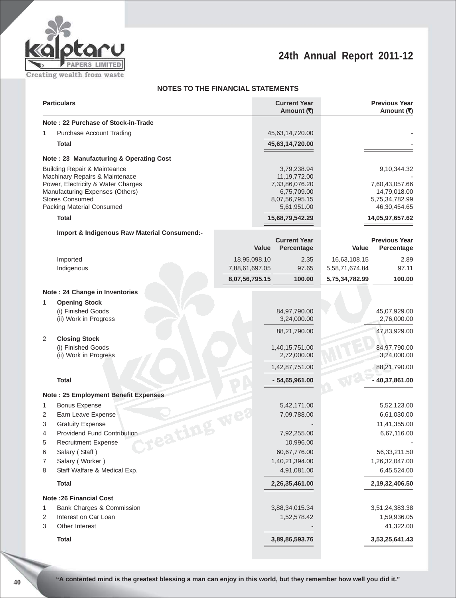

#### **NOTES TO THE FINANCIAL STATEMENTS**

|                | <b>Particulars</b>                                                    |                |       | <b>Current Year</b><br>Amount (₹) |                | <b>Previous Year</b><br>Amount (₹) |
|----------------|-----------------------------------------------------------------------|----------------|-------|-----------------------------------|----------------|------------------------------------|
|                | Note: 22 Purchase of Stock-in-Trade                                   |                |       |                                   |                |                                    |
| $\mathbf{1}$   | <b>Purchase Account Trading</b>                                       |                |       | 45,63,14,720.00                   |                |                                    |
|                | Total                                                                 |                |       | 45,63,14,720.00                   |                |                                    |
|                | Note: 23 Manufacturing & Operating Cost                               |                |       |                                   |                |                                    |
|                | <b>Building Repair &amp; Mainteance</b>                               |                |       | 3,79,238.94                       |                | 9,10,344.32                        |
|                | Machinary Repairs & Maintenace                                        |                |       | 11, 19, 772.00                    |                |                                    |
|                | Power, Electricity & Water Charges<br>Manufacturing Expenses (Others) |                |       | 7,33,86,076.20<br>6,75,709.00     |                | 7,60,43,057.66<br>14,79,018.00     |
|                | <b>Stores Consumed</b>                                                |                |       | 8,07,56,795.15                    |                | 5,75,34,782.99                     |
|                | Packing Material Consumed                                             |                |       | 5,61,951.00                       |                | 46,30,454.65                       |
|                | <b>Total</b>                                                          |                |       | 15,68,79,542.29                   |                | 14,05,97,657.62                    |
|                | Import & Indigenous Raw Material Consumend:-                          |                |       |                                   |                |                                    |
|                |                                                                       |                | Value | <b>Current Year</b><br>Percentage | Value          | <b>Previous Year</b><br>Percentage |
|                | Imported                                                              | 18,95,098.10   |       | 2.35                              | 16,63,108.15   | 2.89                               |
|                | Indigenous                                                            | 7,88,61,697.05 |       | 97.65                             | 5,58,71,674.84 | 97.11                              |
|                |                                                                       | 8,07,56,795.15 |       | 100.00                            | 5,75,34,782.99 | 100.00                             |
|                | Note: 24 Change in Inventories                                        |                |       |                                   |                |                                    |
| $\mathbf{1}$   | <b>Opening Stock</b>                                                  |                |       |                                   |                |                                    |
|                | (i) Finished Goods<br>(ii) Work in Progress                           |                |       | 84,97,790.00<br>3,24,000.00       |                | 45,07,929.00<br>2,76,000.00        |
|                |                                                                       |                |       | 88,21,790.00                      |                | 47,83,929.00                       |
| $\overline{2}$ | <b>Closing Stock</b><br>(i) Finished Goods                            |                |       | 1,40,15,751.00                    |                | 84,97,790.00                       |
|                | (ii) Work in Progress                                                 |                |       | 2,72,000.00                       |                | 3,24,000.00                        |
|                |                                                                       |                |       | 1,42,87,751.00                    |                | 88,21,790.00                       |
|                | <b>Total</b>                                                          |                |       | $-54,65,961.00$                   |                | $-40,37,861.00$                    |
|                | <b>Note: 25 Employment Benefit Expenses</b>                           |                |       |                                   |                |                                    |
| $\mathbf{1}$   | <b>Bonus Expense</b>                                                  |                |       | 5,42,171.00                       |                | 5,52,123.00                        |
| 2              | eating we?<br>Earn Leave Expense                                      |                |       | 7,09,788.00                       |                | 6,61,030.00                        |
| 3              | <b>Gratuity Expense</b>                                               |                |       |                                   |                | 11,41,355.00                       |
| 4              | Providend Fund Contribution                                           |                |       | 7,92,255.00                       |                | 6,67,116.00                        |
| 5              | <b>Recruitment Expense</b>                                            |                |       | 10,996.00                         |                |                                    |
|                | Salary (Staff)                                                        |                |       | 60,67,776.00                      |                | 56,33,211.50                       |
| 7              | Salary (Worker)                                                       |                |       | 1,40,21,394.00                    |                | 1,26,32,047.00                     |
| 8              | Staff Walfare & Medical Exp.                                          |                |       | 4,91,081.00                       |                | 6,45,524.00                        |
|                | <b>Total</b>                                                          |                |       | 2,26,35,461.00                    |                | 2,19,32,406.50                     |
|                | <b>Note :26 Financial Cost</b>                                        |                |       |                                   |                |                                    |
| 1              | Bank Charges & Commission                                             |                |       | 3,88,34,015.34                    |                | 3,51,24,383.38                     |
| 2              | Interest on Car Loan                                                  |                |       | 1,52,578.42                       |                | 1,59,936.05                        |
| 3              | Other Interest                                                        |                |       |                                   |                | 41,322.00                          |
|                | <b>Total</b>                                                          |                |       | 3,89,86,593.76                    |                | 3,53,25,641.43                     |
|                |                                                                       |                |       |                                   |                |                                    |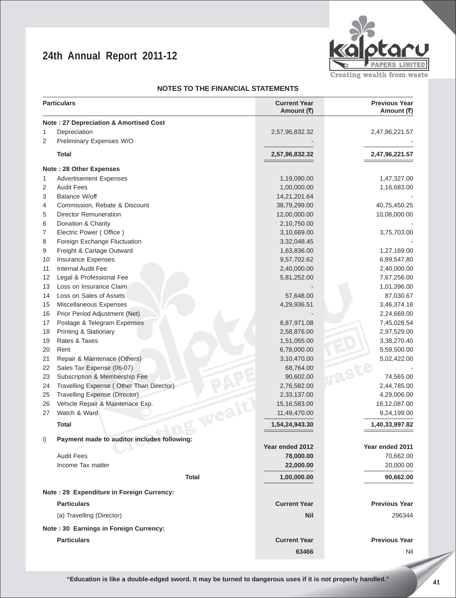

#### **NOTES TO THE FINANCIAL STATEMENTS**

|    | <b>Particulars</b>                                | <b>Current Year</b><br>Amount (₹) | <b>Previous Year</b><br>Amount (₹) |
|----|---------------------------------------------------|-----------------------------------|------------------------------------|
|    | <b>Note: 27 Depreciation &amp; Amortised Cost</b> |                                   |                                    |
| 1  | Depreciation                                      | 2,57,96,832.32                    | 2,47,96,221.57                     |
| 2  | Preliminary Expenses W/O                          |                                   |                                    |
|    | Total                                             | 2,57,96,832.32                    | 2,47,96,221.57                     |
|    | Note: 28 Other Expenses                           |                                   |                                    |
| 1  | <b>Advertisement Expenses</b>                     | 1,19,090.00                       | 1,47,327.00                        |
| 2  | <b>Audit Fees</b>                                 | 1,00,000.00                       | 1,16,683.00                        |
| 3  | Balance W/off                                     | 14,21,201.64                      |                                    |
| 4  | Commission, Rebate & Discount                     | 38,79,299.00                      | 40,75,450.25                       |
| 5  | <b>Director Remuneration</b>                      | 12,00,000.00                      | 10,08,000.00                       |
| 6  | Donation & Charity                                | 2,10,750.00                       |                                    |
| 7  | Electric Power (Office)                           | 3,10,669.00                       | 3,75,703.00                        |
| 8  | Foreign Exchange Fluctuation                      | 3,32,048.45                       |                                    |
| 9  | Freight & Cartage Outward                         | 1,63,836.00                       | 1,27,169.00                        |
| 10 | <b>Insurance Expenses</b>                         | 9,57,702.62                       | 6,89,547.80                        |
| 11 | <b>Internal Audit Fee</b>                         | 2,40,000.00                       | 2,40,000.00                        |
| 12 | Legal & Professional Fee                          | 5,81,252.00                       | 7,67,256.00                        |
| 13 | Loss on Insurance Claim                           |                                   | 1,01,396.00                        |
| 14 | Loss on Sales of Assets                           | 57,648.00                         | 87,030.67                          |
| 15 | Miscellaneous Expenses                            | 4,29,936.51                       | 3,46,374.16                        |
| 16 | Prior Period Adjustment (Net)                     |                                   | 2,24,669.00                        |
| 17 | Postage & Telegram Expenses                       | 6,87,971.08                       | 7,45,028.54                        |
| 18 | Printing & Stationary                             | 2,58,876.00                       | 2,97,529.00                        |
| 19 | Rates & Taxes                                     | 1,51,055.00                       | 3,38,270.40                        |
| 20 | Rent                                              | 6,78,000.00                       | 5,59,500.00                        |
| 21 | Repair & Maintenace (Others)                      | 3,10,470.00                       | 5,02,422.00                        |
| 22 | Sales Tax Expense (06-07)                         | 68,764.00                         |                                    |
| 23 | Subscription & Membership Fee                     | 90,602.00                         | 74,565.00                          |
| 24 | Travelling Expense (Other Than Director)          | 2,76,582.00                       | 2,44,785.00                        |
| 25 | Travelling Expense (Director)                     | 2,33,137.00                       | 4,29,006.00                        |
| 26 | Vehicle Repair & Maintenace Exp.                  | 15, 16, 583.00                    | 16,12,087.00                       |
| 27 | weall<br>Watch & Ward                             | 11,49,470.00                      | 9,24,199.00                        |
|    | Total                                             | 1,54,24,943.30                    | 1,40,33,997.82                     |
|    |                                                   |                                   |                                    |
| i) | Payment made to auditor includes following:       | Year ended 2012                   | Year ended 2011                    |
|    | <b>Audit Fees</b>                                 | 78,000.00                         | 70,662.00                          |
|    | Income Tax matter                                 |                                   |                                    |
|    |                                                   | 22,000.00                         | 20,000.00                          |
|    | <b>Total</b>                                      | 1,00,000.00                       | 90,662.00                          |
|    | Note: 29 Expenditure in Foreign Currency:         |                                   |                                    |
|    | <b>Particulars</b>                                | <b>Current Year</b>               | <b>Previous Year</b>               |
|    | (a) Travelling (Director)                         | <b>Nil</b>                        | 296344                             |
|    | Note: 30 Earnings in Foreign Currency:            |                                   |                                    |
|    | <b>Particulars</b>                                | <b>Current Year</b>               | <b>Previous Year</b>               |
|    |                                                   |                                   |                                    |
|    |                                                   | 63466                             | Nil                                |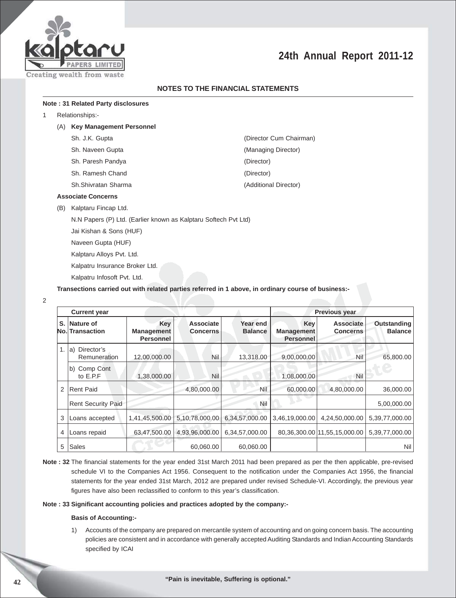

#### **NOTES TO THE FINANCIAL STATEMENTS**

#### **Note : 31 Related Party disclosures**

1 Relationships:-

|  |  |  | (A) Key Management Personnel |  |
|--|--|--|------------------------------|--|
|--|--|--|------------------------------|--|

- Sh. J.K. Gupta **(Director Cum Chairman)**
- 
- Sh. Paresh Pandya (Director)
- Sh. Ramesh Chand (Director)
- Sh.Shivratan Sharma (Additional Director)

Sh. Naveen Gupta **(Managing Director)** (Managing Director)

#### **Associate Concerns**

(B) Kalptaru Fincap Ltd.

N.N Papers (P) Ltd. (Earlier known as Kalptaru Softech Pvt Ltd)

Jai Kishan & Sons (HUF)

Naveen Gupta (HUF)

Kalptaru Alloys Pvt. Ltd.

Kalpatru Insurance Broker Ltd.

Kalpatru Infosoft Pvt. Ltd.

**Transections carried out with related parties referred in 1 above, in ordinary course of business:-**

<sup>2</sup>

| <b>Current year</b> |                                  |                                              |                              | <b>Previous year</b>       |                                              |                                     |                               |
|---------------------|----------------------------------|----------------------------------------------|------------------------------|----------------------------|----------------------------------------------|-------------------------------------|-------------------------------|
| S.<br>No.l          | Nature of<br><b>Transaction</b>  | Key<br><b>Management</b><br><b>Personnel</b> | Associate<br><b>Concerns</b> | Year end<br><b>Balance</b> | Key<br><b>Management</b><br><b>Personnel</b> | <b>Associate</b><br><b>Concerns</b> | Outstanding<br><b>Balance</b> |
| 1.                  | Director's<br>a)<br>Remuneration | 12,00,000.00                                 | Nil                          | 13,318.00                  | 9,00,000.00                                  | Nil                                 | 65,800.00                     |
|                     | Comp Cont<br>b)<br>to E.P.F      | 1,38,000.00                                  | Nil                          |                            | 1,08,000.00                                  | Nil                                 |                               |
| 2                   | <b>Rent Paid</b>                 |                                              | 4,80,000.00                  | Nil                        | 60,000.00                                    | 4,80,000.00                         | 36,000.00                     |
|                     | <b>Rent Security Paid</b>        |                                              |                              | Nil                        |                                              |                                     | 5,00,000.00                   |
| 3                   | Loans accepted                   | 1,41,45,500.00                               | 5,10,78,000.00               | 6,34,57,000.00             | 3,46,19,000.00                               | 4,24,50,000.00                      | 5,39,77,000.00                |
| 4                   | Loans repaid                     | 63,47,500.00                                 | 4,93,96,000.00               | 6,34,57,000.00             |                                              | 80, 36, 300.00   11, 55, 15, 000.00 | 5,39,77,000.00                |
| 5                   | Sales                            |                                              | 60,060.00                    | 60,060.00                  |                                              |                                     | Nil                           |

**Note : 32** The financial statements for the year ended 31st March 2011 had been prepared as per the then applicable, pre-revised schedule VI to the Companies Act 1956. Consequent to the notification under the Companies Act 1956, the financial statements for the year ended 31st March, 2012 are prepared under revised Schedule-VI. Accordingly, the previous year figures have also been reclassified to conform to this year's classification.

#### **Note : 33 Significant accounting policies and practices adopted by the company:-**

#### **Basis of Accounting:-**

1) Accounts of the company are prepared on mercantile system of accounting and on going concern basis. The accounting policies are consistent and in accordance with generally accepted Auditing Standards and Indian Accounting Standards specified by ICAI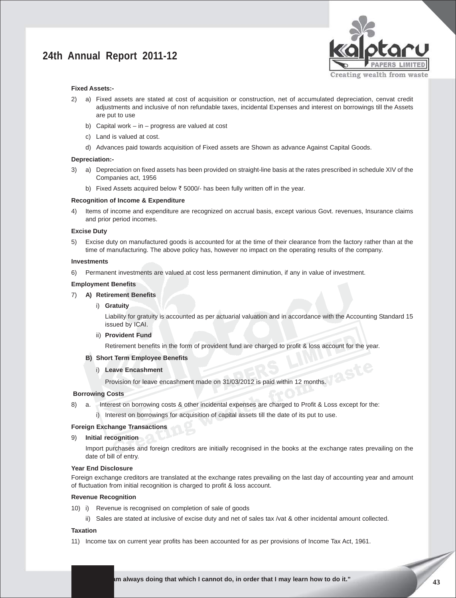

#### **Fixed Assets:-**

- 2) a) Fixed assets are stated at cost of acquisition or construction, net of accumulated depreciation, cenvat credit adjustments and inclusive of non refundable taxes, incidental Expenses and interest on borrowings till the Assets are put to use
	- b) Capital work in progress are valued at cost
	- c) Land is valued at cost.
	- d) Advances paid towards acquisition of Fixed assets are Shown as advance Against Capital Goods.

#### **Depreciation:-**

- 3) a) Depreciation on fixed assets has been provided on straight-line basis at the rates prescribed in schedule XIV of the Companies act, 1956
	- b) Fixed Assets acquired below  $\bar{\tau}$  5000/- has been fully written off in the year.

#### **Recognition of Income & Expenditure**

Items of income and expenditure are recognized on accrual basis, except various Govt. revenues, Insurance claims and prior period incomes.

#### **Excise Duty**

5) Excise duty on manufactured goods is accounted for at the time of their clearance from the factory rather than at the time of manufacturing. The above policy has, however no impact on the operating results of the company.

#### **Investments**

6) Permanent investments are valued at cost less permanent diminution, if any in value of investment.

#### **Employment Benefits**

#### 7) **A) Retirement Benefits**

i) **Gratuity**

Liability for gratuity is accounted as per actuarial valuation and in accordance with the Accounting Standard 15 issued by ICAI.

ii) **Provident Fund**

Retirement benefits in the form of provident fund are charged to profit & loss account for the year.

#### **B) Short Term Employee Benefits**

i) **Leave Encashment**

Provision for leave encashment made on 31/03/2012 is paid within 12 months.

#### **Borrowing Costs**

- 8) a. Interest on borrowing costs & other incidental expenses are charged to Profit & Loss except for the:
	- i) Interest on borrowings for acquisition of capital assets till the date of its put to use.

#### **Foreign Exchange Transactions**

9) **Initial recognition**

Import purchases and foreign creditors are initially recognised in the books at the exchange rates prevailing on the date of bill of entry.

#### **Year End Disclosure**

Foreign exchange creditors are translated at the exchange rates prevailing on the last day of accounting year and amount of fluctuation from initial recognition is charged to profit & loss account.

#### **Revenue Recognition**

- 10) i) Revenue is recognised on completion of sale of goods
	- ii) Sales are stated at inclusive of excise duty and net of sales tax /vat & other incidental amount collected.

#### **Taxation**

11) Income tax on current year profits has been accounted for as per provisions of Income Tax Act, 1961.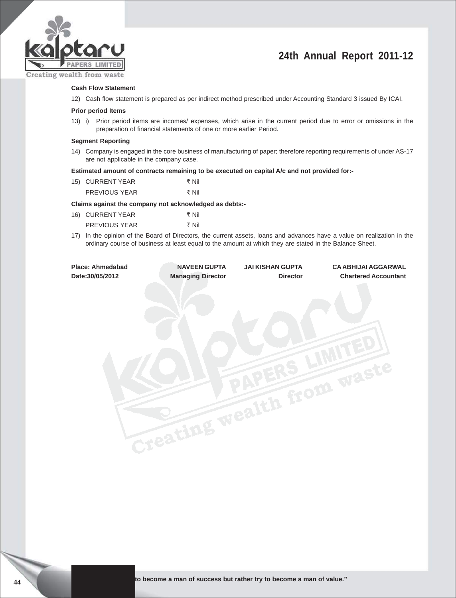

#### **Cash Flow Statement**

12) Cash flow statement is prepared as per indirect method prescribed under Accounting Standard 3 issued By ICAI.

#### **Prior period Items**

13) i) Prior period items are incomes/ expenses, which arise in the current period due to error or omissions in the preparation of financial statements of one or more earlier Period.

#### **Segment Reporting**

14) Company is engaged in the core business of manufacturing of paper; therefore reporting requirements of under AS-17 are not applicable in the company case.

**Estimated amount of contracts remaining to be executed on capital A/c and not provided for:-**

| 15) CURRENT YEAR     | ₹ Nil |
|----------------------|-------|
| <b>PREVIOUS YEAR</b> | ₹ Nil |

#### **Claims against the company not acknowledged as debts:-**

| 16) CURRENT YEAR     | ₹ Nil |
|----------------------|-------|
| <b>PREVIOUS YEAR</b> | ₹ Nil |

17) In the opinion of the Board of Directors, the current assets, loans and advances have a value on realization in the ordinary course of business at least equal to the amount at which they are stated in the Balance Sheet.

| <b>Place: Ahmedabad</b><br>Date: 30/05/2012 | <b>NAVEEN GUPTA</b><br><b>Managing Director</b> | <b>JAI KISHAN GUPTA</b><br><b>Director</b> | <b>CA ABHIJAI AGGARWAL</b><br><b>Chartered Accountant</b> |
|---------------------------------------------|-------------------------------------------------|--------------------------------------------|-----------------------------------------------------------|
|                                             |                                                 |                                            |                                                           |
|                                             |                                                 |                                            |                                                           |
|                                             |                                                 |                                            |                                                           |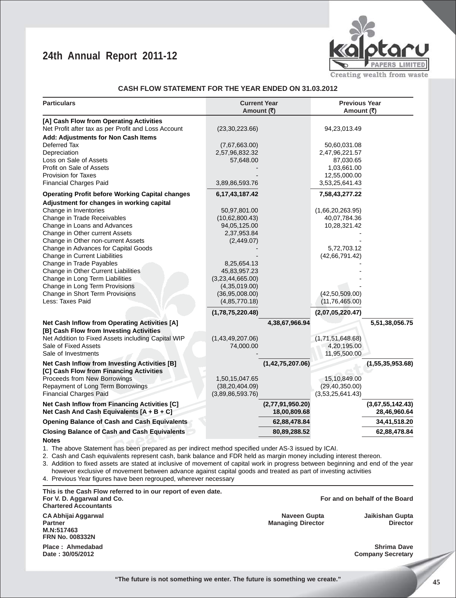

#### **CASH FLOW STATEMENT FOR THE YEAR ENDED ON 31.03.2012**

| <b>Particulars</b>                                                                                   | <b>Current Year</b><br>Amount (₹) |                                  | <b>Previous Year</b><br>Amount (₹) |                                  |
|------------------------------------------------------------------------------------------------------|-----------------------------------|----------------------------------|------------------------------------|----------------------------------|
| [A] Cash Flow from Operating Activities                                                              |                                   |                                  |                                    |                                  |
| Net Profit after tax as per Profit and Loss Account                                                  | (23, 30, 223.66)                  |                                  | 94,23,013.49                       |                                  |
| Add: Adjustments for Non Cash Items                                                                  |                                   |                                  |                                    |                                  |
| Deferred Tax                                                                                         | (7,67,663.00)                     |                                  | 50,60,031.08                       |                                  |
| Depreciation                                                                                         | 2,57,96,832.32                    |                                  | 2,47,96,221.57                     |                                  |
| Loss on Sale of Assets                                                                               | 57,648.00                         |                                  | 87,030.65                          |                                  |
| Profit on Sale of Assets                                                                             |                                   |                                  | 1,03,661.00                        |                                  |
| <b>Provision for Taxes</b>                                                                           |                                   |                                  | 12,55,000.00                       |                                  |
| <b>Financial Charges Paid</b>                                                                        | 3,89,86,593.76                    |                                  | 3,53,25,641.43                     |                                  |
| <b>Operating Profit before Working Capital changes</b>                                               | 6, 17, 43, 187. 42                |                                  | 7,58,43,277.22                     |                                  |
| Adjustment for changes in working capital                                                            |                                   |                                  |                                    |                                  |
| Change in Inventories                                                                                | 50,97,801.00                      |                                  | (1,66,20,263.95)                   |                                  |
| Change in Trade Receivables                                                                          | (10,62,800.43)                    |                                  | 40,07,784.36                       |                                  |
| Change in Loans and Advances                                                                         | 94,05,125.00                      |                                  | 10,28,321.42                       |                                  |
| Change in Other current Assets                                                                       | 2,37,953.84                       |                                  |                                    |                                  |
| Change in Other non-current Assets                                                                   | (2,449.07)                        |                                  |                                    |                                  |
| Change in Advances for Capital Goods                                                                 |                                   |                                  | 5,72,703.12                        |                                  |
| Change in Current Liabilities                                                                        |                                   |                                  | (42,66,791.42)                     |                                  |
| Change in Trade Payables                                                                             | 8,25,654.13                       |                                  |                                    |                                  |
| Change in Other Current Liabilities                                                                  | 45,83,957.23                      |                                  |                                    |                                  |
| Change in Long Term Liabilities                                                                      | (3,23,44,665.00)                  |                                  |                                    |                                  |
| Change in Long Term Provisions                                                                       | (4,35,019.00)                     |                                  |                                    |                                  |
| Change in Short Term Provisions                                                                      | (36,95,008.00)                    |                                  | (42, 50, 509.00)                   |                                  |
| Less: Taxes Paid                                                                                     | (4,85,770.18)                     |                                  | (11, 76, 465.00)                   |                                  |
|                                                                                                      | (1,78,75,220.48)                  |                                  | (2,07,05,220.47)                   |                                  |
| Net Cash Inflow from Operating Activities [A]<br>[B] Cash Flow from Investing Activities             |                                   | 4,38,67,966.94                   |                                    | 5,51,38,056.75                   |
| Net Addition to Fixed Assets including Capital WIP                                                   | (1,43,49,207.06)                  |                                  | (1,71,51,648.68)                   |                                  |
| Sale of Fixed Assets                                                                                 | 74,000.00                         |                                  | 4,20,195.00                        |                                  |
| Sale of Investments                                                                                  |                                   |                                  | 11,95,500.00                       |                                  |
| Net Cash Inflow from Investing Activities [B]<br>[C] Cash Flow from Financing Activities             |                                   | (1, 42, 75, 207.06)              |                                    | (1, 55, 35, 953.68)              |
| Proceeds from New Borrowings                                                                         | 1,50,15,047.65                    |                                  | 15,10,849.00                       |                                  |
| Repayment of Long Term Borrowings                                                                    | (38, 20, 404.09)                  |                                  | (29, 40, 350.00)                   |                                  |
| <b>Financial Charges Paid</b>                                                                        | (3,89,86,593.76)                  |                                  | (3,53,25,641.43)                   |                                  |
| Net Cash Inflow from Financing Activities [C]<br>Net Cash And Cash Equivalents $[A + B + C]$         |                                   | (2,77,91,950.20)<br>18,00,809.68 |                                    | (3,67,55,142.43)<br>28,46,960.64 |
| <b>Opening Balance of Cash and Cash Equivalents</b>                                                  |                                   | 62,88,478.84                     |                                    | 34,41,518.20                     |
| <b>Closing Balance of Cash and Cash Equivalents</b>                                                  |                                   | 80,89,288.52                     |                                    | 62,88,478.84                     |
| <b>Notes</b>                                                                                         |                                   |                                  |                                    |                                  |
| 1. The above Statement has been prepared as per indirect method specified under AS-3 issued by ICAI. |                                   |                                  |                                    |                                  |

- 2. Cash and Cash equivalents represent cash, bank balance and FDR held as margin money including interest thereon. 3. Addition to fixed assets are stated at inclusive of movement of capital work in progress between beginning and end of the year however exclusive of movement between advance against capital goods and treated as part of investing activities
- 4. Previous Year figures have been regrouped, wherever necessary

**This is the Cash Flow referred to in our report of even date. Chartered Accountants**

**CA Abhijai Aggarwal Naveen Gupta Jaikishan Gupta M.N:517463 FRN No. 008332N**

For and on behalf of the Board

**Managing Director** 

**Place : Ahmedabad Shrima Dave**

**Company Secretary**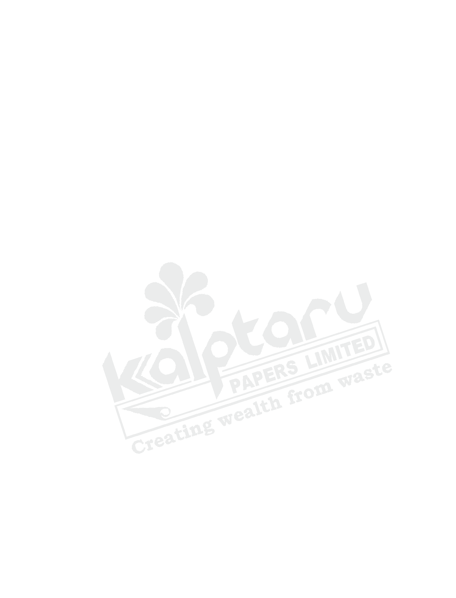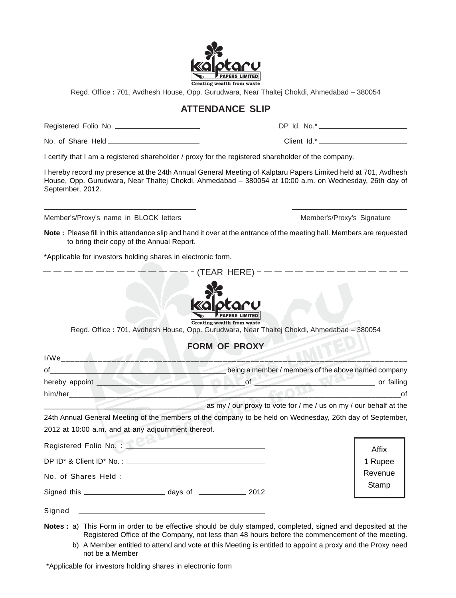

Regd. Office **:** 701, Avdhesh House, Opp. Gurudwara, Near Thaltej Chokdi, Ahmedabad – 380054

### **ATTENDANCE SLIP**

Registered Folio No. DP Id. No.\*

No. of Share Held Client Id.\*

I certify that I am a registered shareholder / proxy for the registered shareholder of the company.

I hereby record my presence at the 24th Annual General Meeting of Kalptaru Papers Limited held at 701, Avdhesh House, Opp. Gurudwara, Near Thaltej Chokdi, Ahmedabad – 380054 at 10:00 a.m. on Wednesday, 26th day of September, 2012.

Member's/Proxy's name in BLOCK letters Member's/Proxy's Signature

**Note :** Please fill in this attendance slip and hand it over at the entrance of the meeting hall. Members are requested to bring their copy of the Annual Report.

\*Applicable for investors holding shares in electronic form.

 $-$  (TEAR HERE) – — —



Regd. Office **:** 701, Avdhesh House, Opp. Gurudwara, Near Thaltej Chokdi, Ahmedabad – 380054

### **FORM OF PROXY**

| $of$ and $of$ and $of$ and $of$ and $of$ and $of$ and $of$ and $of$ and $of$ and $of$ and $of$ and $of$ and $of$ and $of$ and $of$ and $of$ and $of$ and $of$ and $of$ and $of$ and $of$ and $of$ and $of$ and $of$ and $of$ and $of$ and $of$ and $of$ a |                                                                                                                                                                                                                         | being a member / members of the above named company                                                                                                                                                                            |
|-----------------------------------------------------------------------------------------------------------------------------------------------------------------------------------------------------------------------------------------------------------|-------------------------------------------------------------------------------------------------------------------------------------------------------------------------------------------------------------------------|--------------------------------------------------------------------------------------------------------------------------------------------------------------------------------------------------------------------------------|
|                                                                                                                                                                                                                                                           |                                                                                                                                                                                                                         | of of contract of the contract of the contract of the contract of the contract of the contract of the contract of the contract of the contract of the contract of the contract of the contract of the contract of the contract |
|                                                                                                                                                                                                                                                           |                                                                                                                                                                                                                         | 0f                                                                                                                                                                                                                             |
|                                                                                                                                                                                                                                                           | as my / our proxy to vote for / me / us on my / our behalf at the                                                                                                                                                       |                                                                                                                                                                                                                                |
|                                                                                                                                                                                                                                                           | 24th Annual General Meeting of the members of the company to be held on Wednesday, 26th day of September,                                                                                                               |                                                                                                                                                                                                                                |
| 2012 at 10:00 a.m. and at any adjournment thereof.                                                                                                                                                                                                        |                                                                                                                                                                                                                         |                                                                                                                                                                                                                                |
| Registered Folio No. : New York Neglistered Folio No. :                                                                                                                                                                                                   |                                                                                                                                                                                                                         | Affix                                                                                                                                                                                                                          |
|                                                                                                                                                                                                                                                           |                                                                                                                                                                                                                         | 1 Rupee                                                                                                                                                                                                                        |
|                                                                                                                                                                                                                                                           |                                                                                                                                                                                                                         | Revenue                                                                                                                                                                                                                        |
|                                                                                                                                                                                                                                                           |                                                                                                                                                                                                                         | Stamp                                                                                                                                                                                                                          |
|                                                                                                                                                                                                                                                           |                                                                                                                                                                                                                         |                                                                                                                                                                                                                                |
|                                                                                                                                                                                                                                                           | <b>Notes :</b> a) This Form in order to be effective should be duly stamped, completed, signed and deposited at the<br>Registered Office of the Company, not less than 48 hours before the commencement of the meeting. |                                                                                                                                                                                                                                |

b) A Member entitled to attend and vote at this Meeting is entitled to appoint a proxy and the Proxy need not be a Member

\*Applicable for investors holding shares in electronic form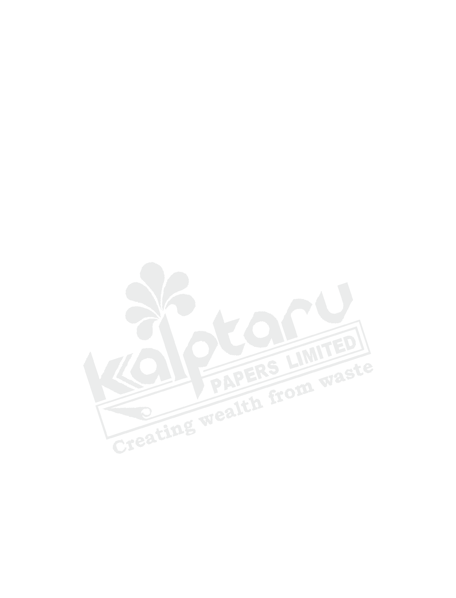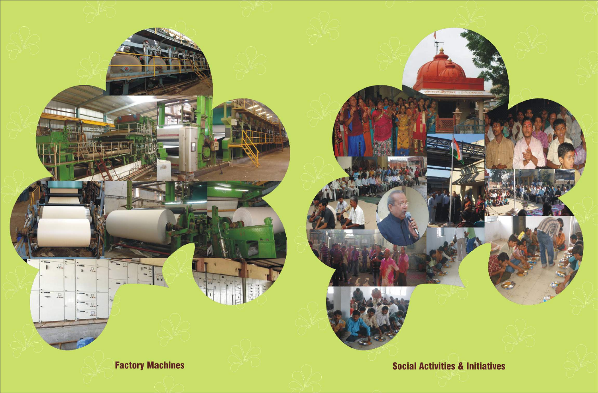# **Social Activities & Initiatives**